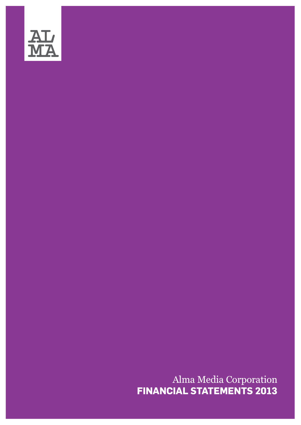

Alma Media Corporation<br>FINANCIAL STATEMENTS 2013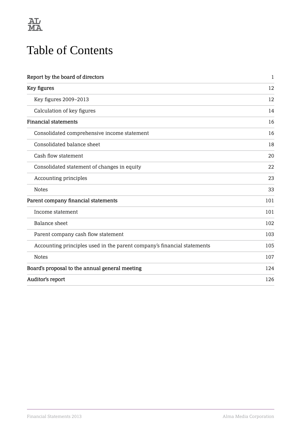

# Table of Contents

| Report by the board of directors                                        | $\mathbf 1$ |
|-------------------------------------------------------------------------|-------------|
| Key figures                                                             | 12          |
| Key figures 2009-2013                                                   | 12          |
| Calculation of key figures                                              | 14          |
| <b>Financial statements</b>                                             | 16          |
| Consolidated comprehensive income statement                             | 16          |
| Consolidated balance sheet                                              | 18          |
| Cash flow statement                                                     | 20          |
| Consolidated statement of changes in equity                             | 22          |
| Accounting principles                                                   | 23          |
| <b>Notes</b>                                                            | 33          |
| Parent company financial statements                                     | 101         |
| Income statement                                                        | 101         |
| Balance sheet                                                           | 102         |
| Parent company cash flow statement                                      | 103         |
| Accounting principles used in the parent company's financial statements | 105         |
| <b>Notes</b>                                                            | 107         |
| Board's proposal to the annual general meeting                          | 124         |
| Auditor's report                                                        | 126         |
|                                                                         |             |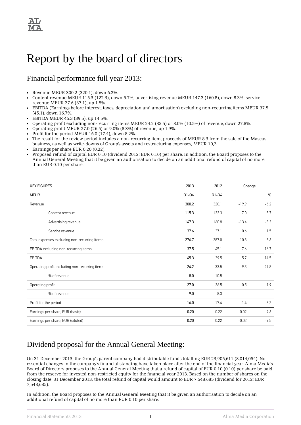# <span id="page-2-0"></span>Report by the board of directors

# Financial performance full year 2013:

- Revenue MEUR 300.2 (320.1), down 6.2%.
- Content revenue MEUR 115.3 (122.3), down 5.7%; advertising revenue MEUR 147.3 (160.8), down 8.3%; service revenue MEUR 37.6 (37.1), up 1.5%.
- EBITDA (Earnings before interest, taxes, depreciation and amortisation) excluding non-recurring items MEUR 37.5 (45.1), down 16.7%.
- EBITDA MEUR 45.3 (39.5), up 14.5%.
- Operating profit excluding non-recurring items MEUR 24.2 (33.5) or 8.0% (10.5%) of revenue, down 27.8%.
- Operating profit MEUR 27.0 (26.5) or 9.0% (8.3%) of revenue, up 1.9%.
- Profit for the period MEUR 16.0 (17.4), down 8.2%.
- The result for the review period includes a non-recurring item, proceeds of MEUR 8.3 from the sale of the Mascus business, as well as write-downs of Group's assets and restructuring expenses, MEUR 10,3.
- Earnings per share EUR 0.20 (0.22).
- Proposed refund of capital EUR 0.10 (dividend 2012: EUR 0.10) per share. In addition, the Board proposes to the Annual General Meeting that it be given an authorisation to decide on an additional refund of capital of no more than EUR 0.10 per share.

| <b>KEY FIGURES</b>                             | 2013    | 2012    | Change  |         |
|------------------------------------------------|---------|---------|---------|---------|
| <b>MEUR</b>                                    | $Q1-Q4$ | $Q1-Q4$ |         | %       |
| Revenue                                        | 300.2   | 320.1   | $-19.9$ | $-6.2$  |
| Content revenue                                | 115.3   | 122.3   | $-7.0$  | $-5.7$  |
| Advertising revenue                            | 147.3   | 160.8   | $-13.4$ | $-8.3$  |
| Service revenue                                | 37.6    | 37.1    | 0.6     | 1.5     |
| Total expenses excluding non-recurring items   | 276.7   | 287.0   | $-10.3$ | $-3.6$  |
| EBITDA excluding non-recurring items           | 37.5    | 45.1    | $-7.6$  | $-16.7$ |
| <b>EBITDA</b>                                  | 45.3    | 39.5    | 5.7     | 14.5    |
| Operating profit excluding non-recurring items | 24.2    | 33.5    | $-9.3$  | $-27.8$ |
| % of revenue                                   | 8.0     | 10.5    |         |         |
| Operating profit                               | 27.0    | 26.5    | 0.5     | 1.9     |
| % of revenue                                   | 9.0     | 8.3     |         |         |
| Profit for the period                          | 16.0    | 17.4    | $-1.4$  | $-8.2$  |
| Earnings per share, EUR (basic)                | 0.20    | 0.22    | $-0.02$ | $-9.6$  |
| Earnings per share, EUR (diluted)              | 0.20    | 0.22    | $-0.02$ | $-9.5$  |

# Dividend proposal for the Annual General Meeting:

On 31 December 2013, the Group's parent company had distributable funds totalling EUR 23,905,611 (8,014,054). No essential changes in the company's financial standing have taken place after the end of the financial year. Alma Media's Board of Directors proposes to the Annual General Meeting that a refund of capital of EUR 0.10 (0.10) per share be paid from the reserve for invested non-restricted equity for the financial year 2013. Based on the number of shares on the closing date, 31 December 2013, the total refund of capital would amount to EUR 7,548,685 (dividend for 2012: EUR 7,548,685).

In addition, the Board proposes to the Annual General Meeting that it be given an authorisation to decide on an additional refund of capital of no more than EUR 0.10 per share.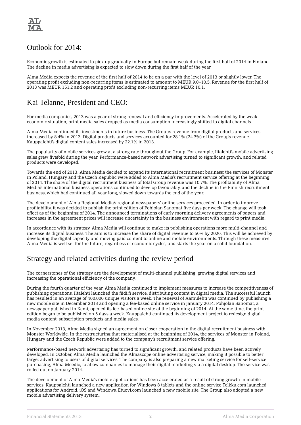

## Outlook for 2014:

Economic growth is estimated to pick up gradually in Europe but remain weak during the first half of 2014 in Finland. The decline in media advertising is expected to slow down during the first half of the year.

Alma Media expects the revenue of the first half of 2014 to be on a par with the level of 2013 or slightly lower. The operating profit excluding non-recurring items is estimated to amount to MEUR 9,0–10,5. Revenue for the first half of 2013 was MEUR 151.2 and operating profit excluding non-recurring items MEUR 10.1.

# Kai Telanne, President and CEO:

For media companies, 2013 was a year of strong renewal and efficiency improvements. Accelerated by the weak economic situation, print media sales dropped as media consumption increasingly shifted to digital channels.

Alma Media continued its investments in future business. The Group's revenue from digital products and services increased by 8.4% in 2013. Digital products and services accounted for 28.1% (24.3%) of the Group's revenue. Kauppalehti's digital content sales increased by 22.1% in 2013.

The popularity of mobile services grew at a strong rate throughout the Group. For example, Iltalehti's mobile advertising sales grew fivefold during the year. Performance-based network advertising turned to significant growth, and related products were developed.

Towards the end of 2013, Alma Media decided to expand its international recruitment business: the services of Monster in Poland, Hungary and the Czech Republic were added to Alma Media's recruitment service offering at the beginning of 2014. The share of the digital recruitment business of total Group revenue was 10.7%. The profitability of Alma Media's international business operations continued to develop favourably, and the decline in the Finnish recruitment business, which had continued all year long, slowed down towards the end of the year.

The development of Alma Regional Media's regional newspapers' online services proceeded. In order to improve profitability, it was decided to publish the print edition of Pohjolan Sanomat five days per week. The change will took effect as of the beginning of 2014. The announced terminations of early morning delivery agreements of papers and increases in the agreement prices will increase uncertainty in the business environment with regard to print media.

In accordance with its strategy, Alma Media will continue to make its publishing operations more multi-channel and increase its digital business. The aim is to increase the share of digital revenue to 50% by 2020. This will be achieved by developing the digital capacity and moving paid content to online and mobile environments. Through these measures Alma Media is well set for the future, regardless of economic cycles, and starts the year on a solid foundation.

# Strategy and related activities during the review period

The cornerstones of the strategy are the development of multi-channel publishing, growing digital services and increasing the operational efficiency of the company.

During the fourth quarter of the year, Alma Media continued to implement measures to increase the competitiveness of publishing operations. Iltalehti launched the fiidi.fi service, distributing content in digital media. The successful launch has resulted in an average of 400,000 unique visitors a week. The renewal of Aamulehti was continued by publishing a new mobile site in December 2013 and opening a fee-based online service in January 2014. Pohjolan Sanomat, a newspaper published in Kemi, opened its fee-based online site at the beginning of 2014. At the same time, the print edition began to be published on 5 days a week. Kauppalehti continued its development project to redesign digital media content, subscription products and media sales.

In November 2013, Alma Media signed an agreement on closer cooperation in the digital recruitment business with Monster Worldwide. In the restructuring that materialised at the beginning of 2014, the services of Monster in Poland, Hungary and the Czech Republic were added to the company's recruitment service offering.

Performance-based network advertising has turned to significant growth, and related products have been actively developed. In October, Alma Media launched the Almascope online advertising service, making it possible to better target advertising to users of digital services. The company is also preparing a new marketing service for self-service purchasing, Alma Meedio, to allow companies to manage their digital marketing via a digital desktop. The service was rolled out on January 2014.

The development of Alma Media's mobile applications has been accelerated as a result of strong growth in mobile services. Kauppalehti launched a new application for Windows 8 tablets and the online service Telkku.com launched applications for Android, iOS and Windows. Etuovi.com launched a new mobile site. The Group also adopted a new mobile advertising delivery system.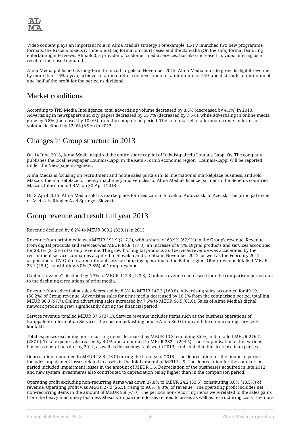

Video content plays an important role in Alma Media's strategy. For example, IL-TV launched two new programme formats: the Rikos & oikeus (Crime & justice) format on court cases and the Sohvalla (On the sofa) format featuring entertaining interviews. Alma360, a provider of customer media services, has also increased its video offering as a result of increased demand.

Alma Media published its long-term financial targets in November 2013. Alma Media aims to grow its digital revenue by more than 15% a year, achieve an annual return on investment of a minimum of 15% and distribute a minimum of one-half of the profit for the period as dividend.

# Market conditions

According to TNS Media Intelligence, total advertising volume decreased by 8.5% (decreased by 4.1%) in 2013. Advertising in newspapers and city papers decreased by 15.7% (decreased by 7.6%), while advertising in online media grew by 5.8% (increased by 10.0%) from the comparison period. The total market of afternoon papers in terms of volume declined by 12.0% (8.9%) in 2013.

# Changes in Group structure in 2013

On 14 June 2013, Alma Media acquired the entire share capital of Julkaisupalvelu Lounais-Lappi Oy. The company publishes the local newspaper Lounais-Lappi in the Kemi-Tornio economic region. Lounais-Lappi will be reported under the Newspapers segment.

Alma Media is focusing on recruitment and home sales portals in its international marketplace business, and sold Mascus, the marketplace for heavy machinery and vehicles, to Alma Media's licence partner in the Benelux countries, Mascus International B.V., on 30 April 2013.

On 3 April 2013, Alma Media sold its marketplace for used cars in Slovakia, Autovia.sk, to Azet.sk. The principal owner of Azet.sk is Ringier Axel Springer Slovakia.

# Group revenue and result full year 2013

Revenue declined by 6.2% to MEUR 300.2 (320.1) in 2013.

Revenue from print media was MEUR 191.9 (217.2), with a share of 63.9% (67.9%) in the Group's revenue. Revenue from digital products and services was MEUR 84.8 (77.8), an increase of 8.4%. Digital products and services accounted for 28.1% (24.3%) of Group revenue. The growth of digital products and services revenue was accelerated by the recruitment service companies acquired in Slovakia and Croatia in November 2012, as well as the February 2012 acquisition of CV Online, a recruitment service company operating in the Baltic region. Other revenue totalled MEUR 23.1 (25.1), constituting 8.0% (7.8%) of Group revenue.

Content revenue\* declined by 5.7% to MEUR 115.3 (122.3). Content revenue decreased from the comparison period due to the declining circulations of print media.

Revenue from advertising sales decreased by 8.3% to MEUR 147.3 (160.8). Advertising sales accounted for 49.1% (50.2%) of Group revenue. Advertising sales for print media decreased by 18.1% from the comparison period, totalling MEUR 80.0 (97.7). Online advertising sales increased by 7.6% to MEUR 66.5 (61.8). Sales of Alma Media's digital network products grew significantly during the financial period.

Service revenue totalled MEUR 37.6 (37.1). Service revenue includes items such as the business operations of Kauppalehti Information Services, the custom publishing house Alma 360 Group and the online dating service Ekontakti.

Total expenses excluding non-recurring items decreased by MEUR 10.3, equalling 3.6%, and totalled MEUR 276.7 (287.0). Total expenses decreased by 4.1% and amounted to MEUR 282.4 (294.5). The reorganisation of the various business operations during 2012, as well as the savings realised in 2013, contributed to the decrease in expenses.

Depreciation amounted to MEUR 18.3 (13.0) during the fiscal year 2013. The depreciation for the financial period includes impairment losses related to assets in the total amount of MEUR 4.9. The depreciation for the comparison period included impairment losses in the amount of MEUR 1.6. Depreciation of the businesses acquired in late 2012 and new system investments also contributed to depreciation being higher than in the comparison period.

Operating profit excluding non-recurring items was down 27.8% to MEUR 24.2 (33.5), constituting 8.0% (10.5%) of revenue. Operating profit was MEUR 27.0 (26.5), rising to 9.0% (8.3%) of revenue. The operating profit includes net non-recurring items in the amount of MEUR 2.8 (-7.0). The period's non-recurring items were related to the sales gains from the heavy machinery business Mascus, impairment losses related to assets as well as restructuring costs. The non-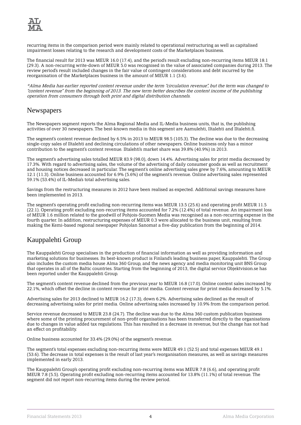

recurring items in the comparison period were mainly related to operational restructuring as well as capitalised impairment losses relating to the research and development costs of the Marketplaces business.

The financial result for 2013 was MEUR 16.0 (17.4), and the period's result excluding non-recurring items MEUR 18.1 (29.3). A non-recurring write-down of MEUR 5.0 was recognised in the value of associated companies during 2013. The review period's result included changes in the fair value of contingent considerations and debt incurred by the reorganisation of the Marketplaces business in the amount of MEUR 1.1 (3.6).

\*Alma Media has earlier reported content revenue under the term "circulation revenue", but the term was changed to "content revenue" from the beginning of 2013. The new term better describes the content income of the publishing operation from consumers through both print and digital distribution channels.

### **Newspapers**

The Newspapers segment reports the Alma Regional Media and IL-Media business units, that is, the publishing activities of over 30 newspapers. The best-known media in this segment are Aamulehti, Iltalehti and Iltalehti.fi.

The segment's content revenue declined by 6.5% in 2013 to MEUR 98.5 (105.3). The decline was due to the decreasing single-copy sales of Iltalehti and declining circulations of other newspapers. Online business only has a minor contribution to the segment's content revenue. Iltalehti's market share was 39.8% (40.9%) in 2013.

The segment's advertising sales totalled MEUR 83.9 (98.0), down 14.4%. Advertising sales for print media decreased by 17.3%. With regard to advertising sales, the volume of the advertising of daily consumer goods as well as recruitment and housing notices decreased in particular. The segment's online advertising sales grew by 7.6%, amounting to MEUR 12.1 (11.3). Online business accounted for 6.9% (5.6%) of the segment's revenue. Online advertising sales represented 59.1% (53.4%) of IL-Media's total advertising sales.

Savings from the restructuring measures in 2012 have been realised as expected. Additional savings measures have been implemented in 2013.

The segment's operating profit excluding non-recurring items was MEUR 13.5 (25.6) and operating profit MEUR 11.5 (22.1). Operating profit excluding non-recurring items accounted for 7.2% (12.4%) of total revenue. An impairment loss of MEUR 1.6 million related to the goodwill of Pohjois-Suomen Media was recognised as a non-recurring expense in the fourth quarter. In addition, restructuring expenses of MEUR 0.3 were allocated to the business unit, resulting from making the Kemi-based regional newspaper Pohjolan Sanomat a five-day publication from the beginning of 2014.

## Kauppalehti Group

The Kauppalehti Group specialises in the production of financial information as well as providing information and marketing solutions for businesses. Its best-known product is Finland's leading business paper, Kauppalehti. The Group also includes the custom media house Alma 360 Group, and the news agency and media monitoring unit BNS Group that operates in all of the Baltic countries. Starting from the beginning of 2013, the digital service Objektvision.se has been reported under the Kauppalehti Group.

The segment's content revenue declined from the previous year to MEUR 16.8 (17.0). Online content sales increased by 22.1%, which offset the decline in content revenue for print media. Content revenue for print media decreased by 5.1%.

Advertising sales for 2013 declined to MEUR 16.2 (17.3), down 6.2%. Advertising sales declined as the result of decreasing advertising sales for print media. Online advertising sales increased by 10.9% from the comparison period.

Service revenue decreased to MEUR 23.8 (24.7). The decline was due to the Alma 360 custom publication business where some of the printing procurement of non-profit organisations has been transferred directly to the organisations due to changes in value added tax regulations. This has resulted in a decrease in revenue, but the change has not had an effect on profitability.

Online business accounted for 33.4% (29.0%) of the segment's revenue.

The segment's total expenses excluding non-recurring items were MEUR 49.1 (52.5) and total expenses MEUR 49.1 (53.6). The decrease in total expenses is the result of last year's reorganisation measures, as well as savings measures implemented in early 2013.

The Kauppalehti Group's operating profit excluding non-recurring items was MEUR 7.8 (6.6), and operating profit MEUR 7.8 (5.5). Operating profit excluding non-recurring items accounted for 13.8% (11.1%) of total revenue. The segment did not report non-recurring items during the review period.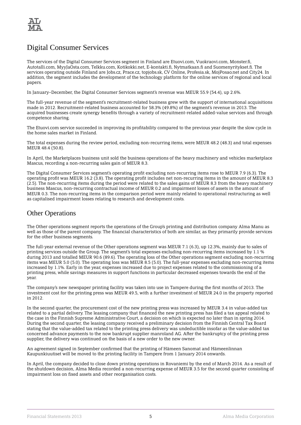

# Digital Consumer Services

The services of the Digital Consumer Services segment in Finland are Etuovi.com, Vuokraovi.com, Monster.fi, Autotalli.com, MyyJaOsta.com, Telkku.com, Kotikokki.net, E-kontakti.fi, Nytmatkaan.fi and Suomenyritykset.fi. The services operating outside Finland are Jobs.cz, Prace.cz, topjobs.sk, CV Online, Profesia.sk, MojPosao.net and City24. In addition, the segment includes the development of the technology platform for the online services of regional and local papers.

In January–December, the Digital Consumer Services segment's revenue was MEUR 55.9 (54.4), up 2.6%.

The full-year revenue of the segment's recruitment-related business grew with the support of international acquisitions made in 2012. Recruitment-related business accounted for 58.3% (49.8%) of the segment's revenue in 2013. The acquired businesses create synergy benefits through a variety of recruitment-related added-value services and through competence sharing.

The Etuovi.com service succeeded in improving its profitability compared to the previous year despite the slow cycle in the home sales market in Finland.

The total expenses during the review period, excluding non-recurring items, were MEUR 48.2 (48.3) and total expenses MEUR 48.4 (50.8).

In April, the Marketplaces business unit sold the business operations of the heavy machinery and vehicles marketplace Mascus, recording a non-recurring sales gain of MEUR 8.3.

The Digital Consumer Services segment's operating profit excluding non-recurring items rose to MEUR 7.9 (6.3). The operating profit was MEUR 16.2 (3.8). The operating profit includes net non-recurring items in the amount of MEUR 8.3 (2.5). The non-recurring items during the period were related to the sales gains of MEUR 8.3 from the heavy machinery business Mascus, non-recurring contractual income of MEUR 0.2 and impairment losses of assets in the amount of MEUR 0.3. The non-recurring items in the comparison period were mainly related to operational restructuring as well as capitalised impairment losses relating to research and development costs.

### Other Operations

The Other operations segment reports the operations of the Group's printing and distribution company Alma Manu as well as those of the parent company. The financial characteristics of both are similar, as they primarily provide services for the other business segments.

The full-year external revenue of the Other operations segment was MEUR 7.1 (6.3), up 12.3%, mainly due to sales of printing services outside the Group. The segment's total expenses excluding non-recurring items increased by 1.1 % during 2013 and totalled MEUR 90.6 (89.6). The operating loss of the Other operations segment excluding non-recurring items was MEUR 5.0 (5.0). The operating loss was MEUR 8.5 (5.0). The full-year expenses excluding non-recurring items increased by 1.1%. Early in the year, expenses increased due to project expenses related to the commissioning of a printing press, while savings measures in support functions in particular decreased expenses towards the end of the year.

The company's new newspaper printing facility was taken into use in Tampere during the first months of 2013. The investment cost for the printing press was MEUR 49.5, with a further investment of MEUR 24.0 in the property reported in 2012.

In the second quarter, the procurement cost of the new printing press was increased by MEUR 3.4 in value-added tax related to a partial delivery. The leasing company that financed the new printing press has filed a tax appeal related to the case in the Finnish Supreme Administrative Court, a decision on which is expected no later than in spring 2014. During the second quarter, the leasing company received a preliminary decision from the Finnish Central Tax Board stating that the value-added tax related to the printing press delivery was undeductible insofar as the value-added tax concerned advance payments to the now bankrupt supplier manroland AG. After the bankruptcy of the printing press supplier, the delivery was continued on the basis of a new order to the new owner.

An agreement signed in September confirmed that the printing of Hämeen Sanomat and Hämeenlinnan Kaupunkiuutiset will be moved to the printing facility in Tampere from 1 January 2014 onwards.

In April, the company decided to close down printing operations in Rovaniemi by the end of March 2014. As a result of the shutdown decision, Alma Media recorded a non-recurring expense of MEUR 3.5 for the second quarter consisting of impairment loss on fixed assets and other reorganisation costs.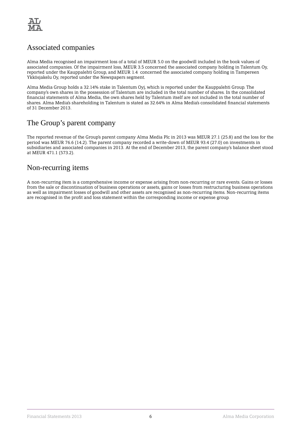

# Associated companies

Alma Media recognised an impairment loss of a total of MEUR 5.0 on the goodwill included in the book values of associated companies. Of the impairment loss, MEUR 3.5 concerned the associated company holding in Talentum Oy, reported under the Kauppalehti Group, and MEUR 1.4 concerned the associated company holding in Tampereen Ykkösjakelu Oy, reported under the Newspapers segment.

Alma Media Group holds a 32.14% stake in Talentum Oyj, which is reported under the Kauppalehti Group. The company's own shares in the possession of Talentum are included in the total number of shares. In the consolidated financial statements of Alma Media, the own shares held by Talentum itself are not included in the total number of shares. Alma Media's shareholding in Talentum is stated as 32.64% in Alma Media's consolidated financial statements of 31 December 2013.

# The Group's parent company

The reported revenue of the Group's parent company Alma Media Plc in 2013 was MEUR 27.1 (25.8) and the loss for the period was MEUR 76.6 (14.2). The parent company recorded a write-down of MEUR 93.4 (27.0) on investments in subsidiaries and associated companies in 2013. At the end of December 2013, the parent company's balance sheet stood at MEUR 471.1 (573.2).

## Non-recurring items

A non-recurring item is a comprehensive income or expense arising from non-recurring or rare events. Gains or losses from the sale or discontinuation of business operations or assets, gains or losses from restructuring business operations as well as impairment losses of goodwill and other assets are recognised as non-recurring items. Non-recurring items are recognised in the profit and loss statement within the corresponding income or expense group.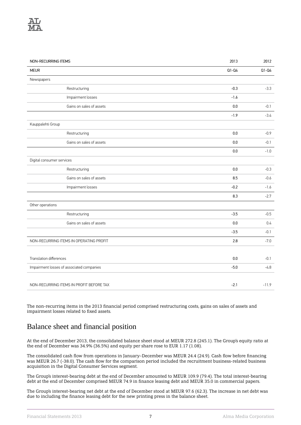

| NON-RECURRING ITEMS                       | 2013    | 2012    |
|-------------------------------------------|---------|---------|
| <b>MEUR</b>                               | $Q1-Q4$ | $Q1-Q4$ |
| Newspapers                                |         |         |
| Restructuring                             | $-0.3$  | $-3.3$  |
| Impairment losses                         | $-1.6$  |         |
| Gains on sales of assets                  | 0.0     | $-0.1$  |
|                                           | $-1.9$  | $-3.4$  |
| Kauppalehti Group                         |         |         |
| Restructuring                             | 0.0     | $-0.9$  |
| Gains on sales of assets                  | 0.0     | $-0.1$  |
|                                           | $0.0\,$ | $-1.0$  |
| Digital consumer services                 |         |         |
| Restructuring                             | 0.0     | $-0.3$  |
| Gains on sales of assets                  | 8.5     | $-0.6$  |
| Impairment losses                         | $-0.2$  | $-1.6$  |
|                                           | 8.3     | $-2.7$  |
| Other operations                          |         |         |
| Restructuring                             | $-3.5$  | $-0.5$  |
| Gains on sales of assets                  | $0.0\,$ | 0.4     |
|                                           | $-3.5$  | $-0.1$  |
| NON-RECURRING ITEMS IN OPERATING PROFIT   | 2.8     | $-7.0$  |
|                                           |         |         |
| <b>Translation differences</b>            | 0.0     | $-0.1$  |
| Impairment losses of associated companies | $-5.0$  | $-4.8$  |
|                                           |         |         |
| NON-RECURRING ITEMS IN PROFIT BEFORE TAX  | $-2.1$  | $-11.9$ |

The non-recurring items in the 2013 financial period comprised restructuring costs, gains on sales of assets and impairment losses related to fixed assets.

# Balance sheet and financial position

At the end of December 2013, the consolidated balance sheet stood at MEUR 272.8 (245.1). The Group's equity ratio at the end of December was 34.9% (36.5%) and equity per share rose to EUR 1.17 (1.08).

The consolidated cash flow from operations in January–December was MEUR 24.4 (24.9). Cash flow before financing was MEUR 26.7 (-38.0). The cash flow for the comparison period included the recruitment business-related business acquisition in the Digital Consumer Services segment.

The Group's interest-bearing debt at the end of December amounted to MEUR 109.9 (79.4). The total interest-bearing debt at the end of December comprised MEUR 74.9 in finance leasing debt and MEUR 35.0 in commercial papers.

The Group's interest-bearing net debt at the end of December stood at MEUR 97.6 (62.3). The increase in net debt was due to including the finance leasing debt for the new printing press in the balance sheet.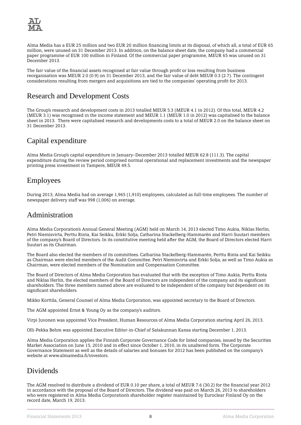

Alma Media has a EUR 25 million and two EUR 20 million financing limits at its disposal, of which all, a total of EUR 65 million, were unused on 31 December 2013. In addition, on the balance sheet date, the company had a commercial paper programme of EUR 100 million in Finland. Of the commercial paper programme, MEUR 65 was unused on 31 December 2013.

The fair value of the financial assets recognised at fair value through profit or loss resulting from business reorganisation was MEUR 2.0 (0.9) on 31 December 2013, and the fair value of debt MEUR 0.3 (2.7). The contingent considerations resulting from mergers and acquisitions are tied to the companies' operating profit for 2013.

# Research and Development Costs

The Group's research and development costs in 2013 totalled MEUR 5.3 (MEUR 4.1 in 2012). Of this total, MEUR 4.2 (MEUR 3.1) was recognised in the income statement and MEUR 1.1 (MEUR 1.0 in 2012) was capitalised to the balance sheet in 2013. There were capitalised research and developments costs to a total of MEUR 2.0 on the balance sheet on 31 December 2013.

# Capital expenditure

Alma Media Group's capital expenditure in January–December 2013 totalled MEUR 62.8 (111.3). The capital expenditure during the review period comprised normal operational and replacement investments and the newspaper printing press investment in Tampere, MEUR 49.5.

# Employees

During 2013, Alma Media had on average 1,965 (1,910) employees, calculated as full-time employees. The number of newspaper delivery staff was 998 (1,006) on average.

# Administration

Alma Media Corporation's Annual General Meeting (AGM) held on March 14, 2013 elected Timo Aukia, Niklas Herlin, Petri Niemisvirta, Perttu Rinta, Kai Seikku, Erkki Solja, Catharina Stackelberg-Hammarén and Harri Suutari members of the company's Board of Directors. In its constitutive meeting held after the AGM, the Board of Directors elected Harri Suutari as its Chairman.

The Board also elected the members of its committees. Catharina Stackelberg-Hammarén, Perttu Rinta and Kai Seikku as Chairman were elected members of the Audit Committee. Petri Niemisvirta and Erkki Solja, as well as Timo Aukia as Chairman, were elected members of the Nomination and Compensation Committee.

The Board of Directors of Alma Media Corporation has evaluated that with the exception of Timo Aukia, Perttu Rinta and Niklas Herlin, the elected members of the Board of Directors are independent of the company and its significant shareholders. The three members named above are evaluated to be independent of the company but dependent on its significant shareholders.

Mikko Korttila, General Counsel of Alma Media Corporation, was appointed secretary to the Board of Directors.

The AGM appointed Ernst & Young Oy as the company's auditors.

Virpi Juvonen was appointed Vice President, Human Resources of Alma Media Corporation starting April 26, 2013.

Olli-Pekka Behm was appointed Executive Editor-in-Chief of Satakunnan Kansa starting December 1, 2013.

Alma Media Corporation applies the Finnish Corporate Governance Code for listed companies, issued by the Securities Market Association on June 15, 2010 and in effect since October 1, 2010, in its unaltered form. The Corporate Governance Statement as well as the details of salaries and bonuses for 2012 has been published on the company's website at www.almamedia.fi/investors.

# **Dividends**

The AGM resolved to distribute a dividend of EUR 0.10 per share, a total of MEUR 7.6 (30.2) for the financial year 2012 in accordance with the proposal of the Board of Directors. The dividend was paid on March 26, 2013 to shareholders who were registered in Alma Media Corporation's shareholder register maintained by Euroclear Finland Oy on the record date, March 19, 2013.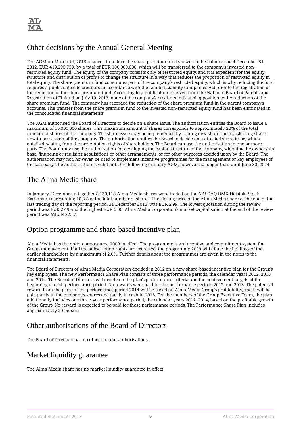

# Other decisions by the Annual General Meeting

The AGM on March 14, 2013 resolved to reduce the share premium fund shown on the balance sheet December 31, 2012, EUR 419,295,759, by a total of EUR 100,000,000, which will be transferred to the company's invested nonrestricted equity fund. The equity of the company consists only of restricted equity, and it is expedient for the equity structure and distribution of profits to change the structure in a way that reduces the proportion of restricted equity in total equity. The share premium fund constitutes part of the company's restricted equity, which is why reducing the fund requires a public notice to creditors in accordance with the Limited Liability Companies Act prior to the registration of the reduction of the share premium fund. According to a notification received from the National Board of Patents and Registration of Finland on July 19, 2013, none of the company's creditors indicated opposition to the reduction of the share premium fund. The company has recorded the reduction of the share premium fund in the parent company's accounts. The transfer from the share premium fund to the invested non-restricted equity fund has been eliminated in the consolidated financial statements.

The AGM authorised the Board of Directors to decide on a share issue. The authorisation entitles the Board to issue a maximum of 15,000,000 shares. This maximum amount of shares corresponds to approximately 20% of the total number of shares of the company. The share issue may be implemented by issuing new shares or transferring shares now in possession of the company. The authorisation entitles the Board to decide on a directed share issue, which entails deviating from the pre-emption rights of shareholders. The Board can use the authorisation in one or more parts. The Board may use the authorisation for developing the capital structure of the company, widening the ownership base, financing or realising acquisitions or other arrangements, or for other purposes decided upon by the Board. The authorisation may not, however, be used to implement incentive programmes for the management or key employees of the company. The authorisation is valid until the following ordinary AGM, however no longer than until June 30, 2014.

## The Alma Media share

In January–December, altogether 8,130,118 Alma Media shares were traded on the NASDAQ OMX Helsinki Stock Exchange, representing 10.8% of the total number of shares. The closing price of the Alma Media share at the end of the last trading day of the reporting period, 31 December 2013, was EUR 2.99. The lowest quotation during the review period was EUR 2.49 and the highest EUR 5.00. Alma Media Corporation's market capitalisation at the end of the review period was MEUR 225.7.

# Option programme and share-based incentive plan

Alma Media has the option programme 2009 in effect. The programme is an incentive and commitment system for Group management. If all the subscription rights are exercised, the programme 2009 will dilute the holdings of the earlier shareholders by a maximum of 2.0%. Further details about the programmes are given in the notes to the financial statements.

The Board of Directors of Alma Media Corporation decided in 2012 on a new share-based incentive plan for the Group's key employees. The new Performance Share Plan consists of three performance periods, the calendar years 2012, 2013 and 2014. The Board of Directors will decide on the plan's performance criteria and the achievement targets at the beginning of each performance period. No rewards were paid for the performance periods 2012 and 2013. The potential reward from the plan for the performance period 2014 will be based on Alma Media Group's profitability, and it will be paid partly in the company's shares and partly in cash in 2015. For the members of the Group Executive Team, the plan additionally includes one three-year performance period, the calendar years 2012–2014, based on the profitable growth of the Group. No reward is expected to be paid for these performance periods. The Performance Share Plan includes approximately 20 persons.

# Other authorisations of the Board of Directors

The Board of Directors has no other current authorisations.

# Market liquidity guarantee

The Alma Media share has no market liquidity guarantee in effect.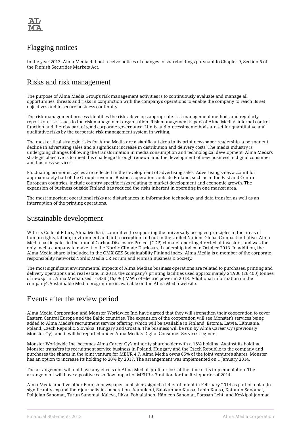

# Flagging notices

In the year 2013, Alma Media did not receive notices of changes in shareholdings pursuant to Chapter 9, Section 5 of the Finnish Securities Markets Act.

## Risks and risk management

The purpose of Alma Media Group's risk management activities is to continuously evaluate and manage all opportunities, threats and risks in conjunction with the company's operations to enable the company to reach its set objectives and to secure business continuity.

The risk management process identifies the risks, develops appropriate risk management methods and regularly reports on risk issues to the risk management organisation. Risk management is part of Alma Media's internal control function and thereby part of good corporate governance. Limits and processing methods are set for quantitative and qualitative risks by the corporate risk management system in writing.

The most critical strategic risks for Alma Media are a significant drop in its print newspaper readership, a permanent decline in advertising sales and a significant increase in distribution and delivery costs. The media industry is undergoing changes following the transformation in media consumption and technological development. Alma Media's strategic objective is to meet this challenge through renewal and the development of new business in digital consumer and business services.

Fluctuating economic cycles are reflected in the development of advertising sales. Advertising sales account for approximately half of the Group's revenue. Business operations outside Finland, such as in the East and Central European countries, include country-specific risks relating to market development and economic growth. The expansion of business outside Finland has reduced the risks inherent in operating in one market area.

The most important operational risks are disturbances in information technology and data transfer, as well as an interruption of the printing operations.

# Sustainable development

With its Code of Ethics, Alma Media is committed to supporting the universally accepted principles in the areas of human rights, labour, environment and anti-corruption laid out in the United Nations Global Compact initiative. Alma Media participates in the annual Carbon Disclosure Project (CDP) climate reporting directed at investors, and was the only media company to make it to the Nordic Climate Disclosure Leadership index in October 2013. In addition, the Alma Media share is included in the OMX GES Sustainability Finland index. Alma Media is a member of the corporate responsibility networks Nordic Media CR Forum and Finnish Business & Society.

The most significant environmental impacts of Alma Media's business operations are related to purchases, printing and delivery operations and real estate. In 2013, the company's printing facilities used approximately 24,900 (26,400) tonnes of newsprint. Alma Media used 16,333 (16,696) MWh of electric power in 2013. Additional information on the company's Sustainable Media programme is available on the Alma Media website.

# Events after the review period

Alma Media Corporation and Monster Worldwice Inc. have agreed that they will strengthen their cooperation to cover Eastern Central Europe and the Baltic countries. The expansion of the cooperation will see Monster's services being added to Alma Media's recruitment service offering, which will be available in Finland, Estonia, Latvia, Lithuania, Poland, Czech Republic, Slovakia, Hungary and Croatia. The business will be run by Alma Career Oy (previously Monster Oy), and it will be reported under Alma Media's Digital Consumer Services segment.

Monster Worldwide Inc. becomes Alma Career Oy's minority shareholder with a 15% holding. Against its holding, Monster transfers its recruitment service business in Poland, Hungary and the Czech Republic to the company and purchases the shares in the joint venture for MEUR 4.7. Alma Media owns 85% of the joint venture's shares. Monster has an option to increase its holding to 20% by 2017. The arrangement was implemented on 1 January 2014.

The arrangement will not have any effects on Alma Media's profit or loss at the time of its implementation. The arrangement will have a positive cash flow impact of MEUR 4.7 million for the first quarter of 2014.

Alma Media and five other Finnish newspaper publishers signed a letter of intent in February 2014 as part of a plan to significantly expand their journalistic cooperation. Aamulehti, Satakunnan Kansa, Lapin Kansa, Kainuun Sanomat, Pohjolan Sanomat, Turun Sanomat, Kaleva, Ilkka, Pohjalainen, Hämeen Sanomat, Forssan Lehti and Keskipohjanmaa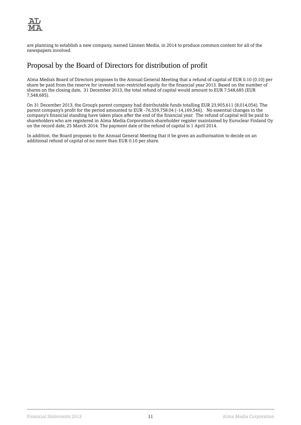

are planning to establish a new company, named Lännen Media, in 2014 to produce common content for all of the newspapers involved.

# Proposal by the Board of Directors for distribution of profit

Alma Media's Board of Directors proposes to the Annual General Meeting that a refund of capital of EUR 0.10 (0.10) per share be paid from the reserve for invested non-restricted equity for the financial year 2013. Based on the number of shares on the closing date, 31 December 2013, the total refund of capital would amount to EUR 7,548,685 (EUR 7,548,685).

On 31 December 2013, the Group's parent company had distributable funds totalling EUR 23,905,611 (8,014,054). The parent company's profit for the period amounted to EUR -76,559,758.04 (-14,169,546). No essential changes in the company's financial standing have taken place after the end of the financial year. The refund of capital will be paid to shareholders who are registered in Alma Media Corporation's shareholder register maintained by Euroclear Finland Oy on the record date, 25 March 2014. The payment date of the refund of capital is 1 April 2014.

In addition, the Board proposes to the Annual General Meeting that it be given an authorisation to decide on an additional refund of capital of no more than EUR 0.10 per share.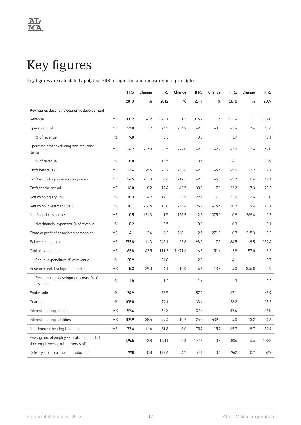# <span id="page-13-0"></span>Key figures

Key figures are calculated applying IFRS recognition and measurement principles.

|                                                                                       |    | <b>IFRS</b> | Change   | <b>IFRS</b> | Change   | <b>IFRS</b> | Change   | <b>IFRS</b> | Change   | <b>IFRS</b> |
|---------------------------------------------------------------------------------------|----|-------------|----------|-------------|----------|-------------|----------|-------------|----------|-------------|
|                                                                                       |    | 2013        | %        | 2012        | %        | 2011        | %        | 2010        | %        | 2009        |
| Key figures describing economic development                                           |    |             |          |             |          |             |          |             |          |             |
| Revenue                                                                               | M€ | 300.2       | $-6.2$   | 320.1       | 1.2      | 316.2       | 1.6      | 311.4       | 1.1      | 307.8       |
| Operating profit                                                                      | M€ | 27.0        | 1.9      | 26.5        | $-36.9$  | 42.0        | $-3.3$   | 43.4        | 7.4      | 40.4        |
| % of revenue                                                                          | %  | 9.0         |          | 8.3         |          | 13.3        |          | 13.9        |          | 13.1        |
| Operating profit excluding non-recurring<br>items                                     | M€ | 24.2        | $-27.8$  | 33.5        | $-22.0$  | 42.9        | $-2.2$   | 43.9        | 2.6      | 42.8        |
| % of revenue                                                                          | %  | 8.0         |          | 10.5        |          | 13.6        |          | 14.1        |          | 13.9        |
| Profit before tax                                                                     | М€ | 22.4        | $-5.4$   | 23.7        | -43.6    | 42.0        | -6.6     | 45.0        | 13.2     | 39.7        |
| Profit excluding non-recurring items                                                  | М€ | 24.5        | $-31.0$  | 35.6        | $-17.1$  | 42.9        | $-6.0$   | 45.7        | 8.4      | 42.1        |
| Profit for the period                                                                 | М€ | 16.0        | $-8.2$   | 17.4        | $-43.5$  | 30.8        | $-7.1$   | 33.2        | 17.3     | 28.3        |
| Return on equity (ROE)                                                                | %  | 18.3        | -4.9     | 19.3        | $-33.9$  | 29.1        | $-7.9$   | 31.6        | 2.6      | 30.8        |
| Return on investment (ROI)                                                            | %  | 10.1        | $-26.6$  | 13.8        | $-46.4$  | 25.7        | $-16.4$  | 30.7        | 9.4      | 28.1        |
| Net financial expenses                                                                | M€ | 0.5         | $-131.3$ | $-1.5$      | $-158.5$ | 2.5         | $-375.1$ | $-0.9$      | $-369.4$ | 0.3         |
| Net financial expenses, % of revenue                                                  | %  | 0.2         |          | $-0.5$      |          | 0.8         |          | $-0.3$      |          | 0.1         |
| Share of profit of associated companies                                               | M€ | -4.1        | $-3.4$   | $-4.3$      | $-268.1$ | 2.5         | 271.3    | 0.7         | $-315.3$ | $-0.3$      |
| Balance sheet total                                                                   | M€ | 272.8       | 11.3     | 245.1       | 23.8     | 198.0       | 7.3      | 184.5       | 19.5     | 154.4       |
| Capital expenditure                                                                   | M€ | 62.8        | $-43.5$  | 111.3       | 1,671.6  | 6.3         | $-51.4$  | 12.9        | 57.0     | 8.2         |
| Capital expenditure, % of revenue                                                     | %  | 20.9        |          | 34.8        |          | 2.0         |          | 4.1         |          | 2.7         |
| Research and development costs                                                        | M€ | 5.3         | 29.0     | 4.1         | $-10.0$  | 4.6         | 13.6     | 4.0         | 346.8    | 0.9         |
| Research and development costs, % of<br>revenue                                       | %  | 1.8         |          | 1.3         |          | 1.4         |          | 1.3         |          | 0.3         |
| Equity ratio                                                                          | %  | 34.9        |          | 36.5        |          | 57.0        |          | 67.1        |          | 66.9        |
| Gearing                                                                               | %  | 108.0       |          | 74.1        |          | $-33.4$     |          | $-28.2$     |          | $-17.3$     |
| Interest-bearing net debt                                                             | М€ | 97.6        |          | 62.3        |          | $-32.3$     |          | $-32.4$     |          | $-16.5$     |
| Interest-bearing liabilities                                                          | M€ | 109.9       | 38.5     | 79.4        | 210.9    | 25.5        | 539.0    | 4.0         | $-13.2$  | 4.6         |
| Non-interest-bearing liabilities                                                      | M€ | 72.4        | $-11.4$  | 81.8        | 8.0      | 75.7        | 15.2     | 65.7        | 19.7     | 54.9        |
| Average no. of employees, calculated as full-<br>time employees, excl. delivery staff |    | 1,965       | 2.8      | 1,911       | 5.3      | 1,816       | 0.6      | 1,806       | $-4.4$   | 1,888       |
| Delivery staff total (no. of employees)                                               |    | 998         | $-0.8$   | 1,006       | 4.7      | 961         | $-0.1$   | 962         | $-0.7$   | 969         |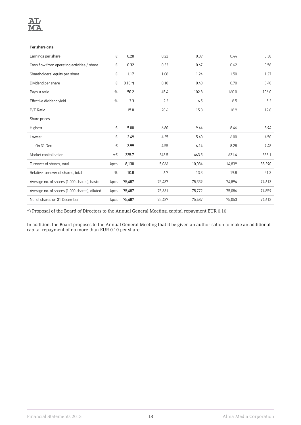

#### Per share data

| Earnings per share                            | €    | 0.20    | 0.22   | 0.39   | 0.44   | 0.38   |
|-----------------------------------------------|------|---------|--------|--------|--------|--------|
| Cash flow from operating activities / share   | €    | 0.32    | 0.33   | 0.67   | 0.62   | 0.58   |
| Shareholders' equity per share                | €    | 1.17    | 1.08   | 1.24   | 1.50   | 1.27   |
| Dividend per share                            | €    | $0,10*$ | 0.10   | 0.40   | 0.70   | 0.40   |
| Payout ratio                                  | %    | 50.2    | 45.4   | 102.8  | 160.0  | 106.0  |
| Effective dividend yield                      | %    | 3.3     | 2.2    | 6.5    | 8.5    | 5.3    |
| P/E Ratio                                     |      | 15.0    | 20.6   | 15.8   | 18.9   | 19.8   |
| Share prices                                  |      |         |        |        |        |        |
| Highest                                       | €    | 5.00    | 6.80   | 9.44   | 8.46   | 8.94   |
| Lowest                                        | €    | 2.49    | 4.35   | 5.40   | 6.00   | 4.50   |
| On 31 Dec                                     | €    | 2.99    | 4.55   | 6.14   | 8.28   | 7.48   |
| Market capitalisation                         | M€   | 225.7   | 343.5  | 463.5  | 621.4  | 558.1  |
| Turnover of shares, total                     | kpcs | 8,130   | 5,066  | 10,034 | 14,839 | 38,290 |
| Relative turnover of shares, total            | %    | 10.8    | 6.7    | 13.3   | 19.8   | 51.3   |
| Average no. of shares (1,000 shares), basic   | kpcs | 75,487  | 75,487 | 75,339 | 74,894 | 74,613 |
| Average no. of shares (1,000 shares), diluted | kpcs | 75,487  | 75,661 | 75,772 | 75,086 | 74,859 |
| No. of shares on 31 December                  | kpcs | 75,487  | 75,487 | 75,487 | 75,053 | 74,613 |
|                                               |      |         |        |        |        |        |

\*) Proposal of the Board of Directors to the Annual General Meeting, capital repayment EUR 0.10

In addition, the Board proposes to the Annual General Meeting that it be given an authorisation to make an additional capital repayment of no more than EUR 0.10 per share.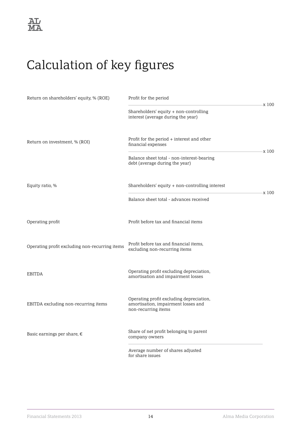# <span id="page-15-0"></span>Calculation of key figures

| Return on shareholders' equity, % (ROE)        | Profit for the period<br>x 100                                                                         |  |
|------------------------------------------------|--------------------------------------------------------------------------------------------------------|--|
|                                                | Shareholders' equity + non-controlling<br>interest (average during the year)                           |  |
| Return on investment, % (ROI)                  | Profit for the period + interest and other<br>financial expenses<br>x 100                              |  |
|                                                | Balance sheet total - non-interest-bearing<br>debt (average during the year)                           |  |
| Equity ratio, %                                | Shareholders' equity + non-controlling interest<br>x 100                                               |  |
|                                                | Balance sheet total - advances received                                                                |  |
| Operating profit                               | Profit before tax and financial items                                                                  |  |
| Operating profit excluding non-recurring items | Profit before tax and financial items,<br>excluding non-recurring items                                |  |
| <b>EBITDA</b>                                  | Operating profit excluding depreciation,<br>amortisation and impairment losses                         |  |
| EBITDA excluding non-recurring items           | Operating profit excluding depreciation,<br>amortisation, impairment losses and<br>non-recurring items |  |
| Basic earnings per share, $\epsilon$           | Share of net profit belonging to parent<br>company owners                                              |  |
|                                                | Average number of shares adjusted<br>for share issues                                                  |  |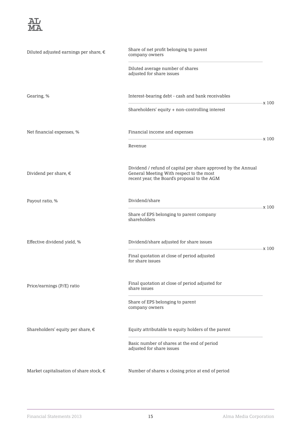

| Diluted adjusted earnings per share, €  | Share of net profit belonging to parent<br>company owners                                                                                                 |       |
|-----------------------------------------|-----------------------------------------------------------------------------------------------------------------------------------------------------------|-------|
|                                         | Diluted average number of shares<br>adjusted for share issues                                                                                             |       |
| Gearing, %                              | Interest-bearing debt - cash and bank receivables                                                                                                         | x100  |
|                                         | Shareholders' equity + non-controlling interest                                                                                                           |       |
| Net financial expenses, %               | Financial income and expenses                                                                                                                             | x 100 |
|                                         | Revenue                                                                                                                                                   |       |
| Dividend per share, $\epsilon$          | Dividend / refund of capital per share approved by the Annual<br>General Meeting With respect to the most<br>recent year, the Board's proposal to the AGM |       |
| Payout ratio, %                         | Dividend/share                                                                                                                                            | x 100 |
|                                         | Share of EPS belonging to parent company<br>shareholders                                                                                                  |       |
| Effective dividend yield, %             | Dividend/share adjusted for share issues                                                                                                                  | x 100 |
|                                         | Final quotation at close of period adjusted<br>for share issues                                                                                           |       |
| Price/earnings (P/E) ratio              | Final quotation at close of period adjusted for<br>share issues                                                                                           |       |
|                                         | Share of EPS belonging to parent<br>company owners                                                                                                        |       |
| Shareholders' equity per share, €       | Equity attributable to equity holders of the parent                                                                                                       |       |
|                                         | Basic number of shares at the end of period<br>adjusted for share issues                                                                                  |       |
| Market capitalisation of share stock, € | Number of shares x closing price at end of period                                                                                                         |       |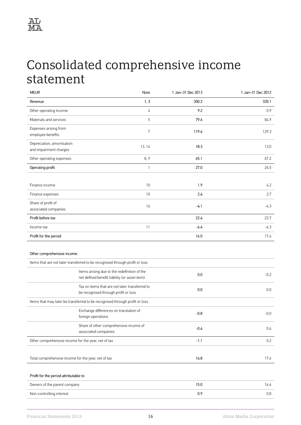

# <span id="page-17-0"></span>Consolidated comprehensive income statement

| <b>MEUR</b>                                          | Note                                                                                          | 1 Jan-31 Dec 2013 | 1 Jan-31 Dec 2012 |
|------------------------------------------------------|-----------------------------------------------------------------------------------------------|-------------------|-------------------|
| Revenue                                              | 1, 3                                                                                          | 300.2             | 320.1             |
| Other operating income                               | 4                                                                                             | 9.2               | 0.9               |
| Materials and services                               | 5                                                                                             | 79.6              | 84.9              |
| Expenses arising from<br>employee benefits           | 7                                                                                             | 119.4             | 129.3             |
| Depreciation, amortisation<br>and impairment charges | 13, 14                                                                                        | 18.3              | 13.0              |
| Other operating expenses                             | 8, 9                                                                                          | 65.1              | 67.2              |
| Operating profit                                     | $\mathbf{1}$                                                                                  | 27.0              | 26.5              |
|                                                      |                                                                                               |                   |                   |
| Finance income                                       | 10                                                                                            | 1.9               | 4.2               |
| Finance expenses                                     | 10                                                                                            | 2.4               | 2.7               |
| Share of profit of<br>associated companies           | 16                                                                                            | $-4.1$            | $-4.3$            |
| Profit before tax                                    |                                                                                               | 22.4              | 23.7              |
| Income tax                                           | 11                                                                                            | $-6.4$            | $-6.3$            |
| Profit for the period                                |                                                                                               | 16.0              | 17.4              |
| Other comprehensive income                           |                                                                                               |                   |                   |
|                                                      | Items that are not later transferred to be recognised through profit or loss                  |                   |                   |
|                                                      | Items arising due to the redefinition of the<br>net defined benefit liability (or asset item) | 0.0               | $-0.2$            |
|                                                      | Tax on items that are not later transferred to<br>be recognised through profit or loss        | $0.0\,$           | 0.0               |
|                                                      | Items that may later be transferred to be recognised through profit or loss                   |                   |                   |
|                                                      | Exchange differences on translation of<br>foreign operations                                  | $-0.8$            | $-0.0$            |
|                                                      | Share of other comprehensive income of<br>associated companies                                | $-0.4$            | 0.4               |
| Other comprehensive income for the year, net of tax  |                                                                                               | $-1.1$            | 0.2               |
|                                                      |                                                                                               |                   |                   |
| Total comprehensive income for the year, net of tax  |                                                                                               | 14.8              | 17.6              |
|                                                      |                                                                                               |                   |                   |
| Profit for the period attributable to                |                                                                                               |                   |                   |
| Owners of the parent company                         |                                                                                               | 15.0              | 16.6              |
| Non-controlling interest                             |                                                                                               | $0.9\,$           | 0.8               |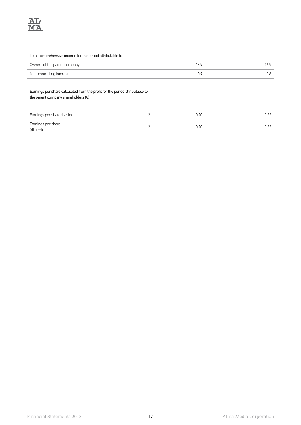### Total comprehensive income for the period attributable to

| Owners of the parent company |  |
|------------------------------|--|
| Non-controlling interest     |  |

### Earnings per share calculated from the profit for the period attributable to

the parent company shareholders (€)

| Earnings per share (basic)      | 0.20 | በ 22 |
|---------------------------------|------|------|
| Earnings per share<br>(diluted) | 0.20 | በ 22 |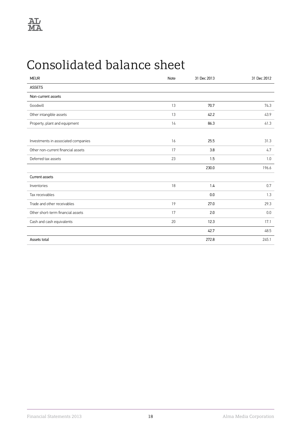# <span id="page-19-0"></span>Consolidated balance sheet

| <b>MEUR</b>                         | Note | 31 Dec 2013 | 31 Dec 2012 |
|-------------------------------------|------|-------------|-------------|
| <b>ASSETS</b>                       |      |             |             |
| Non-current assets                  |      |             |             |
| Goodwill                            | 13   | 70.7        | 74.3        |
| Other intangible assets             | 13   | 42.2        | 43.9        |
| Property, plant and equipment       | 14   | 86.3        | 41.3        |
|                                     |      |             |             |
| Investments in associated companies | 16   | 25.5        | 31.3        |
| Other non-current financial assets  | 17   | 3.8         | 4.7         |
| Deferred tax assets                 | 23   | 1.5         | 1.0         |
|                                     |      | 230.0       | 196.6       |
| Current assets                      |      |             |             |
| Inventories                         | 18   | 1.4         | 0.7         |
| Tax receivables                     |      | 0.0         | 1.3         |
| Trade and other receivables         | 19   | 27.0        | 29.3        |
| Other short-term financial assets   | 17   | 2.0         | 0.0         |
| Cash and cash equivalents           | 20   | 12.3        | 17.1        |
|                                     |      | 42.7        | 48.5        |
| Assets total                        |      | 272.8       | 245.1       |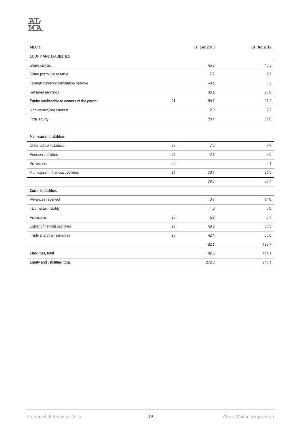

| <b>MEUR</b>                                 |    | 31 Dec 2013 | 31 Dec 2012 |
|---------------------------------------------|----|-------------|-------------|
| <b>EQUITY AND LIABILITIES</b>               |    |             |             |
| Share capital                               |    | 45.3        | 45.3        |
| Share premium reserve                       |    | 7.7         | 7.7         |
| Foreign currency translation reserve        |    | $-0.6$      | 0.2         |
| Retained earnings                           |    | 35.6        | 28.0        |
| Equity attributable to owners of the parent | 21 | 88.1        | 81.3        |
| Non-controlling interest                    |    | 2.3         | 2.7         |
| Total equity                                |    | 90.4        | 84.0        |
|                                             |    |             |             |
| Non-current liabilities                     |    |             |             |
| Deferred tax liabilities                    | 23 | 7.0         | 7.9         |
| Pension liabilities                         | 24 | 2.6         | 3.0         |
| Provisions                                  | 25 |             | 0.1         |
| Non-current financial liabilities           | 26 | 70.1        | 26.5        |
|                                             |    | 79.7        | 37.4        |
| <b>Current liabilities</b>                  |    |             |             |
| Advances received                           |    | 13.7        | 14.8        |
| Income tax liability                        |    | 1.5         | 0.0         |
| Provisions                                  | 25 | 4.2         | 0.4         |
| Current financial liabilities               | 26 | 40.8        | 55.5        |
| Trade and other payables                    | 28 | 42.4        | 53.0        |
|                                             |    | 102.6       | 123.7       |
| Liabilities, total                          |    | 182.3       | 161.1       |
| Equity and liabilities, total               |    | 272.8       | 245.1       |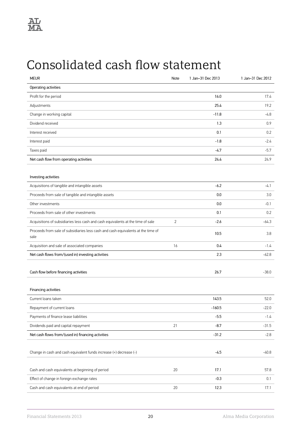

# <span id="page-21-0"></span>Consolidated cash flow statement

| <b>MEUR</b>                                                                              | Note           | 1 Jan-31 Dec 2013 | 1 Jan-31 Dec 2012 |
|------------------------------------------------------------------------------------------|----------------|-------------------|-------------------|
| Operating activities                                                                     |                |                   |                   |
| Profit for the period                                                                    |                | 16.0              | 17.4              |
| Adjustments                                                                              |                | 25.4              | 19.2              |
| Change in working capital                                                                |                | $-11.8$           | -4.8              |
| Dividend received                                                                        |                | 1.3               | 0.9               |
| Interest received                                                                        |                | 0.1               | 0.2               |
| Interest paid                                                                            |                | $-1.8$            | $-2.4$            |
| Taxes paid                                                                               |                | $-4.7$            | $-5.7$            |
| Net cash flow from operating activities                                                  |                | 24.4              | 24.9              |
| Investing activities                                                                     |                |                   |                   |
| Acquisitions of tangible and intangible assets                                           |                | $-6.2$            | $-4.1$            |
| Proceeds from sale of tangible and intangible assets                                     |                | 0.0               | 3.0               |
| Other investments                                                                        |                | 0.0               | $-0.1$            |
| Proceeds from sale of other investments                                                  |                | 0.1               | 0.2               |
| Acquisitions of subsidiaries less cash and cash equivalents at the time of sale          | $\overline{2}$ | $-2.6$            | $-64.3$           |
| Proceeds from sale of subsidiaries less cash and cash equivalents at the time of<br>sale |                | 10.5              | 3.8               |
| Acquisition and sale of associated companies                                             | 16             | 0.4               | $-1.4$            |
| Net cash flows from/(used in) investing activities                                       |                | 2.3               | $-62.8$           |
| Cash flow before financing activities                                                    |                | 26.7              | $-38.0$           |
|                                                                                          |                |                   |                   |
| Financing activities                                                                     |                |                   |                   |
| Current loans taken                                                                      |                | 143.5             | 52.0              |
| Repayment of current loans                                                               |                | $-160.5$          | $-22.0$           |
| Payments of finance lease liabilities                                                    |                | $-5.5$            | $-1.4$            |
| Dividends paid and capital repayment                                                     | 21             | $-8.7$            | $-31.5$           |
| Net cash flows from/(used in) financing activities                                       |                | $-31.2$           | $-2.8$            |
|                                                                                          |                |                   |                   |
| Change in cash and cash equivalent funds increase (+) decrease (-)                       |                | $-4.5$            | $-40.8$           |
| Cash and cash equivalents at beginning of period                                         | 20             | 17.1              | 57.8              |
| Effect of change in foreign exchange rates                                               |                | $-0.3$            | 0.1               |
| Cash and cash equivalents at end of period                                               | 20             | 12.3              | 17.1              |
|                                                                                          |                |                   |                   |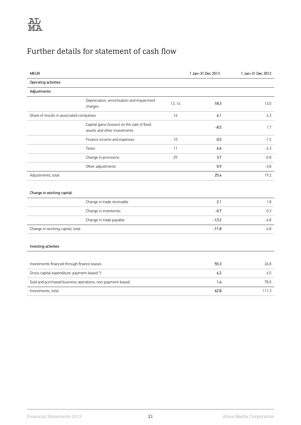# Further details for statement of cash flow

| <b>MEUR</b>                                               |                                                                             |        | 1 Jan-31 Dec 2013 | 1 Jan-31 Dec 2012 |
|-----------------------------------------------------------|-----------------------------------------------------------------------------|--------|-------------------|-------------------|
| Operating activities                                      |                                                                             |        |                   |                   |
| Adjustments:                                              |                                                                             |        |                   |                   |
|                                                           | Depreciation, amortisation and impairment<br>charges                        | 13, 14 | 18.3              | 13.0              |
| Share of results in associated companies                  |                                                                             | 16     | 4.1               | 4.3               |
|                                                           | Capital gains (losses) on the sale of fixed<br>assets and other investments |        | $-8.5$            | 1.7               |
|                                                           | Finance income and expenses                                                 | 10     | 0.5               | $-1.5$            |
|                                                           | Taxes                                                                       | 11     | 6.4               | 6.3               |
|                                                           | Change in provisions                                                        | 25     | 3.7               | $-0.8$            |
|                                                           | Other adjustments                                                           |        | 0.9               | $-3.8$            |
| Adjustments, total                                        |                                                                             |        | 25.4              | 19.2              |
| Change in working capital:                                |                                                                             |        |                   |                   |
|                                                           | Change in trade receivable                                                  |        | 2.1               | 1.8               |
|                                                           | Change in inventories                                                       |        | $-0.7$            | 0.3               |
|                                                           | Change in trade payable                                                     |        | $-13.2$           | $-6.8$            |
| Change in working capital, total                          |                                                                             |        | $-11.8$           | -4.8              |
| Investing activities                                      |                                                                             |        |                   |                   |
| Investments financed through finance leases               |                                                                             |        | 55.3              | 26.8              |
| Gross capital expenditure, payment-based *)               |                                                                             |        | 6.2               | 6.5               |
| Sold and purchased business operations, non-payment-based |                                                                             |        | 1.4               | 78.0              |
| Investments, total                                        |                                                                             |        | 62.8              | 111.3             |
|                                                           |                                                                             |        |                   |                   |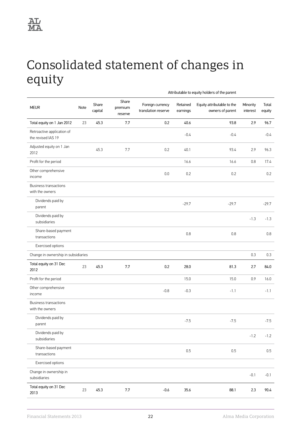# <span id="page-23-0"></span>Consolidated statement of changes in equity

|                                                  | Attributable to equity holders of the parent |                  |                             |                                         |                      |                                                |                      |                 |
|--------------------------------------------------|----------------------------------------------|------------------|-----------------------------|-----------------------------------------|----------------------|------------------------------------------------|----------------------|-----------------|
| <b>MEUR</b>                                      | Note                                         | Share<br>capital | Share<br>premium<br>reserve | Foreign currency<br>translation reserve | Retained<br>earnings | Equity attributable to the<br>owners of parent | Minority<br>interest | Total<br>equity |
| Total equity on 1 Jan 2012                       | 23                                           | 45.3             | 7.7                         | 0.2                                     | 40.6                 | 93.8                                           | 2.9                  | 96.7            |
| Retroactive application of<br>the revised IAS 19 |                                              |                  |                             |                                         | $-0.4$               | $-0.4$                                         |                      | $-0.4$          |
| Adjusted equity on 1 Jan<br>2012                 |                                              | 45.3             | 7.7                         | 0.2                                     | 40.1                 | 93.4                                           | 2.9                  | 96.3            |
| Profit for the period                            |                                              |                  |                             |                                         | 16.6                 | 16.6                                           | 0.8                  | 17.4            |
| Other comprehensive<br>income                    |                                              |                  |                             | 0.0                                     | 0.2                  | 0.2                                            |                      | 0.2             |
| <b>Business transactions</b><br>with the owners  |                                              |                  |                             |                                         |                      |                                                |                      |                 |
| Dividends paid by<br>parent                      |                                              |                  |                             |                                         | $-29.7$              | $-29.7$                                        |                      | $-29.7$         |
| Dividends paid by<br>subsidiaries                |                                              |                  |                             |                                         |                      |                                                | $-1.3$               | $-1.3$          |
| Share-based payment<br>transactions              |                                              |                  |                             |                                         | 0.8                  | 0.8                                            |                      | 0.8             |
| Exercised options                                |                                              |                  |                             |                                         |                      |                                                |                      |                 |
| Change in ownership in subsidiaries              |                                              |                  |                             |                                         |                      |                                                | 0.3                  | 0.3             |
| Total equity on 31 Dec<br>2012                   | 23                                           | 45.3             | 7.7                         | 0.2                                     | 28.0                 | 81.3                                           | 2.7                  | 84.0            |
| Profit for the period                            |                                              |                  |                             |                                         | 15.0                 | 15.0                                           | 0.9                  | 16.0            |
| Other comprehensive<br>income                    |                                              |                  |                             | $-0.8$                                  | $-0.3$               | $-1.1$                                         |                      | $-1.1$          |
| <b>Business transactions</b><br>with the owners  |                                              |                  |                             |                                         |                      |                                                |                      |                 |
| Dividends paid by<br>parent                      |                                              |                  |                             |                                         | $-7.5$               | $-7.5$                                         |                      | $-7.5$          |
| Dividends paid by<br>subsidiaries                |                                              |                  |                             |                                         |                      |                                                | $-1.2$               | $-1.2$          |
| Share-based payment<br>transactions              |                                              |                  |                             |                                         | 0.5                  | 0.5                                            |                      | 0.5             |
| Exercised options                                |                                              |                  |                             |                                         |                      |                                                |                      |                 |
| Change in ownership in<br>subsidiaries           |                                              |                  |                             |                                         |                      |                                                | $-0.1$               | $-0.1$          |
| Total equity on 31 Dec<br>2013                   | 23                                           | 45.3             | $7.7\,$                     | $-0.6$                                  | 35.6                 | 88.1                                           | 2.3                  | 90.4            |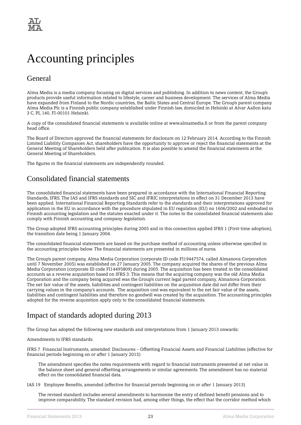# <span id="page-24-0"></span>Accounting principles

# General

Alma Media is a media company focusing on digital services and publishing. In addition to news content, the Group's products provide useful information related to lifestyle, career and business development. The services of Alma Media have expanded from Finland to the Nordic countries, the Baltic States and Central Europe. The Group's parent company Alma Media Plc is a Finnish public company established under Finnish law, domiciled in Helsinki at Alvar Aallon katu 3 C, PL 140, FI-00101 Helsinki.

A copy of the consolidated financial statements is available online at www.almamedia.fi or from the parent company head office.

The Board of Directors approved the financial statements for disclosure on 12 February 2014. According to the Finnish Limited Liability Companies Act, shareholders have the opportunity to approve or reject the financial statements at the General Meeting of Shareholders held after publication. It is also possible to amend the financial statements at the General Meeting of Shareholders.

The figures in the financial statements are independently rounded.

# Consolidated financial statements

The consolidated financial statements have been prepared in accordance with the International Financial Reporting Standards, IFRS. The IAS and IFRS standards and SIC and IFRIC interpretations in effect on 31 December 2013 have been applied. International Financial Reporting Standards refer to the standards and their interpretations approved for application in the EU in accordance with the procedure stipulated in EU regulation (EU) no 1606/2002 and embodied in Finnish accounting legislation and the statutes enacted under it. The notes to the consolidated financial statements also comply with Finnish accounting and company legislation.

The Group adopted IFRS accounting principles during 2005 and in this connection applied IFRS 1 (First-time adoption), the transition date being 1 January 2004.

The consolidated financial statements are based on the purchase method of accounting unless otherwise specified in the accounting principles below. The financial statements are presented in millions of euros.

The Group's parent company, Alma Media Corporation (corporate ID code FI19447574, called Almanova Corporation until 7 November 2005) was established on 27 January 2005. The company acquired the shares of the previous Alma Media Corporation (corporate ID code FI14495809) during 2005. The acquisition has been treated in the consolidated accounts as a reverse acquisition based on IFRS 3. This means that the acquiring company was the old Alma Media Corporation and the company being acquired was the Group's current legal parent company, Almanova Corporation. The net fair value of the assets, liabilities and contingent liabilities on the acquisition date did not differ from their carrying values in the company's accounts. The acquisition cost was equivalent to the net fair value of the assets, liabilities and contingent liabilities and therefore no goodwill was created by the acquisition. The accounting principles adopted for the reverse acquisition apply only to the consolidated financial statements.

# Impact of standards adopted during 2013

The Group has adopted the following new standards and interpretations from 1 January 2013 onwards:

Amendments to IFRS standards:

IFRS 7 Financial Instruments, amended: Disclosures – Offsetting Financial Assets and Financial Liabilities (effective for financial periods beginning on or after 1 January 2013)

The amendment specifies the notes requirements with regard to financial instruments presented at net value in the balance sheet and general offsetting arrangements or similar agreements. The amendment has no material effect on the consolidated financial data.

IAS 19 Employee Benefits, amended (effective for financial periods beginning on or after 1 January 2013)

The revised standard includes several amendments to harmonise the entry of defined benefit pensions and to improve comparability. The standard revision had, among other things, the effect that the corridor method which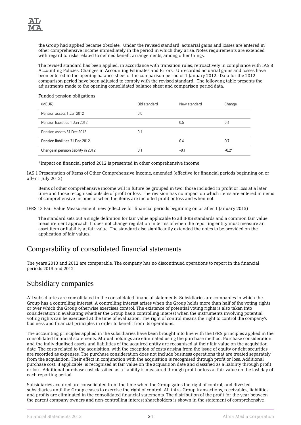the Group had applied became obsolete. Under the revised standard, actuarial gains and losses are entered in other comprehensive income immediately in the period in which they arise. Notes requirements are extended with regard to risks related to defined benefit arrangements, among other things.

The revised standard has been applied, in accordance with transition rules, retroactively in compliance with IAS 8 Accounting Policies, Changes in Accounting Estimates and Errors. Unrecorded actuarial gains and losses have been entered in the opening balance sheet of the comparison period of 1 January 2012. Data for the 2012 comparison period have been adjusted to comply with the revised standard. The following table presents the adjustments made to the opening consolidated balance sheet and comparison period data.

Funded pension obligations

| (MEUR)                              | Old standard | New standard | Change  |
|-------------------------------------|--------------|--------------|---------|
| Pension assets 1 Jan 2012           | 0.0          |              |         |
| Pension liabilities 1 Jan 2012      |              | 0.5          | 0.6     |
| Pension assets 31 Dec 2012          | 0.1          |              |         |
| Pension liabilities 31 Dec 2012     |              | 0.6          | 0.7     |
| Change in pension liability in 2012 | 0.1          | $-0.1$       | $-0.2*$ |

\*Impact on financial period 2012 is presented in other comprehensive income

IAS 1 Presentation of Items of Other Comprehensive Income, amended (effective for financial periods beginning on or after 1 July 2012)

Items of other comprehensive income will in future be grouped in two: those included in profit or loss at a later time and those recognised outside of profit or loss. The revision has no impact on which items are entered in items of comprehensive income or when the items are included profit or loss and when not.

IFRS 13 Fair Value Measurement, new (effective for financial periods beginning on or after 1 January 2013)

The standard sets out a single definition for fair value applicable to all IFRS standards and a common fair value measurement approach. It does not change regulation in terms of when the reporting entity must measure an asset item or liability at fair value. The standard also significantly extended the notes to be provided on the application of fair values.

# Comparability of consolidated financial statements

The years 2013 and 2012 are comparable. The company has no discontinued operations to report in the financial periods 2013 and 2012.

# Subsidiary companies

All subsidiaries are consolidated in the consolidated financial statements. Subsidiaries are companies in which the Group has a controlling interest. A controlling interest arises when the Group holds more than half of the voting rights or over which the Group otherwise exercises control. The existence of potential voting rights is also taken into consideration in evaluating whether the Group has a controlling interest when the instruments involving potential voting rights can be exercised at the time of evaluation. The right of control means the right to control the company's business and financial principles in order to benefit from its operations.

The accounting principles applied in the subsidiaries have been brought into line with the IFRS principles applied in the consolidated financial statements. Mutual holdings are eliminated using the purchase method. Purchase consideration and the individualised assets and liabilities of the acquired entity are recognised at their fair value on the acquisition date. The costs related to the acquisition, with the exception of costs arising from the issue of equity or debt securities, are recorded as expenses. The purchase consideration does not include business operations that are treated separately from the acquisition. Their effect in conjunction with the acquisition is recognised through profit or loss. Additional purchase cost, if applicable, is recognised at fair value on the acquisition date and classified as a liability through profit or loss. Additional purchase cost classified as a liability is measured through profit or loss at fair value on the last day of each reporting period.

Subsidiaries acquired are consolidated from the time when the Group gains the right of control, and divested subsidiaries until the Group ceases to exercise the right of control. All intra-Group transactions, receivables, liabilities and profits are eliminated in the consolidated financial statements. The distribution of the profit for the year between the parent company owners and non-controlling interest shareholders is shown in the statement of comprehensive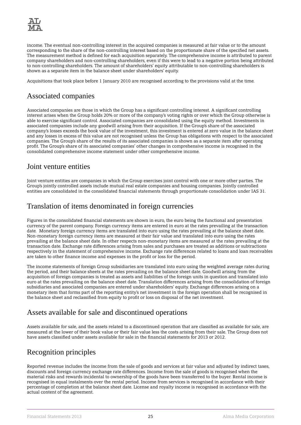

income. The eventual non-controlling interest in the acquired companies is measured at fair value or to the amount corresponding to the share of the non-controlling interest based on the proportionate share of the specified net assets. The measurement method is defined for each acquisition separately. The comprehensive income is attributed to parent company shareholders and non-controlling shareholders, even if this were to lead to a negative portion being attributed to non-controlling shareholders. The amount of shareholders' equity attributable to non-controlling shareholders is shown as a separate item in the balance sheet under shareholders' equity.

Acquisitions that took place before 1 January 2010 are recognised according to the provisions valid at the time.

# Associated companies

Associated companies are those in which the Group has a significant controlling interest. A significant controlling interest arises when the Group holds 20% or more of the company's voting rights or over which the Group otherwise is able to exercise significant control. Associated companies are consolidated using the equity method. Investments in associated companies include any goodwill arising from their acquisition. If the Group's share of the associated company's losses exceeds the book value of the investment, this investment is entered at zero value in the balance sheet and any losses in excess of this value are not recognised unless the Group has obligations with respect to the associated companies. The Group's share of the results of its associated companies is shown as a separate item after operating profit. The Group's share of its associated companies' other changes in comprehensive income is recognised in the consolidated comprehensive income statement under other comprehensive income.

## Joint venture entities

Joint venture entities are companies in which the Group exercises joint control with one or more other parties. The Group's jointly controlled assets include mutual real estate companies and housing companies. Jointly controlled entities are consolidated in the consolidated financial statements through proportionate consolidation under IAS 31.

# Translation of items denominated in foreign currencies

Figures in the consolidated financial statements are shown in euro, the euro being the functional and presentation currency of the parent company. Foreign currency items are entered in euro at the rates prevailing at the transaction date. Monetary foreign currency items are translated into euro using the rates prevailing at the balance sheet date. Non-monetary foreign currency items are measured at their fair value and translated into euro using the rates prevailing at the balance sheet date. In other respects non-monetary items are measured at the rates prevailing at the transaction date. Exchange rate differences arising from sales and purchases are treated as additions or subtractions respectively in the statement of comprehensive income. Exchange rate differences related to loans and loan receivables are taken to other finance income and expenses in the profit or loss for the period.

The income statements of foreign Group subsidiaries are translated into euro using the weighted average rates during the period, and their balance sheets at the rates prevailing on the balance sheet date. Goodwill arising from the acquisition of foreign companies is treated as assets and liabilities of the foreign units in question and translated into euro at the rates prevailing on the balance sheet date. Translation differences arising from the consolidation of foreign subsidiaries and associated companies are entered under shareholders' equity. Exchange differences arising on a monetary item that forms part of the reporting entity's net investment in the foreign operation shall be recognised in the balance sheet and reclassified from equity to profit or loss on disposal of the net investment.

# Assets available for sale and discontinued operations

Assets available for sale, and the assets related to a discontinued operation that are classified as available for sale, are measured at the lower of their book value or their fair value less the costs arising from their sale. The Group does not have assets classified under assets available for sale in the financial statements for 2013 or 2012.

# Recognition principles

Reported revenue includes the income from the sale of goods and services at fair value and adjusted by indirect taxes, discounts and foreign currency exchange rate differences. Income from the sale of goods is recognised when the material risks and rewards incidental to ownership of the goods have been transferred to the buyer. Rental income is recognised in equal instalments over the rental period. Income from services is recognised in accordance with their percentage of completion at the balance sheet date. License and royalty income is recognised in accordance with the actual content of the agreement.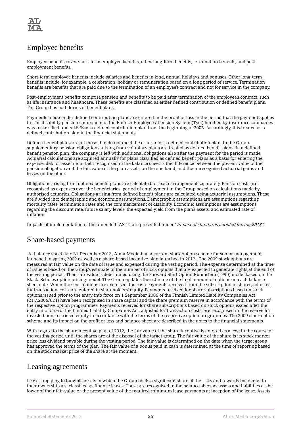

# Employee benefits

Employee benefits cover short-term employee benefits, other long-term benefits, termination benefits, and postemployment benefits.

Short-term employee benefits include salaries and benefits in kind, annual holidays and bonuses. Other long-term benefits include, for example, a celebration, holiday or remuneration based on a long period of service. Termination benefits are benefits that are paid due to the termination of an employee's contract and not for service in the company.

Post-employment benefits comprise pension and benefits to be paid after termination of the employee's contract, such as life insurance and healthcare. These benefits are classified as either defined contribution or defined benefit plans. The Group has both forms of benefit plans.

Payments made under defined contribution plans are entered in the profit or loss in the period that the payment applies to. The disability pension component of the Finnish Employees' Pension System (Tyel) handled by insurance companies was reclassified under IFRS as a defined contribution plan from the beginning of 2006. Accordingly, it is treated as a defined contribution plan in the financial statements.

Defined benefit plans are all those that do not meet the criteria for a defined contribution plan. In the Group, supplementary pension obligations arising from voluntary plans are treated as defined benefit plans. In a defined benefit pension plan, the company is left with additional obligations also after the payment for the period is made. Actuarial calculations are acquired annually for plans classified as defined benefit plans as a basis for entering the expense, debt or asset item. Debt recognised in the balance sheet is the difference between the present value of the pension obligation and the fair value of the plan assets, on the one hand, and the unrecognised actuarial gains and losses on the other.

Obligations arising from defined benefit plans are calculated for each arrangement separately. Pension costs are recognised as expenses over the beneficiaries' period of employment in the Group based on calculations made by authorised actuaries. Obligations arising from defined benefit plans are calculated using actuarial assumptions. These are divided into demographic and economic assumptions. Demographic assumptions are assumptions regarding mortality rates, termination rates and the commencement of disability. Economic assumptions are assumptions regarding the discount rate, future salary levels, the expected yield from the plan's assets, and estimated rate of inflation.

Impacts of implementation of the amended IAS 19 are presented under "Impact of standards adopted during 2013".

# Share-based payments

At balance sheet date 31 December 2013, Alma Media had a current stock option scheme for senior management launched in spring 2009 as well as a share-based incentive plan launched in 2012. The 2009 stock options are measured at fair value on the date of issue and expensed during the vesting period. The expense determined at the time of issue is based on the Group's estimate of the number of stock options that are expected to generate rights at the end of the vesting period. Their fair value is determined using the Forward Start Option Rubinstein (1990) model based on the Black–Scholes option pricing model. The Group updates the estimate of the final amount of options on each balance sheet date. When the stock options are exercised, the cash payments received from the subscription of shares, adjusted for transaction costs, are entered in shareholders' equity. Payments received for share subscriptions based on stock options issued prior to the entry into force on 1 September 2006 of the Finnish Limited Liability Companies Act (21.7.2006/624) have been recognised in share capital and the share premium reserve in accordance with the terms of the respective option programmes. Payments received for share subscriptions based on stock options issued after the entry into force of the Limited Liability Companies Act, adjusted for transaction costs, are recognised in the reserve for invested non-restricted equity in accordance with the terms of the respective option programmes. The 2009 stock option scheme and its impact on the profit or loss and balance sheet are described in the notes to the financial statements.

With regard to the share incentive plan of 2012, the fair value of the share incentive is entered as a cost in the course of the vesting period until the shares are at the disposal of the target group. The fair value of the share is its stock market price less dividend payable during the vesting period. The fair value is determined on the date when the target group has approved the terms of the plan. The fair value of a bonus paid in cash is determined at the time of reporting based on the stock market price of the share at the moment.

## Leasing agreements

Leases applying to tangible assets in which the Group holds a significant share of the risks and rewards incidental to their ownership are classified as finance leases. These are recognised in the balance sheet as assets and liabilities at the lower of their fair value or the present value of the required minimum lease payments at inception of the lease. Assets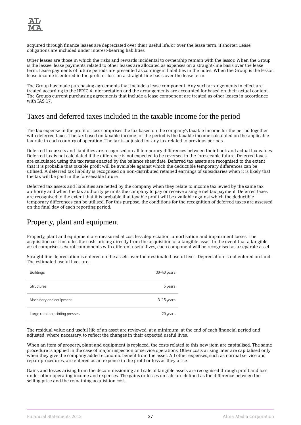

acquired through finance leases are depreciated over their useful life, or over the lease term, if shorter. Lease obligations are included under interest-bearing liabilities.

Other leases are those in which the risks and rewards incidental to ownership remain with the lessor. When the Group is the lessee, lease payments related to other leases are allocated as expenses on a straight-line basis over the lease term. Lease payments of future periods are presented as contingent liabilities in the notes. When the Group is the lessor, lease income is entered in the profit or loss on a straight-line basis over the lease term.

The Group has made purchasing agreements that include a lease component. Any such arrangements in effect are treated according to the IFRIC 4 interpretation and the arrangements are accounted for based on their actual content. The Group's current purchasing agreements that include a lease component are treated as other leases in accordance with IAS 17.

# Taxes and deferred taxes included in the taxable income for the period

The tax expense in the profit or loss comprises the tax based on the company's taxable income for the period together with deferred taxes. The tax based on taxable income for the period is the taxable income calculated on the applicable tax rate in each country of operation. The tax is adjusted for any tax related to previous periods.

Deferred tax assets and liabilities are recognised on all temporary differences between their book and actual tax values. Deferred tax is not calculated if the difference is not expected to be reversed in the foreseeable future. Deferred taxes are calculated using the tax rates enacted by the balance sheet date. Deferred tax assets are recognised to the extent that it is probable that taxable profit will be available against which the deductible temporary differences can be utilised. A deferred tax liability is recognised on non-distributed retained earnings of subsidiaries when it is likely that the tax will be paid in the foreseeable future.

Deferred tax assets and liabilities are netted by the company when they relate to income tax levied by the same tax authority and when the tax authority permits the company to pay or receive a single net tax payment. Deferred taxes are recognised to the extent that it is probable that taxable profit will be available against which the deductible temporary differences can be utilised. For this purpose, the conditions for the recognition of deferred taxes are assessed on the final day of each reporting period.

# Property, plant and equipment

Property, plant and equipment are measured at cost less depreciation, amortisation and impairment losses. The acquisition cost includes the costs arising directly from the acquisition of a tangible asset. In the event that a tangible asset comprises several components with different useful lives, each component will be recognised as a separate asset.

Straight line depreciation is entered on the assets over their estimated useful lives. Depreciation is not entered on land. The estimated useful lives are:

| <b>Buildings</b>                | $30 - 40$ years |
|---------------------------------|-----------------|
| Structures                      | 5 years         |
| Machinery and equipment         | 3-15 years      |
| Large rotation printing presses | 20 years        |

The residual value and useful life of an asset are reviewed, at a minimum, at the end of each financial period and adjusted, where necessary, to reflect the changes in their expected useful lives.

When an item of property, plant and equipment is replaced, the costs related to this new item are capitalised. The same procedure is applied in the case of major inspection or service operations. Other costs arising later are capitalised only when they give the company added economic benefit from the asset. All other expenses, such as normal service and repair procedures, are entered as an expense in the profit or loss as they arise.

Gains and losses arising from the decommissioning and sale of tangible assets are recognised through profit and loss under other operating income and expenses. The gains or losses on sale are defined as the difference between the selling price and the remaining acquisition cost.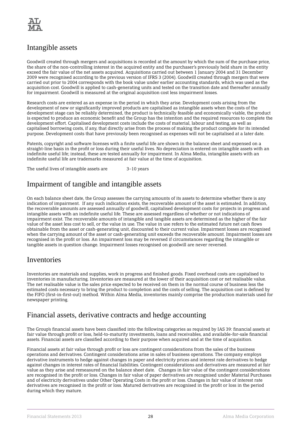

## Intangible assets

Goodwill created through mergers and acquisitions is recorded at the amount by which the sum of the purchase price, the share of the non-controlling interest in the acquired entity and the purchaser's previously held share in the entity exceed the fair value of the net assets acquired. Acquisitions carried out between 1 January 2004 and 31 December 2009 were recognised according to the previous version of IFRS 3 (2004). Goodwill created through mergers that were carried out prior to 2004 corresponds with the book value under earlier accounting standards, which was used as the acquisition cost. Goodwill is applied to cash-generating units and tested on the transition date and thereafter annually for impairment. Goodwill is measured at the original acquisition cost less impairment losses.

Research costs are entered as an expense in the period in which they arise. Development costs arising from the development of new or significantly improved products are capitalised as intangible assets when the costs of the development stage can be reliably determined, the product is technically feasible and economically viable, the product is expected to produce an economic benefit and the Group has the intention and the required resources to complete the development effort. Capitalised development costs include the costs of material, labour and testing, as well as capitalised borrowing costs, if any, that directly arise from the process of making the product complete for its intended purpose. Development costs that have previously been recognised as expenses will not be capitalised at a later date.

Patents, copyright and software licenses with a finite useful life are shown in the balance sheet and expensed on a straight-line basis in the profit or loss during their useful lives. No depreciation is entered on intangible assets with an indefinite useful life; instead, these are tested annually for impairment. In Alma Media, intangible assets with an indefinite useful life are trademarks measured at fair value at the time of acquisition.

The useful lives of intangible assets are 3-10 years

# Impairment of tangible and intangible assets

On each balance sheet date, the Group assesses the carrying amounts of its assets to determine whether there is any indication of impairment. If any such indication exists, the recoverable amount of the asset is estimated. In addition, the recoverable amounts are assessed annually of goodwill, capitalised development costs for projects in progress and intangible assets with an indefinite useful life. These are assessed regardless of whether or not indications of impairment exist. The recoverable amounts of intangible and tangible assets are determined as the higher of the fair value of the asset less cost to sell, or the value in use. The value in use refers to the estimated future net cash flows obtainable from the asset or cash-generating unit, discounted to their current value. Impairment losses are recognised when the carrying amount of the asset or cash-generating unit exceeds the recoverable amount. Impairment losses are recognised in the profit or loss. An impairment loss may be reversed if circumstances regarding the intangible or tangible assets in question change. Impairment losses recognised on goodwill are never reversed.

## Inventories

Inventories are materials and supplies, work in progress and finished goods. Fixed overhead costs are capitalised to inventories in manufacturing. Inventories are measured at the lower of their acquisition cost or net realisable value. The net realisable value is the sales price expected to be received on them in the normal course of business less the estimated costs necessary to bring the product to completion and the costs of selling. The acquisition cost is defined by the FIFO (first-in-first-out) method. Within Alma Media, inventories mainly comprise the production materials used for newspaper printing.

# Financial assets, derivative contracts and hedge accounting

The Group's financial assets have been classified into the following categories as required by IAS 39: financial assets at fair value through profit or loss, held-to-maturity investments, loans and receivables, and available-for-sale financial assets. Financial assets are classified according to their purpose when acquired and at the time of acquisition.

Financial assets at fair value through profit or loss are contingent considerations from the sales of the business operations and derivatives. Contingent considerations arise in sales of business operations. The company employs derivative instruments to hedge against changes in paper and electricity prices and interest rate derivatives to hedge against changes in interest rates of financial liabilities. Contingent considerations and derivatives are measured at fair value as they arise and remeasured on the balance sheet date. Changes in fair value of the contingent considerations are recognised in the profit or loss. Changes in fair value of paper derivatives are recognised under Material Purchases and of electricity derivatives under Other Operating Costs in the profit or loss. Changes in fair value of interest rate derivatives are recognised in the profit or loss. Matured derivatives are recognised in the profit or loss in the period during which they mature.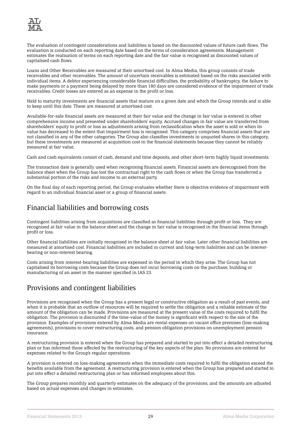

The evaluation of contingent considerations and liabilities is based on the discounted values of future cash flows. The evaluation is conducted on each reporting date based on the terms of consideration agreements. Management estimates the realisation of terms on each reporting date and the fair value is recognised as discounted values of capitalised cash flows.

Loans and Other Receivables are measured at their amortised cost. In Alma Media, this group consists of trade receivables and other receivables. The amount of uncertain receivables is estimated based on the risks associated with individual items. A debtor experiencing considerable financial difficulties, the probability of bankruptcy, the failure to make payments or a payment being delayed by more than 180 days are considered evidence of the impairment of trade receivables. Credit losses are entered as an expense in the profit or loss.

Held to maturity investments are financial assets that mature on a given date and which the Group intends and is able to keep until this date. These are measured at amortised cost.

Available-for-sale financial assets are measured at their fair value and the change in fair value is entered in other comprehensive income and presented under shareholders' equity. Accrued changes in fair value are transferred from shareholders' equity to profit or loss as adjustments arising from reclassification when the asset is sold or when its value has decreased to the extent that impairment loss is recognised. This category comprises financial assets that are not classified in any of the other categories. The Group also classifies investments in unquoted shares in this category, but these investments are measured at acquisition cost in the financial statements because they cannot be reliably measured at fair value.

Cash and cash equivalents consist of cash, demand and time deposits, and other short-term highly liquid investments.

The transaction date is generally used when recognising financial assets. Financial assets are derecognised from the balance sheet when the Group has lost the contractual right to the cash flows or when the Group has transferred a substantial portion of the risks and income to an external party.

On the final day of each reporting period, the Group evaluates whether there is objective evidence of impairment with regard to an individual financial asset or a group of financial assets.

## Financial liabilities and borrowing costs

Contingent liabilities arising from acquisitions are classified as financial liabilities through profit or loss. They are recognised at fair value in the balance sheet and the change in fair value is recognised in the financial items through profit or loss.

Other financial liabilities are initially recognised in the balance sheet at fair value. Later other financial liabilities are measured at amortised cost. Financial liabilities are included in current and long-term liabilities and can be interestbearing or non-interest bearing.

Costs arising from interest-bearing liabilities are expensed in the period in which they arise. The Group has not capitalised its borrowing costs because the Group does not incur borrowing costs on the purchase, building or manufacturing of an asset in the manner specified in IAS 23.

# Provisions and contingent liabilities

Provisions are recognised when the Group has a present legal or constructive obligation as a result of past events, and when it is probable that an outflow of resources will be required to settle the obligation and a reliable estimate of the amount of the obligation can be made. Provisions are measured at the present value of the costs required to fulfil the obligation. The provision is discounted if the time-value of the money is significant with respect to the size of the provision. Examples of provisions entered by Alma Media are rental expenses on vacant office premises (loss-making agreements), provisions to cover restructuring costs, and pension obligation provisions on unemployment pension insurance.

A restructuring provision is entered when the Group has prepared and started to put into effect a detailed restructuring plan or has informed those affected by the restructuring of the key aspects of the plan. No provisions are entered for expenses related to the Group's regular operations.

A provision is entered on loss-making agreements when the immediate costs required to fulfil the obligation exceed the benefits available from the agreement. A restructuring provision is entered when the Group has prepared and started to put into effect a detailed restructuring plan or has informed employees about this.

The Group prepares monthly and quarterly estimates on the adequacy of the provisions, and the amounts are adjusted based on actual expenses and changes in estimates.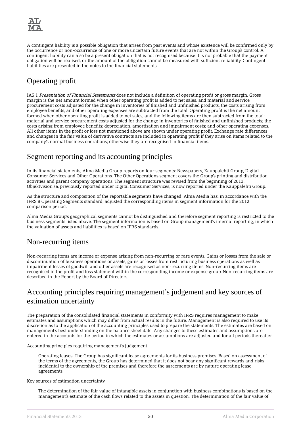

A contingent liability is a possible obligation that arises from past events and whose existence will be confirmed only by the occurrence or non-occurrence of one or more uncertain future events that are not within the Group's control. A contingent liability can also be a present obligation that is not recognised because it is not probable that the payment obligation will be realised, or the amount of the obligation cannot be measured with sufficient reliability. Contingent liabilities are presented in the notes to the financial statements.

# Operating profit

IAS 1 Presentation of Financial Statements does not include a definition of operating profit or gross margin. Gross margin is the net amount formed when other operating profit is added to net sales, and material and service procurement costs adjusted for the change in inventories of finished and unfinished products, the costs arising from employee benefits, and other operating expenses are subtracted from the total. Operating profit is the net amount formed when other operating profit is added to net sales, and the following items are then subtracted from the total: material and service procurement costs adjusted for the change in inventories of finished and unfinished products; the costs arising from employee benefits; depreciation, amortisation and impairment costs; and other operating expenses. All other items in the profit or loss not mentioned above are shown under operating profit. Exchange rate differences and changes in the fair value of derivative contracts are included in operating profit if they arise on items related to the company's normal business operations; otherwise they are recognised in financial items.

# Segment reporting and its accounting principles

In its financial statements, Alma Media Group reports on four segments: Newspapers, Kauppalehti Group, Digital Consumer Services and Other Operations. The Other Operations segment covers the Group's printing and distribution activities and parent company operations. The segment structure was revised from the beginning of 2013. Objektvision.se, previously reported under Digital Consumer Services, is now reported under the Kauppalehti Group.

As the structure and composition of the reportable segments have changed, Alma Media has, in accordance with the IFRS 8 Operating Segments standard, adjusted the corresponding items in segment information for the 2012 comparison period.

Alma Media Group's geographical segments cannot be distinguished and therefore segment reporting is restricted to the business segments listed above. The segment information is based on Group management's internal reporting, in which the valuation of assets and liabilities is based on IFRS standards.

# Non-recurring items

Non-recurring items are income or expense arising from non-recurring or rare events. Gains or losses from the sale or discontinuation of business operations or assets, gains or losses from restructuring business operations as well as impairment losses of goodwill and other assets are recognised as non-recurring items. Non-recurring items are recognised in the profit and loss statement within the corresponding income or expense group. Non-recurring items are described in the Report by the Board of Directors.

# Accounting principles requiring management's judgement and key sources of estimation uncertainty

The preparation of the consolidated financial statements in conformity with IFRS requires management to make estimates and assumptions which may differ from actual results in the future. Management is also required to use its discretion as to the application of the accounting principles used to prepare the statements. The estimates are based on management's best understanding on the balance sheet date. Any changes to these estimates and assumptions are entered in the accounts for the period in which the estimates or assumptions are adjusted and for all periods thereafter.

Accounting principles requiring management's judgement

Operating leases: The Group has significant lease agreements for its business premises. Based on assessment of the terms of the agreements, the Group has determined that it does not bear any significant rewards and risks incidental to the ownership of the premises and therefore the agreements are by nature operating lease agreements.

Key sources of estimation uncertainty

The determination of the fair value of intangible assets in conjunction with business combinations is based on the management's estimate of the cash flows related to the assets in question. The determination of the fair value of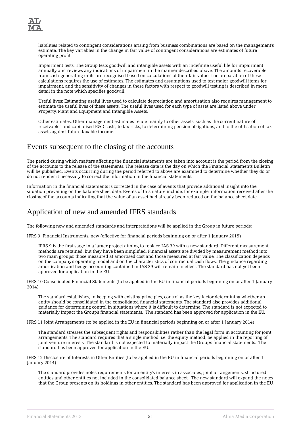

liabilities related to contingent considerations arising from business combinations are based on the management's estimate. The key variables in the change in fair value of contingent considerations are estimates of future operating profit.

Impairment tests: The Group tests goodwill and intangible assets with an indefinite useful life for impairment annually and reviews any indications of impairment in the manner described above. The amounts recoverable from cash-generating units are recognised based on calculations of their fair value. The preparation of these calculations requires the use of estimates. The estimates and assumptions used to test major goodwill items for impairment, and the sensitivity of changes in these factors with respect to goodwill testing is described in more detail in the note which specifies goodwill.

Useful lives: Estimating useful lives used to calculate depreciation and amortisation also requires management to estimate the useful lives of these assets. The useful lives used for each type of asset are listed above under Property, Plant and Equipment and Intangible Assets.

Other estimates: Other management estimates relate mainly to other assets, such as the current nature of receivables and capitalised R&D costs, to tax risks, to determining pension obligations, and to the utilisation of tax assets against future taxable income.

# Events subsequent to the closing of the accounts

The period during which matters affecting the financial statements are taken into account is the period from the closing of the accounts to the release of the statements. The release date is the day on which the Financial Statements Bulletin will be published. Events occurring during the period referred to above are examined to determine whether they do or do not render it necessary to correct the information in the financial statements.

Information in the financial statements is corrected in the case of events that provide additional insight into the situation prevailing on the balance sheet date. Events of this nature include, for example, information received after the closing of the accounts indicating that the value of an asset had already been reduced on the balance sheet date.

# Application of new and amended IFRS standards

The following new and amended standards and interpretations will be applied in the Group in future periods:

IFRS 9 Financial Instruments, new (effective for financial periods beginning on or after 1 January 2015)

IFRS 9 is the first stage in a larger project aiming to replace IAS 39 with a new standard. Different measurement methods are retained, but they have been simplified. Financial assets are divided by measurement method into two main groups: those measured at amortised cost and those measured at fair value. The classification depends on the company's operating model and on the characteristics of contractual cash flows. The guidance regarding amortisation and hedge accounting contained in IAS 39 will remain in effect. The standard has not yet been approved for application in the EU.

IFRS 10 Consolidated Financial Statements (to be applied in the EU in financial periods beginning on or after 1 January 2014)

The standard establishes, in keeping with existing principles, control as the key factor determining whether an entity should be consolidated in the consolidated financial statements. The standard also provides additional guidance for determining control in situations where it is difficult to determine. The standard is not expected to materially impact the Group's financial statements. The standard has been approved for application in the EU.

IFRS 11 Joint Arrangements (to be applied in the EU in financial periods beginning on or after 1 January 2014)

The standard stresses the subsequent rights and responsibilities rather than the legal form in accounting for joint arrangements. The standard requires that a single method, i.e. the equity method, be applied in the reporting of joint venture interests. The standard is not expected to materially impact the Group's financial statements. The standard has been approved for application in the EU.

IFRS 12 Disclosure of Interests in Other Entities (to be applied in the EU in financial periods beginning on or after 1 January 2014)

The standard provides notes requirements for an entity's interests in associates, joint arrangements, structured entities and other entities not included in the consolidated balance sheet. The new standard will expand the notes that the Group presents on its holdings in other entities. The standard has been approved for application in the EU.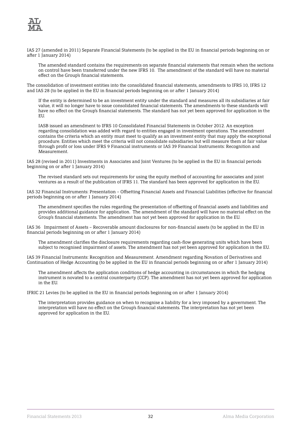

IAS 27 (amended in 2011) Separate Financial Statements (to be applied in the EU in financial periods beginning on or after 1 January 2014)

The amended standard contains the requirements on separate financial statements that remain when the sections on control have been transferred under the new IFRS 10. The amendment of the standard will have no material effect on the Group's financial statements.

The consolidation of investment entities into the consolidated financial statements, amendments to IFRS 10, IFRS 12 and IAS 28 (to be applied in the EU in financial periods beginning on or after 1 January 2014)

If the entity is determined to be an investment entity under the standard and measures all its subsidiaries at fair value, it will no longer have to issue consolidated financial statements. The amendments to these standards will have no effect on the Group's financial statements. The standard has not yet been approved for application in the EU.

IASB issued an amendment to IFRS 10 Consolidated Financial Statements in October 2012. An exception regarding consolidation was added with regard to entities engaged in investment operations. The amendment contains the criteria which an entity must meet to qualify as an investment entity that may apply the exceptional procedure. Entities which meet the criteria will not consolidate subsidiaries but will measure them at fair value through profit or loss under IFRS 9 Financial instruments or IAS 39 Financial Instruments: Recognition and Measurement.

IAS 28 (revised in 2011) Investments in Associates and Joint Ventures (to be applied in the EU in financial periods beginning on or after 1 January 2014)

The revised standard sets out requirements for using the equity method of accounting for associates and joint ventures as a result of the publication of IFRS 11. The standard has been approved for application in the EU.

IAS 32 Financial Instruments: Presentation – Offsetting Financial Assets and Financial Liabilities (effective for financial periods beginning on or after 1 January 2014)

The amendment specifies the rules regarding the presentation of offsetting of financial assets and liabilities and provides additional guidance for application. The amendment of the standard will have no material effect on the Group's financial statements. The amendment has not yet been approved for application in the EU.

IAS 36 Impairment of Assets – Recoverable amount disclosures for non-financial assets (to be applied in the EU in financial periods beginning on or after 1 January 2014)

The amendment clarifies the disclosure requirements regarding cash-flow generating units which have been subject to recognised impairment of assets. The amendment has not yet been approved for application in the EU.

IAS 39 Financial Instruments: Recognition and Measurement. Amendment regarding Novation of Derivatives and Continuation of Hedge Accounting (to be applied in the EU in financial periods beginning on or after 1 January 2014)

The amendment affects the application conditions of hedge accounting in circumstances in which the hedging instrument is novated to a central counterparty (CCP). The amendment has not yet been approved for application in the EU.

IFRIC 21 Levies (to be applied in the EU in financial periods beginning on or after 1 January 2014)

The interpretation provides guidance on when to recognise a liability for a levy imposed by a government. The interpretation will have no effect on the Group's financial statements. The interpretation has not yet been approved for application in the EU.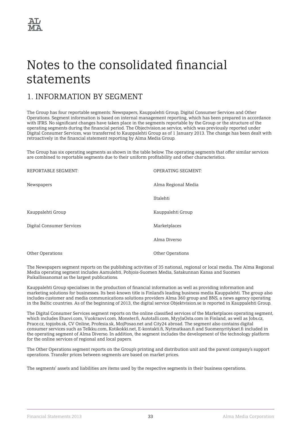

# <span id="page-34-0"></span>Notes to the consolidated financial statements

# 1. INFORMATION BY SEGMENT

The Group has four reportable segments: Newspapers, Kauppalehti Group, Digital Consumer Services and Other Operations. Segment information is based on internal management reporting, which has been prepared in accordance with IFRS. No significant changes have taken place in the segments reportable by the Group or the structure of the operating segments during the financial period. The Objectvision.se service, which was previously reported under Digital Consumer Services, was transferred to Kauppalehti Group as of 1 January 2013. The change has been dealt with retroactively in the financial statement reporting by Alma Media Group.

The Group has six operating segments as shown in the table below. The operating segments that offer similar services are combined to reportable segments due to their uniform profitability and other characteristics.

| REPORTABLE SEGMENT:       | <b>OPERATING SEGMENT:</b> |
|---------------------------|---------------------------|
| Newspapers                | Alma Regional Media       |
|                           | Iltalehti                 |
| Kauppalehti Group         | Kauppalehti Group         |
| Digital Consumer Services | Marketplaces              |
|                           | Alma Diverso              |
| Other Operations          | <b>Other Operations</b>   |

The Newspapers segment reports on the publishing activities of 35 national, regional or local media. The Alma Regional Media operating segment includes Aamulehti, Pohjois-Suomen Media, Satakunnan Kansa and Suomen Paikallissanomat as the largest publications.

Kauppalehti Group specialises in the production of financial information as well as providing information and marketing solutions for businesses. Its best-known title is Finland's leading business media Kauppalehti. The group also includes customer and media communications solutions providers Alma 360 group and BNS, a news agency operating in the Baltic countries. As of the beginning of 2013, the digital service Objektvision.se is reported in Kauppalehti Group.

The Digital Consumer Services segment reports on the online classified services of the Marketplaces operating segment, which includes Etuovi.com, Vuokraovi.com, Monster.fi, Autotalli.com, MyyJaOsta.com in Finland, as well as Jobs.cz, Prace.cz, topjobs.sk, CV Online, Profesia.sk, MojPosao.net and City24 abroad. The segment also contains digital consumer services such as Telkku.com, Kotikokki.net, E-kontakti.fi, Nytmatkaan.fi and Suomenyritykset.fi included in the operating segment of Alma Diverso. In addition, the segment includes the development of the technology platform for the online services of regional and local papers.

The Other Operations segment reports on the Group's printing and distribution unit and the parent company's support operations. Transfer prices between segments are based on market prices.

The segments' assets and liabilities are items used by the respective segments in their business operations.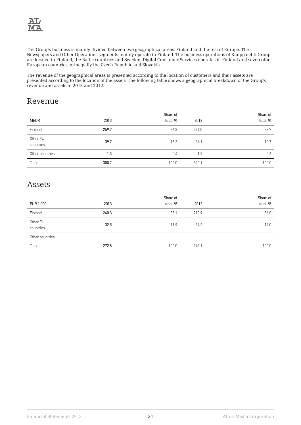

The Group's business is mainly divided between two geographical areas: Finland and the rest of Europe. The Newspapers and Other Operations segments mainly operate in Finland. The business operations of Kauppalehti Group are located in Finland, the Baltic countries and Sweden. Digital Consumer Services operates in Finland and seven other European countries, principally the Czech Republic and Slovakia.

The revenue of the geographical areas is presented according to the location of customers and their assets are presented according to the location of the assets. The following table shows a geographical breakdown of the Group's revenue and assets in 2013 and 2012:

# Revenue

|                       |       | Share of |       | Share of |
|-----------------------|-------|----------|-------|----------|
| <b>MEUR</b>           | 2013  | total, % | 2012  | total, % |
| Finland               | 259.2 | 86.3     | 284.0 | 88.7     |
| Other EU<br>countries | 39.7  | 13.2     | 34.1  | 10.7     |
| Other countries       | 1.3   | 0.4      | 1.9   | 0.6      |
| Total                 | 300.2 | 100.0    | 320.1 | 100.0    |

# Assets

|                       |       | Share of |       | Share of |
|-----------------------|-------|----------|-------|----------|
| EUR 1,000             | 2013  | total, % | 2012  | total, % |
| Finland               | 240.3 | 88.1     | 210.9 | 86.0     |
| Other EU<br>countries | 32.5  | 11.9     | 34.2  | 14.0     |
| Other countries       |       |          |       |          |
| Total                 | 272.8 | 100.0    | 245.1 | 100.0    |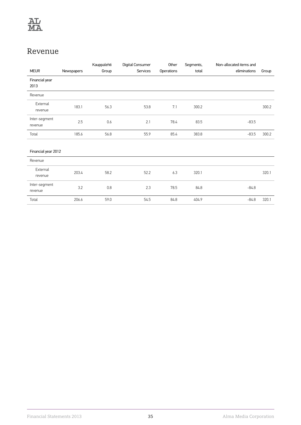

# Revenue

|                          |            | Kauppalehti | Digital Consumer | Other      | Segments, | Non-allocated items and |       |
|--------------------------|------------|-------------|------------------|------------|-----------|-------------------------|-------|
| <b>MEUR</b>              | Newspapers | Group       | Services         | Operations | total     | eliminations            | Group |
| Financial year<br>2013   |            |             |                  |            |           |                         |       |
| Revenue                  |            |             |                  |            |           |                         |       |
| External<br>revenue      | 183.1      | 56.3        | 53.8             | 7.1        | 300.2     |                         | 300.2 |
| Inter-segment<br>revenue | 2.5        | 0.6         | 2.1              | 78.4       | 83.5      | $-83.5$                 |       |
| Total                    | 185.6      | 56.8        | 55.9             | 85.4       | 383.8     | $-83.5$                 | 300.2 |
|                          |            |             |                  |            |           |                         |       |
| Financial year 2012      |            |             |                  |            |           |                         |       |
| Revenue                  |            |             |                  |            |           |                         |       |
| External<br>revenue      | 203.4      | 58.2        | 52.2             | 6.3        | 320.1     |                         | 320.1 |
| Inter-segment<br>revenue | 3.2        | 0.8         | 2.3              | 78.5       | 84.8      | $-84.8$                 |       |
| Total                    | 206.6      | 59.0        | 54.5             | 84.8       | 404.9     | $-84.8$                 | 320.1 |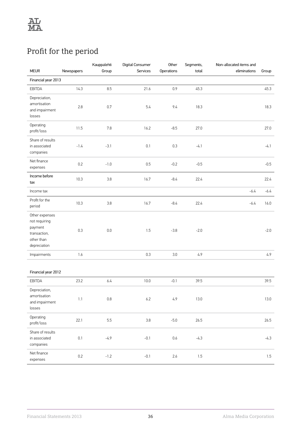# Profit for the period

| <b>MEUR</b>                                                                              | Newspapers | Kauppalehti<br>Group | Digital Consumer<br>Services | Other<br>Operations | Segments,<br>total | Non-allocated items and<br>eliminations | Group    |
|------------------------------------------------------------------------------------------|------------|----------------------|------------------------------|---------------------|--------------------|-----------------------------------------|----------|
| Financial year 2013                                                                      |            |                      |                              |                     |                    |                                         |          |
|                                                                                          |            |                      |                              |                     |                    |                                         |          |
| EBITDA                                                                                   | 14.3       | 8.5                  | 21.6                         | 0.9                 | 45.3               |                                         | 45.3     |
| Depreciation,<br>amortisation<br>and impairment<br>losses                                | $2.8\,$    | $0.7\,$              | 5.4                          | 9.4                 | 18.3               |                                         | 18.3     |
| Operating<br>profit/loss                                                                 | 11.5       | 7.8                  | 16.2                         | $-8.5$              | 27.0               |                                         | 27.0     |
| Share of results<br>in associated<br>companies                                           | $-1.4$     | $-3.1$               | $0.1\,$                      | 0.3                 | $-4.1$             |                                         | $-4.1$   |
| Net finance<br>expenses                                                                  | 0.2        | $-1.0$               | 0.5                          | $-0.2$              | $-0.5$             |                                         | $-0.5$   |
| Income before<br>tax                                                                     | 10.3       | 3.8                  | 16.7                         | $-8.4$              | 22.4               |                                         | 22.4     |
| Income tax                                                                               |            |                      |                              |                     |                    | $-6.4$                                  | $-6.4$   |
| Profit for the<br>period                                                                 | 10.3       | $3.8\,$              | 16.7                         | $-8.4$              | 22.4               | $-6.4$                                  | 16.0     |
| Other expenses<br>not requiring<br>payment<br>transaction,<br>other than<br>depreciation | 0.3        | $0.0\,$              | 1.5                          | $-3.8$              | $-2.0$             |                                         | $-2.0$   |
| Impairments                                                                              | $1.6\,$    |                      | 0.3                          | 3.0                 | 4.9                |                                         | 4.9      |
| Financial year 2012                                                                      |            |                      |                              |                     |                    |                                         |          |
| EBITDA                                                                                   | 23.2       | 6.4                  | 10.0                         | $-0.1$              | 39.5               |                                         | 39.5     |
| Depreciation,<br>amortisation<br>and impairment<br>losses                                | $1.1\,$    | $0.8\,$              | $6.2\,$                      | 4.9                 | 13.0               |                                         | $13.0\,$ |
| Operating<br>profit/loss                                                                 | 22.1       | 5.5                  | $3.8\,$                      | $-5.0$              | 26.5               |                                         | 26.5     |
| Share of results<br>in associated<br>companies                                           | $0.1\,$    | $-4.9$               | $-0.1$                       | 0.6                 | $-4.3$             |                                         | $-4.3$   |
| Net finance<br>expenses                                                                  | $0.2\,$    | $-1.2$               | $-0.1$                       | 2.6                 | 1.5                |                                         | 1.5      |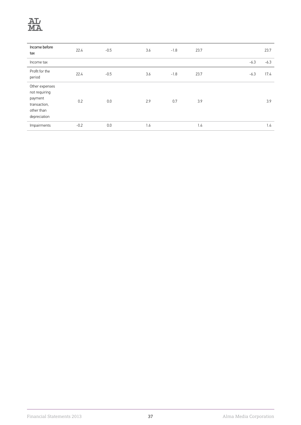

| Income before<br>tax                                                                     | 22.4   | $-0.5$ | 3.6 | $-1.8$ | 23.7 |        | 23.7   |
|------------------------------------------------------------------------------------------|--------|--------|-----|--------|------|--------|--------|
| Income tax                                                                               |        |        |     |        |      | $-6.3$ | $-6.3$ |
| Profit for the<br>period                                                                 | 22.4   | $-0.5$ | 3.6 | $-1.8$ | 23.7 | $-6.3$ | 17.4   |
| Other expenses<br>not requiring<br>payment<br>transaction,<br>other than<br>depreciation | 0.2    | 0.0    | 2.9 | 0.7    | 3.9  |        | 3.9    |
| Impairments                                                                              | $-0.2$ | 0.0    | 1.6 |        | 1.4  |        | 1.4    |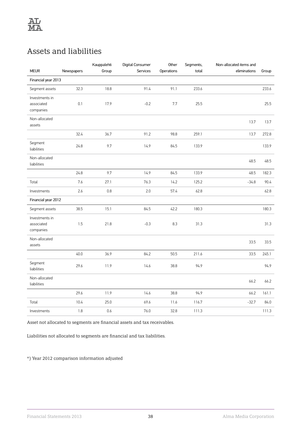# Assets and liabilities

| <b>MEUR</b>                               | Newspapers | Kauppalehti<br>Group | Digital Consumer<br>Services | Other<br>Operations | Segments,<br>total | Non-allocated items and<br>eliminations | Group |
|-------------------------------------------|------------|----------------------|------------------------------|---------------------|--------------------|-----------------------------------------|-------|
| Financial year 2013                       |            |                      |                              |                     |                    |                                         |       |
| Segment assets                            | 32.3       | 18.8                 | 91.4                         | 91.1                | 233.6              |                                         | 233.6 |
| Investments in<br>associated<br>companies | 0.1        | 17.9                 | $-0.2$                       | 7.7                 | 25.5               |                                         | 25.5  |
| Non-allocated<br>assets                   |            |                      |                              |                     |                    | 13.7                                    | 13.7  |
|                                           | 32.4       | 36.7                 | 91.2                         | 98.8                | 259.1              | 13.7                                    | 272.8 |
| Segment<br>liabilities                    | 24.8       | 9.7                  | 14.9                         | 84.5                | 133.9              |                                         | 133.9 |
| Non-allocated<br>liabilities              |            |                      |                              |                     |                    | 48.5                                    | 48.5  |
|                                           | 24.8       | 9.7                  | 14.9                         | 84.5                | 133.9              | 48.5                                    | 182.3 |
| Total                                     | 7.6        | 27.1                 | 76.3                         | 14.2                | 125.2              | $-34.8$                                 | 90.4  |
| Investments                               | 2.6        | 0.8                  | 2.0                          | 57.4                | 62.8               |                                         | 62.8  |
| Financial year 2012                       |            |                      |                              |                     |                    |                                         |       |
| Segment assets                            | 38.5       | 15.1                 | 84.5                         | 42.2                | 180.3              |                                         | 180.3 |
| Investments in<br>associated<br>companies | 1.5        | 21.8                 | $-0.3$                       | 8.3                 | 31.3               |                                         | 31.3  |
| Non-allocated<br>assets                   |            |                      |                              |                     |                    | 33.5                                    | 33.5  |
|                                           | 40.0       | 36.9                 | 84.2                         | 50.5                | 211.6              | 33.5                                    | 245.1 |
| Segment<br>liabilities                    | 29.6       | 11.9                 | 14.6                         | 38.8                | 94.9               |                                         | 94.9  |
| Non-allocated<br>liabilities              |            |                      |                              |                     |                    | 66.2                                    | 66.2  |
|                                           | 29.6       | 11.9                 | 14.6                         | 38.8                | 94.9               | 66.2                                    | 161.1 |
| Total                                     | 10.4       | 25.0                 | 69.6                         | 11.6                | 116.7              | $-32.7$                                 | 84.0  |
| Investments                               | 1.8        | 0.6                  | 76.0                         | 32.8                | 111.3              |                                         | 111.3 |

Asset not allocated to segments are financial assets and tax receivables.

Liabilities not allocated to segments are financial and tax liabilities.

\*) Year 2012 comparison information adjusted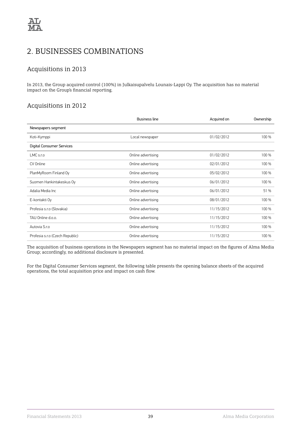# 2. BUSINESSES COMBINATIONS

### Acquisitions in 2013

In 2013, the Group acquired control (100%) in Julkaisupalvelu Lounais-Lappi Oy. The acquisition has no material impact on the Group's financial reporting.

### Acquisitions in 2012

|                                  | <b>Business line</b> | Acquired on | Ownership |
|----------------------------------|----------------------|-------------|-----------|
| Newspapers segment               |                      |             |           |
| Koti-Kymppi                      | Local newspaper      | 01/02/2012  | 100 %     |
| <b>Digital Consumer Services</b> |                      |             |           |
| $LMC$ s.r.o                      | Online advertising   | 01/02/2012  | 100 %     |
| CV Online                        | Online advertising   | 02/01/2012  | 100 %     |
| PlanMyRoom Finland Oy            | Online advertising   | 05/02/2012  | 100 %     |
| Suomen Hankintakeskus Oy         | Online advertising   | 06/01/2012  | 100 %     |
| Adalia Media Inc                 | Online advertising   | 06/01/2012  | 51 %      |
| E-kontakti Oy                    | Online advertising   | 08/01/2012  | 100 %     |
| Profesia s.r.o (Slovakia)        | Online advertising   | 11/15/2012  | 100 %     |
| TAU Online d.o.o.                | Online advertising   | 11/15/2012  | 100 %     |
| Autovia S.r.o                    | Online advertising   | 11/15/2012  | 100 %     |
| Profesia s.r.o (Czech Republic)  | Online advertising   | 11/15/2012  | 100 %     |

The acquisition of business operations in the Newspapers segment has no material impact on the figures of Alma Media Group; accordingly, no additional disclosure is presented.

For the Digital Consumer Services segment, the following table presents the opening balance sheets of the acquired operations, the total acquisition price and impact on cash flow.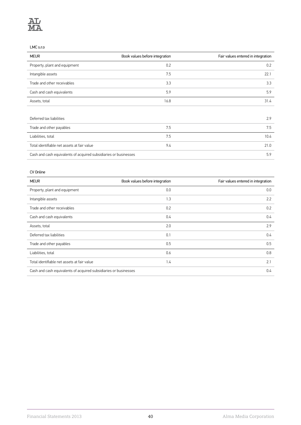#### LMC s.r.o

| <b>MEUR</b>                                                      | Book values before integration | Fair values entered in integration |
|------------------------------------------------------------------|--------------------------------|------------------------------------|
| Property, plant and equipment                                    | 0.2                            | 0.2                                |
| Intangible assets                                                | 7.5                            | 22.1                               |
| Trade and other receivables                                      | 3.3                            | 3.3                                |
| Cash and cash equivalents                                        | 5.9                            | 5.9                                |
| Assets, total                                                    | 16.8                           | 31.4                               |
|                                                                  |                                |                                    |
| Deferred tax liabilities                                         |                                | 2.9                                |
| Trade and other payables                                         | 7.5                            | 7.5                                |
| Liabilities, total                                               | 7.5                            | 10.4                               |
| Total identifiable net assets at fair value                      | 9.4                            | 21.0                               |
| Cash and cash equivalents of acquired subsidiaries or businesses |                                |                                    |

#### CV Online

| <b>MEUR</b>                                                      | Book values before integration | Fair values entered in integration |
|------------------------------------------------------------------|--------------------------------|------------------------------------|
| Property, plant and equipment                                    | 0.0                            | 0.0                                |
| Intangible assets                                                | 1.3                            | 2.2                                |
| Trade and other receivables                                      | 0.2                            | 0.2                                |
| Cash and cash equivalents                                        | 0.4                            | 0.4                                |
| Assets, total                                                    | 2.0                            | 2.9                                |
| Deferred tax liabilities                                         | 0.1                            | 0.4                                |
| Trade and other payables                                         | 0.5                            | 0.5                                |
| Liabilities, total                                               | 0.6                            | 0.8                                |
| Total identifiable net assets at fair value                      | 1.4                            | 2.1                                |
| Cash and cash equivalents of acquired subsidiaries or businesses |                                | 0.4                                |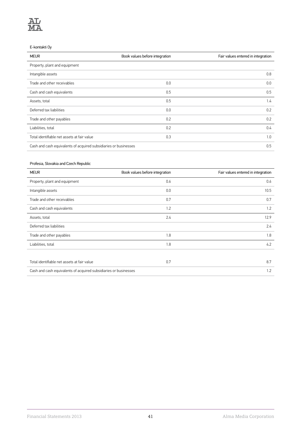#### E-kontakti Oy

| <b>MEUR</b>                                                      | Book values before integration | Fair values entered in integration |
|------------------------------------------------------------------|--------------------------------|------------------------------------|
| Property, plant and equipment                                    |                                |                                    |
| Intangible assets                                                |                                | 0.8                                |
| Trade and other receivables                                      | 0.0                            | 0.0                                |
| Cash and cash equivalents                                        | 0.5                            | 0.5                                |
| Assets, total                                                    | 0.5                            | 1.4                                |
| Deferred tax liabilities                                         | 0.0                            | 0.2                                |
| Trade and other payables                                         | 0.2                            | 0.2                                |
| Liabilities, total                                               | 0.2                            | 0.4                                |
| Total identifiable net assets at fair value                      | 0.3                            | 1.0                                |
| Cash and cash equivalents of acquired subsidiaries or businesses |                                | 0.5                                |

### Profesia, Slovakia and Czech Republic

| <b>MEUR</b>                                                      | Book values before integration | Fair values entered in integration |
|------------------------------------------------------------------|--------------------------------|------------------------------------|
| Property, plant and equipment                                    | 0.6                            | 0.6                                |
| Intangible assets                                                | 0.0                            | 10.5                               |
| Trade and other receivables                                      | 0.7                            | 0.7                                |
| Cash and cash equivalents                                        | 1.2                            | 1.2                                |
| Assets, total                                                    | 2.4                            | 12.9                               |
| Deferred tax liabilities                                         |                                | 2.4                                |
| Trade and other payables                                         | 1.8                            | 1.8                                |
| Liabilities, total                                               | 1.8                            | 4.2                                |
|                                                                  |                                |                                    |
| Total identifiable net assets at fair value                      | 0.7                            | 8.7                                |
| Cash and cash equivalents of acquired subsidiaries or businesses |                                | 1.2                                |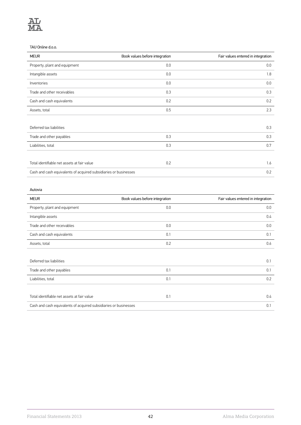#### TAU Online d.o.o.

| <b>MEUR</b>                                                      | Book values before integration | Fair values entered in integration |
|------------------------------------------------------------------|--------------------------------|------------------------------------|
| Property, plant and equipment                                    | 0.0                            | 0.0                                |
| Intangible assets                                                | 0.0                            | 1.8                                |
| Inventories                                                      | 0.0                            | 0.0                                |
| Trade and other receivables                                      | 0.3                            | 0.3                                |
| Cash and cash equivalents                                        | 0.2                            | 0.2                                |
| Assets, total                                                    | 0.5                            | 2.3                                |
|                                                                  |                                |                                    |
| Deferred tax liabilities                                         |                                | 0.3                                |
| Trade and other payables                                         | 0.3                            | 0.3                                |
| Liabilities, total                                               | 0.3                            | 0.7                                |
|                                                                  |                                |                                    |
| Total identifiable net assets at fair value                      | 0.2                            | 1.6                                |
| Cash and cash equivalents of acquired subsidiaries or businesses |                                | 0.2                                |

#### Autovia

| <b>MEUR</b>                                                      | Book values before integration | Fair values entered in integration |
|------------------------------------------------------------------|--------------------------------|------------------------------------|
| Property, plant and equipment                                    | 0.0                            | 0.0                                |
| Intangible assets                                                |                                | 0.4                                |
| Trade and other receivables                                      | 0.0                            | 0.0                                |
| Cash and cash equivalents                                        | 0.1                            | 0.1                                |
| Assets, total                                                    | 0.2                            | 0.6                                |
|                                                                  |                                |                                    |
| Deferred tax liabilities                                         |                                | 0.1                                |
| Trade and other payables                                         | 0.1                            | 0.1                                |
| Liabilities, total                                               | 0.1                            | 0.2                                |
|                                                                  |                                |                                    |
| Total identifiable net assets at fair value                      | 0.1                            | 0.4                                |
| Cash and cash equivalents of acquired subsidiaries or businesses |                                | 0.1                                |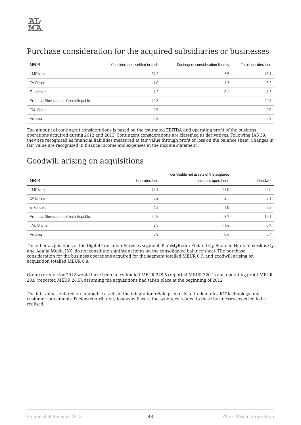# Purchase consideration for the acquired subsidiaries or businesses

| <b>MEUR</b>                           | Consideration, settled in cash | Contingent consideration liability | Total consideration |
|---------------------------------------|--------------------------------|------------------------------------|---------------------|
| LMC s.r.o                             | 39.2                           | 3.9                                | 43.1                |
| CV Online                             | 4.0                            | 1.2                                | 5.2                 |
| E-kontakti                            | 4.2                            | 0.1                                | 4.3                 |
| Profesia, Slovakia and Czech Republic | 20.8                           |                                    | 20.8                |
| <b>TAU Online</b>                     | 2.5                            |                                    | 2.5                 |
| Autovia                               | 0.8                            |                                    | 0.8                 |

The amount of contingent considerations is based on the estimated EBITDA and operating profit of the business operations acquired during 2012 and 2013. Contingent considerations are classified as derivatives. Following IAS 39, they are recognised as financial liabilities measured at fair value through profit or loss on the balance sheet. Changes in fair value are recognised in finance income and expenses in the income statement.

### Goodwill arising on acquisitions

|                                       |               | Identifiable net assets of the acquired |          |
|---------------------------------------|---------------|-----------------------------------------|----------|
| <b>MEUR</b>                           | Consideration | business operations                     | Goodwill |
| $LMC$ s.r.o                           | 43.1          | $-21.0$                                 | 22.0     |
| CV Online                             | 5.2           | $-2.1$                                  | 3.1      |
| E-kontakti                            | 4.3           | $-1.0$                                  | 3.3      |
| Profesia, Slovakia and Czech Republic | 20.8          | $-8.7$                                  | 12.1     |
| <b>TAU Online</b>                     | 2.5           | $-1.6$                                  | 0.9      |
| Autovia                               | 0.8           | $-0.4$                                  | 0.4      |

The other acquisitions of the Digital Consumer Services segment, PlanMyRoom Finland Oy, Suomen Hankintakeskus Oy and Adalia Media INC, do not constitute significant items on the consolidated balance sheet. The purchase consideration for the business operations acquired for the segment totalled MEUR 0.7, and goodwill arising on acquisition totalled MEUR 0.8.

Group revenue for 2012 would have been an estimated MEUR 329.5 (reported MEUR 320.1) and operating profit MEUR 28.0 (reported MEUR 26.5), assuming the acquisitions had taken place at the beginning of 2012.

The fair values entered on intangible assets in the integration relate primarily to trademarks, ICT technology and customer agreements. Factors contributory to goodwill were the synergies related to these businesses expected to be realised.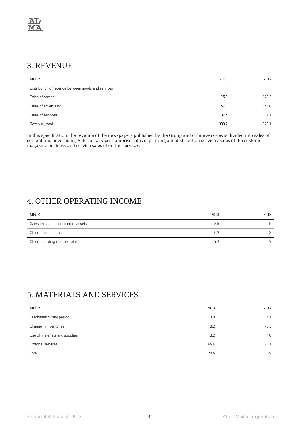# 3. REVENUE

| <b>MEUR</b>                                        | 2013  | 2012  |
|----------------------------------------------------|-------|-------|
| Distribution of revenue between goods and services |       |       |
| Sales of content                                   | 115.3 | 122.3 |
| Sales of advertising                               | 147.3 | 160.8 |
| Sales of services                                  | 37.6  | 37.1  |
| Revenue, total                                     | 300.2 | 320.1 |

In this specification, the revenue of the newspapers published by the Group and online services is divided into sales of content and advertising. Sales of services comprise sales of printing and distribution services, sales of the customer magazine business and service sales of online services.

# 4. OTHER OPERATING INCOME

| <b>MEUR</b>                         | 2013 | 2012 |
|-------------------------------------|------|------|
| Gains on sale of non-current assets | 8.5  | Ս.๖  |
| Other income items                  | 0.7  |      |
| Other operating income, total       | 9.2  | ე.9  |

# 5. MATERIALS AND SERVICES

| <b>MEUR</b>                   | 2013 | 2012   |
|-------------------------------|------|--------|
| Purchases during period       | 13.0 | 15.7   |
| Change in inventories         | 0.2  | $-0.3$ |
| Use of materials and supplies | 13.2 | 14.8   |
| <b>External services</b>      | 66.4 | 70.1   |
| Total                         | 79.6 | 84.9   |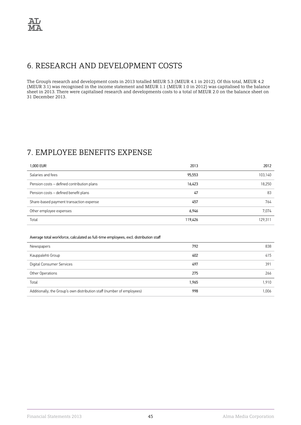## 6. RESEARCH AND DEVELOPMENT COSTS

The Group's research and development costs in 2013 totalled MEUR 5.3 (MEUR 4.1 in 2012). Of this total, MEUR 4.2 (MEUR 3.1) was recognised in the income statement and MEUR 1.1 (MEUR 1.0 in 2012) was capitalised to the balance sheet in 2013. There were capitalised research and developments costs to a total of MEUR 2.0 on the balance sheet on 31 December 2013.

# 7. EMPLOYEE BENEFITS EXPENSE

| 1,000 EUR                                  | 2013    | 2012    |
|--------------------------------------------|---------|---------|
| Salaries and fees                          | 95,553  | 103,140 |
| Pension costs - defined contribution plans | 16,423  | 18,250  |
| Pension costs – defined benefit plans      | 47      | 83      |
| Share-based payment transaction expense    | 457     | 764     |
| Other employee expenses                    | 6,946   | 7,074   |
| Total                                      | 119,426 | 129,311 |

#### Average total workforce, calculated as full-time employees, excl. distribution staff

| Newspapers                                                             | 792   | 838   |
|------------------------------------------------------------------------|-------|-------|
| Kauppalehti Group                                                      | 402   | 415   |
| Digital Consumer Services                                              | 497   | 391   |
| Other Operations                                                       | 275   | 266   |
| Total                                                                  | 1,965 | 1,910 |
| Additionally, the Group's own distribution staff (number of employees) | 998   | 1,006 |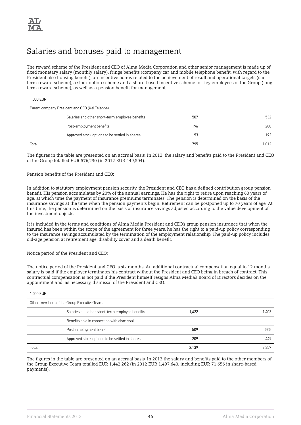# Salaries and bonuses paid to management

The reward scheme of the President and CEO of Alma Media Corporation and other senior management is made up of fixed monetary salary (monthly salary), fringe benefits (company car and mobile telephone benefit, with regard to the President also housing benefit), an incentive bonus related to the achievement of result and operational targets (shortterm reward scheme), a stock option scheme and a share-based incentive scheme for key employees of the Group (longterm reward scheme), as well as a pension benefit for management.

#### 1,000 EUR

| Parent company President and CEO (Kai Telanne) |                                                 |     |      |
|------------------------------------------------|-------------------------------------------------|-----|------|
|                                                | Salaries and other short-term employee benefits | 507 | 532  |
|                                                | Post-employment benefits                        | 196 | 288  |
|                                                | Approved stock options to be settled in shares  | 93  | 192  |
| Total                                          |                                                 | 795 | .012 |

The figures in the table are presented on an accrual basis. In 2013, the salary and benefits paid to the President and CEO of the Group totalled EUR 576,230 (in 2012 EUR 449,504).

#### Pension benefits of the President and CEO:

In addition to statutory employment pension security, the President and CEO has a defined contribution group pension benefit. His pension accumulates by 20% of the annual earnings. He has the right to retire upon reaching 60 years of age, at which time the payment of insurance premiums terminates. The pension is determined on the basis of the insurance savings at the time when the pension payments begin. Retirement can be postponed up to 70 years of age. At this time, the pension is determined on the basis of insurance savings adjusted according to the value development of the investment objects.

It is included in the terms and conditions of Alma Media President and CEO's group pension insurance that when the insured has been within the scope of the agreement for three years, he has the right to a paid-up policy corresponding to the insurance savings accumulated by the termination of the employment relationship. The paid-up policy includes old-age pension at retirement age, disability cover and a death benefit.

Notice period of the President and CEO:

The notice period of the President and CEO is six months. An additional contractual compensation equal to 12 months' salary is paid if the employer terminates his contract without the President and CEO being in breach of contract. This contractual compensation is not paid if the President himself resigns Alma Media's Board of Directors decides on the appointment and, as necessary, dismissal of the President and CEO.

#### 1,000 EUR

| Other members of the Group Executive Team       |       |       |
|-------------------------------------------------|-------|-------|
| Salaries and other short-term employee benefits | 1,422 | 1,403 |
| Benefits paid in connection with dismissal      |       |       |
| Post-employment benefits                        | 509   | 505   |
| Approved stock options to be settled in shares  | 209   | 449   |
| Total                                           | 2.139 | 2.357 |

The figures in the table are presented on an accrual basis. In 2013 the salary and benefits paid to the other members of the Group Executive Team totalled EUR 1,442,262 (in 2012 EUR 1,497,640, including EUR 71,656 in share-based payments).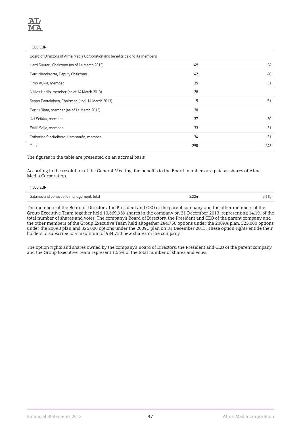#### 1,000 EUR

| Board of Directors of Alma Media Corporation and benefits paid to its members |     |     |
|-------------------------------------------------------------------------------|-----|-----|
| Harri Suutari, Chairman (as of 14 March 2013)                                 | 49  | 34  |
| Petri Niemisvirta, Deputy Chairman                                            | 42  | 40  |
| Timo Aukia, member                                                            | 35  | 31  |
| Niklas Herlin, member (as of 14 March 2013)                                   | 28  |     |
| Seppo Paatelainen, Chairman (until 14 March 2013)                             | 5   | 51  |
| Perttu Rinta, member (as of 14 March 2013)                                    | 30  |     |
| Kai Seikku, member                                                            | 37  | 30  |
| Erkki Solja, member                                                           | 33  | 31  |
| Catharina Stackelberg-Hammarén, member                                        | 34  | 31  |
| Total                                                                         | 290 | 246 |

The figures in the table are presented on an accrual basis.

According to the resolution of the General Meeting, the benefits to the Board members are paid as shares of Alma Media Corporation.

### 1,000 EUR

| Salaries and bonuses to management, total | 3.224 | 3.6 I S |
|-------------------------------------------|-------|---------|
|-------------------------------------------|-------|---------|

The members of the Board of Directors, the President and CEO of the parent company and the other members of the Group Executive Team together held 10,669,959 shares in the company on 31 December 2013, representing 14.1% of the total number of shares and votes. The company's Board of Directors, the President and CEO of the parent company and the other members of the Group Executive Team held altogether 284,750 options under the 2009A plan, 325,000 options under the 2009B plan and 325,000 options under the 2009C plan on 31 December 2013. These option rights entitle their holders to subscribe to a maximum of 934,750 new shares in the company.

The option rights and shares owned by the company's Board of Directors, the President and CEO of the parent company and the Group Executive Team represent 1.56% of the total number of shares and votes.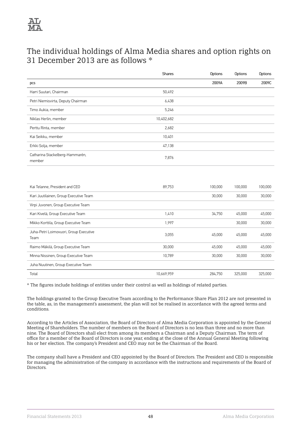

## The individual holdings of Alma Media shares and option rights on 31 December 2013 are as follows \*

|                                           | Shares     | Options | Options | Options |
|-------------------------------------------|------------|---------|---------|---------|
| pcs                                       |            | 2009A   | 2009B   | 2009C   |
| Harri Suutari, Chairman                   | 50,492     |         |         |         |
| Petri Niemisvirta, Deputy Chairman        | 6,438      |         |         |         |
| Timo Aukia, member                        | 5,246      |         |         |         |
| Niklas Herlin, member                     | 10,402,682 |         |         |         |
| Perttu Rinta, member                      | 2,682      |         |         |         |
| Kai Seikku, member                        | 10,401     |         |         |         |
| Erkki Solja, member                       | 47,138     |         |         |         |
| Catharina Stackelberg-Hammarén,<br>member | 7,876      |         |         |         |
|                                           |            |         |         |         |

| Kai Telanne, President and CEO                 | 89.753     | 100,000 | 100.000 | 100,000 |
|------------------------------------------------|------------|---------|---------|---------|
| Kari Juutilainen, Group Executive Team         |            | 30,000  | 30,000  | 30,000  |
| Virpi Juvonen, Group Executive Team            |            |         |         |         |
| Kari Kivelä, Group Executive Team              | 1,410      | 34,750  | 45,000  | 45,000  |
| Mikko Korttila, Group Executive Team           | 1.997      |         | 30,000  | 30,000  |
| Juha-Petri Loimovuori, Group Executive<br>Team | 3,055      | 45,000  | 45,000  | 45,000  |
| Raimo Mäkilä, Group Executive Team             | 30,000     | 45,000  | 45,000  | 45,000  |
| Minna Nissinen, Group Executive Team           | 10.789     | 30,000  | 30,000  | 30,000  |
| Juha Nuutinen, Group Executive Team            |            |         |         |         |
| Total                                          | 10,669,959 | 284.750 | 325,000 | 325,000 |

\* The figures include holdings of entities under their control as well as holdings of related parties.

The holdings granted to the Group Executive Team according to the Performance Share Plan 2012 are not presented in the table, as, in the management's assessment, the plan will not be realised in accordance with the agreed terms and conditions.

According to the Articles of Association, the Board of Directors of Alma Media Corporation is appointed by the General Meeting of Shareholders. The number of members on the Board of Directors is no less than three and no more than nine. The Board of Directors shall elect from among its members a Chairman and a Deputy Chairman. The term of office for a member of the Board of Directors is one year, ending at the close of the Annual General Meeting following his or her election. The company's President and CEO may not be the Chairman of the Board.

The company shall have a President and CEO appointed by the Board of Directors. The President and CEO is responsible for managing the administration of the company in accordance with the instructions and requirements of the Board of Directors.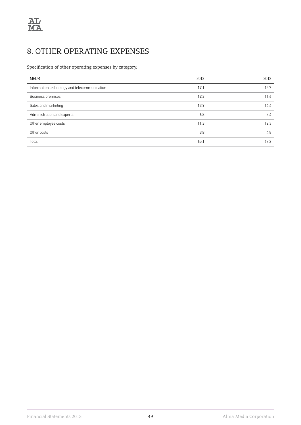# 8. OTHER OPERATING EXPENSES

Specification of other operating expenses by category.

| <b>MEUR</b>                                  | 2013 | 2012 |
|----------------------------------------------|------|------|
| Information technology and telecommunication | 17.1 | 15.7 |
| Business premises                            | 12.3 | 11.6 |
| Sales and marketing                          | 13.9 | 14.4 |
| Administration and experts                   | 6.8  | 8.4  |
| Other employee costs                         | 11.3 | 12.3 |
| Other costs                                  | 3.8  | 4.8  |
| Total                                        | 65.1 | 67.2 |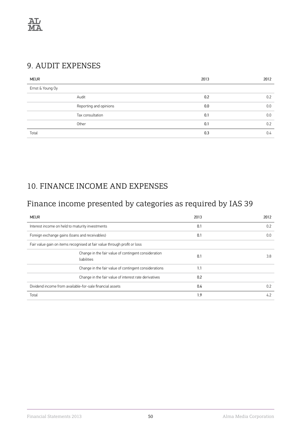

## 9. AUDIT EXPENSES

| <b>MEUR</b>            | 2013 | 2012 |
|------------------------|------|------|
| Ernst & Young Oy       |      |      |
| Audit                  | 0.2  | 0.2  |
| Reporting and opinions | 0.0  | 0.0  |
| Tax consultation       | 0.1  | 0.0  |
| Other                  | 0.1  | 0.2  |
| Total                  | 0.3  | 0.4  |

# 10. FINANCE INCOME AND EXPENSES

# Finance income presented by categories as required by IAS 39

| <b>MEUR</b>                                                              | 2013 | 2012 |
|--------------------------------------------------------------------------|------|------|
| Interest income on held to maturity investments                          | 0.1  | 0.2  |
| Foreign exchange gains (loans and receivables)                           | 0.1  | 0.0  |
| Fair value gain on items recognised at fair value through profit or loss |      |      |
| Change in the fair value of contingent consideration<br>liabilities      | 0.1  | 3.8  |
| Change in the fair value of contingent considerations                    | 1.1  |      |
| Change in the fair value of interest rate derivatives                    | 0.2  |      |
| Dividend income from available-for-sale financial assets                 | 0.4  | 0.2  |
| Total                                                                    | 1.9  | 4.2  |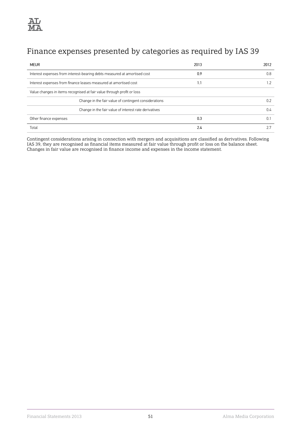# Finance expenses presented by categories as required by IAS 39

| <b>MEUR</b>                                                              | 2013 | 2012 |
|--------------------------------------------------------------------------|------|------|
| Interest expenses from interest-bearing debts measured at amortised cost | 0.9  | 0.8  |
| Interest expenses from finance leases measured at amortised cost         | 1.1  | 1.2  |
| Value changes in items recognised at fair value through profit or loss   |      |      |
| Change in the fair value of contingent considerations                    |      | 0.2  |
| Change in the fair value of interest rate derivatives                    |      | 0.4  |
| Other finance expenses                                                   | 0.3  | 0.1  |
| Total                                                                    | 2.4  |      |

Contingent considerations arising in connection with mergers and acquisitions are classified as derivatives. Following IAS 39, they are recognised as financial items measured at fair value through profit or loss on the balance sheet. Changes in fair value are recognised in finance income and expenses in the income statement.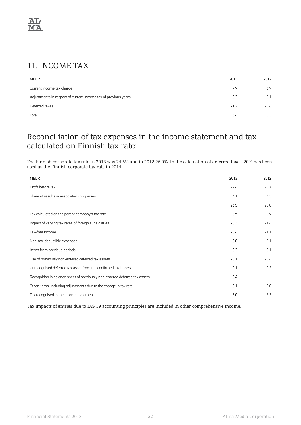# 11. INCOME TAX

| <b>MEUR</b>                                                    | 2013   | 2012 |
|----------------------------------------------------------------|--------|------|
| Current income tax charge                                      | 7.9    | 6.9  |
| Adjustments in respect of current income tax of previous years | $-0.3$ |      |
| Deferred taxes                                                 | $-1.2$ | -0.6 |
| Total                                                          | 6.4    | 6.3  |

## Reconciliation of tax expenses in the income statement and tax calculated on Finnish tax rate:

The Finnish corporate tax rate in 2013 was 24.5% and in 2012 26.0%. In the calculation of deferred taxes, 20% has been used as the Finnish corporate tax rate in 2014.

| <b>MEUR</b>                                                                | 2013   | 2012   |
|----------------------------------------------------------------------------|--------|--------|
| Profit before tax                                                          | 22.4   | 23.7   |
| Share of results in associated companies                                   | 4.1    | 4.3    |
|                                                                            | 26.5   | 28.0   |
| Tax calculated on the parent company's tax rate                            | 6.5    | 6.9    |
| Impact of varying tax rates of foreign subsidiaries                        | $-0.3$ | $-1.4$ |
| Tax-free income                                                            | $-0.6$ | $-1.1$ |
| Non-tax-deductible expenses                                                | 0.8    | 2.1    |
| Items from previous periods                                                | $-0.3$ | 0.1    |
| Use of previously non-entered deferred tax assets                          | $-0.1$ | $-0.4$ |
| Unrecognised deferred tax asset from the confirmed tax losses              | 0.1    | 0.2    |
| Recognition in balance sheet of previously non-entered deferred tax assets | 0.4    |        |
| Other items, including adjustments due to the change in tax rate           | $-0.1$ | 0.0    |
| Tax recognised in the income statement                                     | 6.0    | 6.3    |

Tax impacts of entries due to IAS 19 accounting principles are included in other comprehensive income.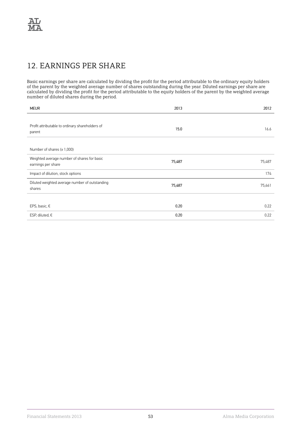# 12. EARNINGS PER SHARE

Basic earnings per share are calculated by dividing the profit for the period attributable to the ordinary equity holders of the parent by the weighted average number of shares outstanding during the year. Diluted earnings per share are calculated by dividing the profit for the period attributable to the equity holders of the parent by the weighted average number of diluted shares during the period.

| <b>MEUR</b>                                                       | 2013   | 2012   |
|-------------------------------------------------------------------|--------|--------|
| Profit attributable to ordinary shareholders of<br>parent         | 15.0   | 16.6   |
| Number of shares (x 1,000)                                        |        |        |
| Weighted average number of shares for basic<br>earnings per share | 75,487 | 75,487 |
| Impact of dilution, stock options                                 |        | 174    |
| Diluted weighted average number of outstanding<br>shares          | 75,487 | 75,661 |
|                                                                   |        |        |
| EPS, basic, $\epsilon$                                            | 0.20   | 0.22   |
| ESP, diluted, $\epsilon$                                          | 0.20   | 0.22   |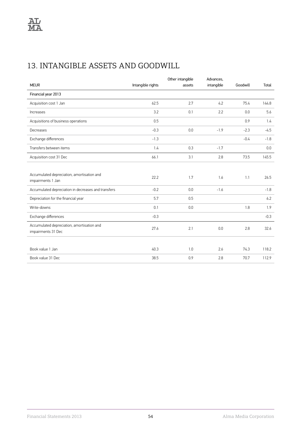# 13. INTANGIBLE ASSETS AND GOODWILL

|                                                                  |                   | Other intangible | Advances,  |          |        |
|------------------------------------------------------------------|-------------------|------------------|------------|----------|--------|
| <b>MEUR</b>                                                      | Intangible rights | assets           | intangible | Goodwill | Total  |
| Financial year 2013                                              |                   |                  |            |          |        |
| Acquisition cost 1 Jan                                           | 62.5              | 2.7              | 4.2        | 75.4     | 144.8  |
| Increases                                                        | 3.2               | 0.1              | 2.2        | 0.0      | 5.6    |
| Acquisitions of business operations                              | 0.5               |                  |            | 0.9      | 1.4    |
| Decreases                                                        | $-0.3$            | 0.0              | $-1.9$     | $-2.3$   | $-4.5$ |
| Exchange differences                                             | $-1.3$            |                  |            | $-0.4$   | $-1.8$ |
| Transfers between items                                          | 1.4               | 0.3              | $-1.7$     |          | 0.0    |
| Acquisition cost 31 Dec                                          | 66.1              | 3.1              | 2.8        | 73.5     | 145.5  |
|                                                                  |                   |                  |            |          |        |
| Accumulated depreciation, amortisation and<br>impairments 1 Jan  | 22.2              | 1.7              | 1.6        | 1.1      | 26.5   |
| Accumulated depreciation in decreases and transfers              | $-0.2$            | 0.0              | $-1.6$     |          | $-1.8$ |
| Depreciation for the financial year                              | 5.7               | 0.5              |            |          | 6.2    |
| Write-downs                                                      | 0.1               | 0.0              |            | 1.8      | 1.9    |
| Exchange differences                                             | $-0.3$            |                  |            |          | $-0.3$ |
| Accumulated depreciation, amortisation and<br>impairments 31 Dec | 27.6              | 2.1              | 0.0        | 2.8      | 32.6   |
|                                                                  |                   |                  |            |          |        |
| Book value 1 Jan                                                 | 40.3              | 1.0              | 2.6        | 74.3     | 118.2  |
| Book value 31 Dec                                                | 38.5              | 0.9              | 2.8        | 70.7     | 112.9  |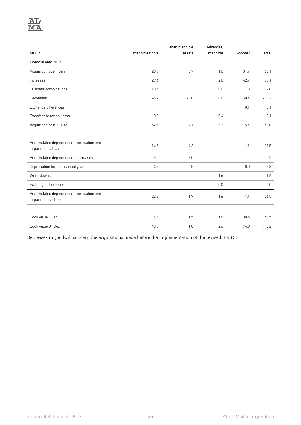

|                                                                  |                   | Other intangible | Advances,  |          |         |
|------------------------------------------------------------------|-------------------|------------------|------------|----------|---------|
| <b>MEUR</b>                                                      | Intangible rights | assets           | intangible | Goodwill | Total   |
| Financial year 2012                                              |                   |                  |            |          |         |
| Acquisition cost 1 Jan                                           | 20.9              | 5.7              | 1.8        | 31.7     | 60.1    |
| Increases                                                        | 29.6              |                  | 2.8        | 42.7     | 75.1    |
| <b>Business combinations</b>                                     | 18.5              |                  | 0.0        | 1.3      | 19.8    |
| Decreases                                                        | $-6.7$            | $-3.0$           | 0.0        | $-0.4$   | $-10.2$ |
| Exchange differences                                             |                   |                  |            | 0.1      | 0.1     |
| Transfers between items                                          | 0.3               |                  | $-0.4$     |          | $-0.1$  |
| Acquisition cost 31 Dec                                          | 62.5              | 2.7              | 4.2        | 75.4     | 144.8   |
|                                                                  |                   |                  |            |          |         |
| Accumulated depreciation, amortisation and<br>impairments 1 Jan  | 14.3              | 4.2              |            | 1.1      | 19.5    |
| Accumulated depreciation in decreases                            | 3.2               | $-3.0$           |            |          | 0.2     |
| Depreciation for the financial year                              | 4.8               | 0.5              |            | 0.0      | 5.3     |
| Write-downs                                                      |                   |                  | 1.6        |          | 1.6     |
| Exchange differences                                             |                   |                  | 0.0        |          | 0.0     |
| Accumulated depreciation, amortisation and<br>impairments 31 Dec | 22.2              | 1.7              | 1.6        | 1.1      | 26.5    |
|                                                                  |                   |                  |            |          |         |
| Book value 1 Jan                                                 | 6.6               | 1.5              | 1.8        | 30.6     | 40.5    |
| Book value 31 Dec                                                | 40.3              | 1.0              | 2.6        | 74.3     | 118.2   |

Decreases in goodwill concern the acquisitions made before the implementation of the revised IFRS 3.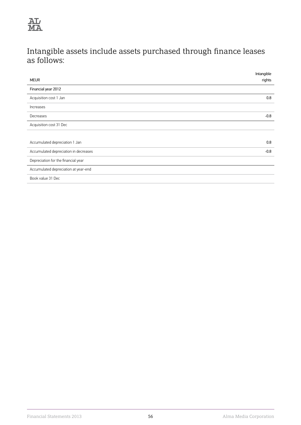

# Intangible assets include assets purchased through finance leases as follows:

| Intangible |
|------------|
| rights     |
|            |
| 0.8        |
|            |
| $-0.8$     |
|            |
|            |
| 0.8        |
| $-0.8$     |
|            |
|            |
|            |
|            |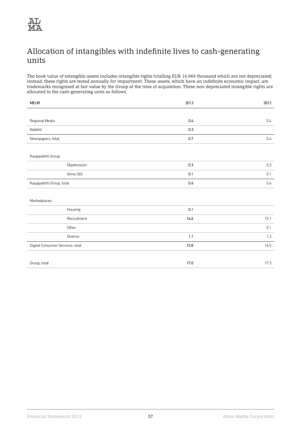

## Allocation of intangibles with indefinite lives to cash-generating units

The book value of intangible assets includes intangible rights totalling EUR 16,969 thousand which are not depreciated; instead, these rights are tested annually for impairment. These assets, which have an indefinite economic impact, are trademarks recognised at fair value by the Group at the time of acquisition. These non-depreciated intangible rights are allocated to the cash-generating units as follows:

| <b>MEUR</b>                      | 2013    | 2012    |
|----------------------------------|---------|---------|
|                                  |         |         |
| Regional Media                   | 0.4     | $0.4\,$ |
| Iltalehti                        | $0.3\,$ |         |
| Newspapers, total                | $0.7\,$ | 0.4     |
|                                  |         |         |
| Kauppalehti Group                |         |         |
| Objektvision                     | 0.3     | 0.3     |
| Alma 360                         | 0.1     | 0.1     |
| Kauppalehti Group, total         | $0.4\,$ | 0.4     |
|                                  |         |         |
| Marketplaces                     |         |         |
| Housing                          | $0.1\,$ |         |
| Recruitment                      | 14.6    | 15.1    |
| Other                            |         | 0.1     |
| Diverso                          | $1.1\,$ | 1.3     |
| Digital Consumer Services, total | 15.8    | 16.5    |
|                                  |         |         |
| Group, total                     | 17.0    | 17.3    |
|                                  |         |         |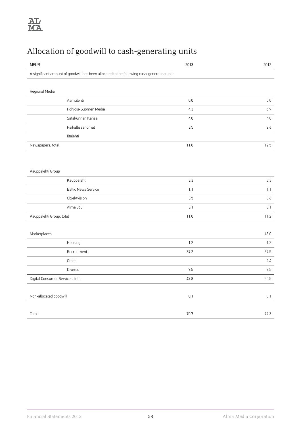# Allocation of goodwill to cash-generating units

| <b>MEUR</b>                                                                                | 2013   | 2012 |
|--------------------------------------------------------------------------------------------|--------|------|
| A significant amount of goodwill has been allocated to the following cash-generating units |        |      |
|                                                                                            |        |      |
| Regional Media                                                                             |        |      |
| Aamulehti                                                                                  | 0.0    | 0.0  |
| Pohjois-Suomen Media                                                                       | 4.3    | 5.9  |
| Satakunnan Kansa                                                                           | 4.0    | 4.0  |
| Paikallissanomat                                                                           | 3.5    | 2.6  |
| Iltalehti                                                                                  |        |      |
| Newspapers, total                                                                          | 11.8   | 12.5 |
|                                                                                            |        |      |
|                                                                                            |        |      |
| Kauppalehti Group                                                                          |        |      |
| Kauppalehti                                                                                | 3.3    | 3.3  |
| <b>Baltic News Service</b>                                                                 | 1.1    | 1.1  |
| Objektvision                                                                               | 3.5    | 3.6  |
| Alma 360                                                                                   | 3.1    | 3.1  |
| Kauppalehti Group, total                                                                   | $11.0$ | 11.2 |
|                                                                                            |        |      |
| Marketplaces                                                                               |        | 43.0 |
| Housing                                                                                    | $1.2$  | 1.2  |
| Recruitment                                                                                | 39.2   | 39.5 |
| Other                                                                                      |        | 2.4  |
| Diverso                                                                                    | 7.5    | 7.5  |
| Digital Consumer Services, total                                                           | 47.8   | 50.5 |
|                                                                                            |        |      |
| Non-allocated goodwill                                                                     | 0.1    | 0.1  |
|                                                                                            |        |      |
| Total                                                                                      | 70.7   | 74.3 |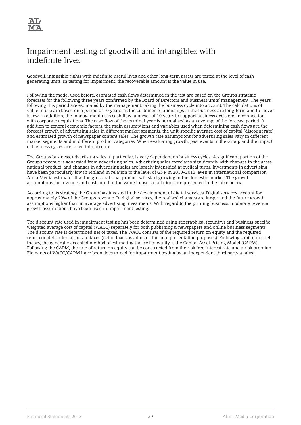

# Impairment testing of goodwill and intangibles with indefinite lives

Goodwill, intangible rights with indefinite useful lives and other long-term assets are tested at the level of cash generating units. In testing for impairment, the recoverable amount is the value in use.

Following the model used before, estimated cash flows determined in the test are based on the Group's strategic forecasts for the following three years confirmed by the Board of Directors and business units' management. The years following this period are estimated by the management, taking the business cycle into account. The calculations of value in use are based on a period of 10 years, as the customer relationships in the business are long-term and turnover is low. In addition, the management uses cash flow analyses of 10 years to support business decisions in connection with corporate acquisitions. The cash flow of the terminal year is normalised as an average of the forecast period. In addition to general economic factors, the main assumptions and variables used when determining cash flows are the forecast growth of advertising sales in different market segments, the unit-specific average cost of capital (discount rate) and estimated growth of newspaper content sales. The growth rate assumptions for advertising sales vary in different market segments and in different product categories. When evaluating growth, past events in the Group and the impact of business cycles are taken into account.

The Group's business, advertising sales in particular, is very dependent on business cycles. A significant portion of the Group's revenue is generated from advertising sales. Advertising sales correlates significantly with changes in the gross national product, and changes in advertising sales are largely intensified at cyclical turns. Investments in advertising have been particularly low in Finland in relation to the level of GNP in 2010–2013, even in international comparison. Alma Media estimates that the gross national product will start growing in the domestic market. The growth assumptions for revenue and costs used in the value in use calculations are presented in the table below.

According to its strategy, the Group has invested in the development of digital services. Digital services account for approximately 29% of the Group's revenue. In digital services, the realised changes are larger and the future growth assumptions higher than in average advertising investments. With regard to the printing business, moderate revenue growth assumptions have been used in impairment testing.

The discount rate used in impairment testing has been determined using geographical (country) and business-specific weighted average cost of capital (WACC) separately for both publishing & newspapers and online business segments. The discount rate is determined net of taxes. The WACC consists of the required return on equity and the required return on debt after corporate taxes (net of taxes as adjusted for final presentation purposes). Following capital market theory, the generally accepted method of estimating the cost of equity is the Capital Asset Pricing Model (CAPM). Following the CAPM, the rate of return on equity can be constructed from the risk free interest rate and a risk premium. Elements of WACC/CAPM have been determined for impairment testing by an independent third party analyst.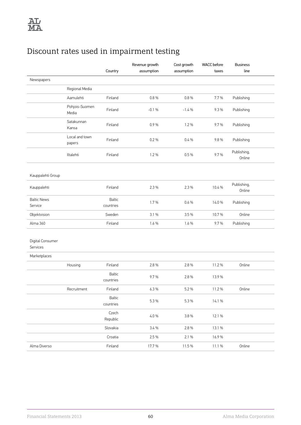# Discount rates used in impairment testing

|                               |                          | Country                    | Revenue growth<br>assumption | Cost growth<br>assumption | <b>WACC</b> before<br>taxes | <b>Business</b><br>line |  |
|-------------------------------|--------------------------|----------------------------|------------------------------|---------------------------|-----------------------------|-------------------------|--|
| Newspapers                    |                          |                            |                              |                           |                             |                         |  |
|                               | Regional Media           |                            |                              |                           |                             |                         |  |
|                               | Aamulehti                | Finland                    | 0.8%                         | 0.8%                      | 7.7%                        | Publishing              |  |
|                               | Pohjois-Suomen           |                            |                              |                           |                             |                         |  |
|                               | Media                    | Finland                    | $-0.1%$                      | $-1.4%$                   | 9.3%                        | Publishing              |  |
|                               | Satakunnan<br>Kansa      | Finland                    | 0.9%                         | 1.2 %                     | 9.7%                        | Publishing              |  |
|                               | Local and town<br>papers | Finland                    | 0.2%                         | 0.4%                      | 9.8%                        | Publishing              |  |
|                               | Iltalehti                | Finland                    | 1.2 %                        | 0.5%                      | 9.7%                        | Publishing,<br>Online   |  |
| Kauppalehti Group             |                          |                            |                              |                           |                             |                         |  |
| Kauppalehti                   |                          | Finland                    | 2.3 %                        | 2.3 %                     | 10.4 %                      | Publishing,<br>Online   |  |
| <b>Baltic News</b><br>Service |                          | <b>Baltic</b><br>countries | 1.7%                         | 0.6 %                     | 14.0%                       | Publishing              |  |
| Objektvision                  |                          | Sweden                     | 3.1 %                        | 3.5%                      | 10.7%                       | Online                  |  |
| Alma 360                      |                          | Finland                    | 1.6 %                        | 1.6 %                     | 9.7%                        | Publishing              |  |
| Digital Consumer<br>Services  |                          |                            |                              |                           |                             |                         |  |
| Marketplaces                  |                          |                            |                              |                           |                             |                         |  |
|                               | Housing                  | Finland                    | 2.8 %                        | 2.8 %                     | 11.2%                       | Online                  |  |
|                               |                          | <b>Baltic</b><br>countries | 9.7%                         | 2.8 %                     | 13.9%                       |                         |  |
|                               | Recruitment              | Finland                    | 6.3%                         | 5.2 %                     | 11.2%                       | Online                  |  |
|                               |                          | Baltic<br>countries        | 5.3%                         | 5.3 %                     | 14.1 %                      |                         |  |
|                               |                          | Czech<br>Republic          | 4.0%                         | $3.8\ \%$                 | 12.1 %                      |                         |  |
|                               |                          | Slovakia                   | 3.4%                         | 2.8 %                     | 13.1 %                      |                         |  |
|                               |                          | Croatia                    | 2.5 %                        | 2.1 %                     | 16.9%                       |                         |  |
| Alma Diverso                  |                          | Finland                    | 17.7%                        | 11.5%                     | 11.1 %                      | Online                  |  |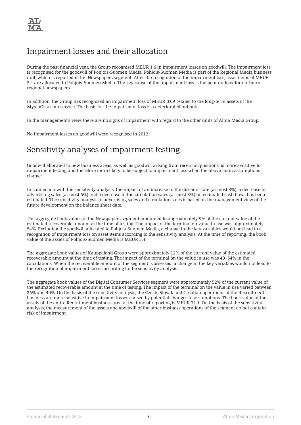# Impairment losses and their allocation

During the past financial year, the Group recognised MEUR 1.6 in impairment losses on goodwill. The impairment loss is recognised for the goodwill of Pohjois-Suomen Media. Pohjois-Suomen Media is part of the Regional Media business unit, which is reported in the Newspapers segment. After the recognition of the impairment loss, asset items of MEUR 5.4 are allocated to Pohjois-Suomen Media. The key cause of the impairment loss is the poor outlook for northern regional newspapers.

In addition, the Group has recognised an impairment loss of MEUR 0.09 related to the long-term assets of the MyyJaOsta.com service. The basis for the impairment loss is a deteriorated outlook.

In the management's view, there are no signs of impairment with regard to the other units of Alma Media Group.

No impairment losses on goodwill were recognised in 2012.

## Sensitivity analyses of impairment testing

Goodwill allocated to new business areas, as well as goodwill arising from recent acquisitions, is more sensitive to impairment testing and therefore more likely to be subject to impairment loss when the above main assumptions change.

In connection with the sensitivity analysis, the impact of an increase in the discount rate (at most 3%), a decrease in advertising sales (at most 6%) and a decrease in the circulation sales (at most 3%) on estimated cash flows has been estimated. The sensitivity analysis of advertising sales and circulation sales is based on the management view of the future development on the balance sheet date.

The aggregate book values of the Newspapers segment amounted to approximately 9% of the current value of the estimated recoverable amount at the time of testing. The impact of the terminal on value in use was approximately 54%. Excluding the goodwill allocated to Pohjois-Suomen Media, a change in the key variables would not lead to a recognition of impairment loss on asset items according to the sensitivity analysis. At the time of reporting, the book value of the assets of Pohjois-Suomen Media is MEUR 5.4.

The aggregate book values of Kauppalehti Group were approximately 12% of the current value of the estimated recoverable amount at the time of testing. The impact of the terminal on the value in use was 40–54% in the calculations. When the recoverable amount of the segment is assessed, a change in the key variables would not lead to the recognition of impairment losses according to the sensitivity analysis.

The aggregate book values of the Digital Consumer Services segment were approximately 52% of the current value of the estimated recoverable amount at the time of testing. The impact of the terminal on the value in use varied between 26% and 40%. On the basis of the sensitivity analysis, the Czech, Slovak and Croatian operations of the Recruitment business are more sensitive to impairment losses caused by potential changes in assumptions. The book value of the assets of the entire Recruitment business area at the time of reporting is MEUR 71.1. On the basis of the sensitivity analysis, the measurement of the assets and goodwill of the other business operations of the segment do not contain risk of impairment.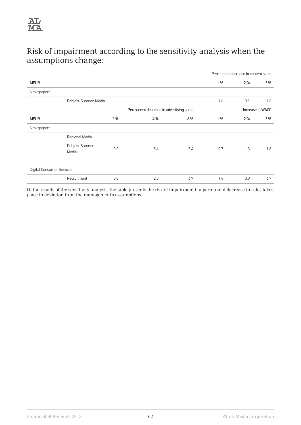

# Risk of impairment according to the sensitivity analysis when the assumptions change:

|                           |                         |     |                                         |     | Permanent decrease in content sales |                  |     |
|---------------------------|-------------------------|-----|-----------------------------------------|-----|-------------------------------------|------------------|-----|
| <b>MEUR</b>               |                         |     |                                         |     | 1 %                                 | 2 %              | 3%  |
| Newspapers                |                         |     |                                         |     |                                     |                  |     |
|                           | Pohjois-Suomen Media    |     |                                         |     | 1.6                                 | 3.1              | 4.6 |
|                           |                         |     | Permanent decrease in advertising sales |     |                                     | Increase in WACC |     |
| <b>MEUR</b>               |                         | 2 % | 4%                                      | 6 % | 1 %                                 | 2%               | 3%  |
| Newspapers                |                         |     |                                         |     |                                     |                  |     |
|                           | Regional Media          |     |                                         |     |                                     |                  |     |
|                           | Pohjois-Suomen<br>Media | 3.0 | 5.4                                     | 5.4 | 0.7                                 | 1.3              | 1.8 |
| Digital Consumer Services |                         |     |                                         |     |                                     |                  |     |
|                           | Recruitment             | 0.8 | 2.0                                     | 6.9 | 1.4                                 | 3.0              | 6.7 |

Of the results of the sensitivity analysis, the table presents the risk of impairment if a permanent decrease in sales takes place in deviation from the management's assumptions.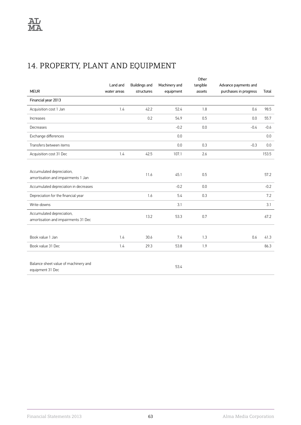# 14. PROPERTY, PLANT AND EQUIPMENT

|                                                                  |             |                      |                 | Other    |                       |        |
|------------------------------------------------------------------|-------------|----------------------|-----------------|----------|-----------------------|--------|
|                                                                  | Land and    | <b>Buildings and</b> | Machinery and   | tangible | Advance payments and  |        |
| <b>MEUR</b>                                                      | water areas | structures           | equipment       | assets   | purchases in progress | Total  |
| Financial year 2013                                              |             |                      |                 |          |                       |        |
| Acquisition cost 1 Jan                                           | 1.4         | 42.2                 | 52.4            | 1.8      | 0.6                   | 98.5   |
| Increases                                                        |             | 0.2                  | 54.9            | 0.5      | 0.0                   | 55.7   |
| Decreases                                                        |             |                      | $-0.2$          | 0.0      | $-0.4$                | $-0.6$ |
| Exchange differences                                             |             |                      | 0.0             |          |                       | 0.0    |
| Transfers between items                                          |             |                      | 0.0             | 0.3      | $-0.3$                | 0.0    |
| Acquisition cost 31 Dec                                          | 1.4         | 42.5                 | 107.1           | 2.6      |                       | 153.5  |
|                                                                  |             |                      |                 |          |                       |        |
| Accumulated depreciation,<br>amortisation and impairments 1 Jan  |             | 11.6                 | 45.1            | 0.5      |                       | 57.2   |
| Accumulated depreciation in decreases                            |             |                      | $-0.2$          | 0.0      |                       | $-0.2$ |
| Depreciation for the financial year                              |             | 1.6                  | 5.4             | 0.3      |                       | 7.2    |
| Write-downs                                                      |             |                      | 3.1             |          |                       | 3.1    |
| Accumulated depreciation,<br>amortisation and impairments 31 Dec |             | 13.2                 | 53.3            | 0.7      |                       | 67.2   |
|                                                                  |             |                      |                 |          |                       |        |
| Book value 1 Jan                                                 | 1.4         | 30.6                 | 7.4             | 1.3      | 0.6                   | 41.3   |
| Book value 31 Dec                                                | 1.4         | 29.3                 | 53.8            | 1.9      |                       | 86.3   |
|                                                                  |             |                      |                 |          |                       |        |
| Balance sheet value of machinery and                             |             |                      | $\Gamma \cap L$ |          |                       |        |

equipment 31 Dec

53.4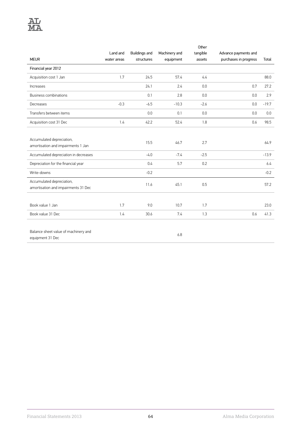|                                       |             |               |               | Other    |                       |         |
|---------------------------------------|-------------|---------------|---------------|----------|-----------------------|---------|
|                                       | Land and    | Buildings and | Machinery and | tangible | Advance payments and  |         |
| <b>MEUR</b>                           | water areas | structures    | equipment     | assets   | purchases in progress | Total   |
| Financial year 2012                   |             |               |               |          |                       |         |
| Acquisition cost 1 Jan                | 1.7         | 24.5          | 57.4          | 4.4      |                       | 88.0    |
| Increases                             |             | 24.1          | 2.4           | 0.0      | 0.7                   | 27.2    |
| Business combinations                 |             | 0.1           | 2.8           | 0.0      | 0.0                   | 2.9     |
| Decreases                             | $-0.3$      | $-6.5$        | $-10.3$       | $-2.6$   | 0.0                   | $-19.7$ |
| Transfers between items               |             | 0.0           | 0.1           | 0.0      | 0.0                   | 0.0     |
| Acquisition cost 31 Dec               | 1.4         | 42.2          | 52.4          | 1.8      | 0.6                   | 98.5    |
|                                       |             |               |               |          |                       |         |
| Accumulated depreciation,             |             | 15.5          | 46.7          | 2.7      |                       | 64.9    |
| amortisation and impairments 1 Jan    |             |               |               |          |                       |         |
| Accumulated depreciation in decreases |             | $-4.0$        | $-7.4$        | $-2.5$   |                       | $-13.9$ |
| Depreciation for the financial year   |             | 0.4           | 5.7           | 0.2      |                       | 6.4     |
| Write-downs                           |             | $-0.2$        |               |          |                       | $-0.2$  |
| Accumulated depreciation,             |             | 11.6          | 45.1          | 0.5      |                       | 57.2    |
| amortisation and impairments 31 Dec   |             |               |               |          |                       |         |
|                                       |             |               |               |          |                       |         |
| Book value 1 Jan                      | 1.7         | 9.0           | 10.7          | 1.7      |                       | 23.0    |
| Book value 31 Dec                     | 1.4         | 30.6          | 7.4           | 1.3      | 0.6                   | 41.3    |
|                                       |             |               |               |          |                       |         |

Balance sheet value of machinery and equipment 31 Dec

6.8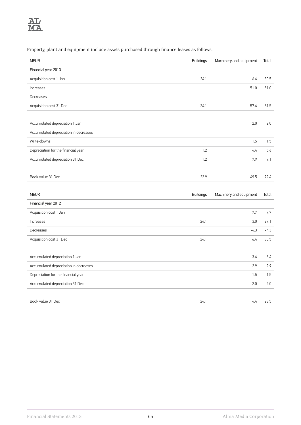Property, plant and equipment include assets purchased through finance leases as follows:

| <b>MEUR</b>                           | <b>Buildings</b> | Machinery and equipment | Total         |
|---------------------------------------|------------------|-------------------------|---------------|
| Financial year 2013                   |                  |                         |               |
| Acquisition cost 1 Jan                | 24.1             | 6.4                     | 30.5          |
| Increases                             |                  | 51.0                    | 51.0          |
| Decreases                             |                  |                         |               |
| Acquisition cost 31 Dec               | 24.1             | 57.4                    | 81.5          |
|                                       |                  |                         |               |
| Accumulated depreciation 1 Jan        |                  | 2.0                     | 2.0           |
| Accumulated depreciation in decreases |                  |                         |               |
| Write-downs                           |                  | 1.5                     | 1.5           |
| Depreciation for the financial year   | 1.2              | 4.4                     | 5.6           |
| Accumulated depreciation 31 Dec       | 1.2              | 7.9                     | 9.1           |
|                                       |                  |                         |               |
| Book value 31 Dec                     | 22.9             | 49.5                    | 72.4          |
|                                       |                  |                         |               |
| <b>MEUR</b>                           | <b>Buildings</b> | Machinery and equipment | Total         |
| Financial year 2012                   |                  |                         |               |
| Acquisition cost 1 Jan                |                  | 7.7                     | 7.7           |
| Increases                             | 24.1             | 3.0                     | 27.1          |
| Docropeoc                             |                  | $\frac{1}{2}$           | $\frac{1}{2}$ |

| Decreases                             |      | -4.3   | -4.3   |
|---------------------------------------|------|--------|--------|
| Acquisition cost 31 Dec               | 24.1 | 6.4    | 30.5   |
|                                       |      |        |        |
| Accumulated depreciation 1 Jan        |      | 3.4    | 3.4    |
| Accumulated depreciation in decreases |      | $-2.9$ | $-2.9$ |
| Depreciation for the financial year   |      | 1.5    | 1.5    |
| Accumulated depreciation 31 Dec       |      | 2.0    | 2.0    |
|                                       |      |        |        |
| Book value 31 Dec                     | 24.1 | 4.4    | 28.5   |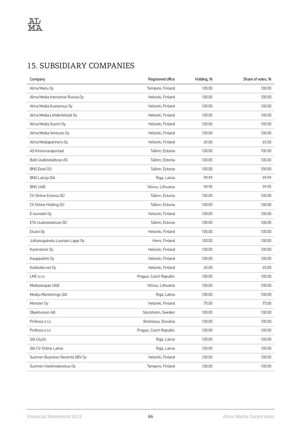# 15. SUBSIDIARY COMPANIES

| Company                          | Registered office      | Holding, % | Share of votes, % |
|----------------------------------|------------------------|------------|-------------------|
| Alma Manu Oy                     | Tampere, Finland       | 100.00     | 100.00            |
| Alma Media Interactive Russia Oy | Helsinki, Finland      | 100.00     | 100.00            |
| Alma Media Kustannus Oy          | Helsinki, Finland      | 100.00     | 100.00            |
| Alma Media Lehdentekijät Oy      | Helsinki, Finland      | 100.00     | 100.00            |
| Alma Media Suomi Oy              | Helsinki, Finland      | 100.00     | 100.00            |
| Alma Media Ventures Oy           | Helsinki, Finland      | 100.00     | 100.00            |
| Alma Mediapartners Oy            | Helsinki, Finland      | 65.00      | 65.00             |
| AS Kinnisvaraportaal             | Tallinn, Estonia       | 100.00     | 100.00            |
| Balti Uudistetalituse AS         | Tallinn, Estonia       | 100.00     | 100.00            |
| <b>BNS Eesti OÜ</b>              | Tallinn, Estonia       | 100.00     | 100.00            |
| <b>BNS Latvija SIA</b>           | Riga, Latvia           | 99.99      | 99.99             |
| <b>BNS UAB</b>                   | Vilnius, Lithuania     | 99.95      | 99.95             |
| CV-Online Estonia OÜ             | Tallinn, Estonia       | 100.00     | 100.00            |
| CV Online Holding OÜ             | Tallinn, Estonia       | 100.00     | 100.00            |
| E-kontakti Oy                    | Helsinki, Finland      | 100.00     | 100.00            |
| ETA Uudistetalituse OÜ           | Tallinn, Estonia       | 100.00     | 100.00            |
| Etuovi Oy                        | Helsinki, Finland      | 100.00     | 100.00            |
| Julkaisupalvelu Lounais-Lappi Oy | Kemi, Finland          | 100.00     | 100.00            |
| Karenstock Oy                    | Helsinki, Finland      | 100.00     | 100.00            |
| Kauppalehti Oy                   | Helsinki, Finland      | 100.00     | 100.00            |
| Kotikokki.net Oy                 | Helsinki, Finland      | 65.00      | 65.00             |
| LMC s.r.o                        | Prague, Czech Republic | 100.00     | 100.00            |
| Mediaskopas UAB                  | Vilnius, Lithuania     | 100.00     | 100.00            |
| Mediju Monitorings SIA           | Riga, Latvia           | 100.00     | 100.00            |
| Monster Oy                       | Helsinki, Finland      | 75.00      | 75.00             |
| Objektvision AB                  | Stockholm, Sweden      | 100.00     | 100.00            |
| Profesia s.r.o                   | Bratislava, Slovakia   | 100.00     | 100.00            |
| Profesia s.r.o                   | Prague, Czech Republic | 100.00     | 100.00            |
| SIA City24                       | Riga, Latvia           | 100.00     | 100.00            |
| SIA CV-Online Latvia             | Riga, Latvia           | 100.00     | 100.00            |
| Suomen Business Viestintä SBV Oy | Helsinki, Finland      | 100.00     | 100.00            |
| Suomen Hankintakeskus Oy         | Tampere, Finland       | 100.00     | 100.00            |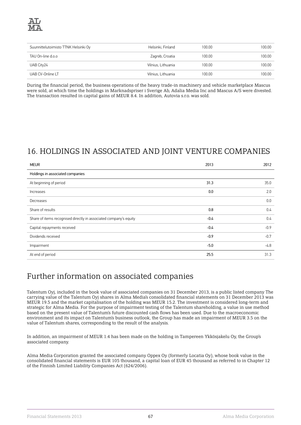

| Suunnittelutoimisto TTNK Helsinki Oy | Helsinki, Finland  | 100.00 | 100.00 |
|--------------------------------------|--------------------|--------|--------|
| TAU On-line d.o.o                    | Zagreb, Croatia    | 100.00 | 100.00 |
| UAB City24                           | Vilnius, Lithuania | 100.00 | 100.00 |
| UAB CV-Online LT                     | Vilnius, Lithuania | 100.00 | 100.00 |

During the financial period, the business operations of the heavy trade-in machinery and vehicle marketplace Mascus were sold, at which time the holdings in Marknadspriser i Sverige Ab, Adalia Media Inc and Mascus A/S were divested. The transaction resulted in capital gains of MEUR 8.4. In addition, Autovia s.r.o. was sold.

# 16. HOLDINGS IN ASSOCIATED AND JOINT VENTURE COMPANIES

| <b>MEUR</b>                                                       | 2013   | 2012   |
|-------------------------------------------------------------------|--------|--------|
| Holdings in associated companies                                  |        |        |
| At beginning of period                                            | 31.3   | 35.0   |
| Increases                                                         | 0.0    | 2.0    |
| Decreases                                                         |        | 0.0    |
| Share of results                                                  | 0.8    | 0.4    |
| Share of items recognised directly in associated company's equity | $-0.4$ | 0.4    |
| Capital repayments received                                       | $-0.4$ | $-0.9$ |
| Dividends received                                                | $-0.9$ | $-0.7$ |
| Impairment                                                        | $-5.0$ | $-4.8$ |
| At end of period                                                  | 25.5   | 31.3   |

## Further information on associated companies

Talentum Oyj, included in the book value of associated companies on 31 December 2013, is a public listed company The carrying value of the Talentum Oyj shares in Alma Media's consolidated financial statements on 31 December 2013 was MEUR 19.5 and the market capitalisation of the holding was MEUR 15.2. The investment is considered long-term and strategic for Alma Media. For the purpose of impairment testing of the Talentum shareholding, a value in use method based on the present value of Talentum's future discounted cash flows has been used. Due to the macroeconomic environment and its impact on Talentum's business outlook, the Group has made an impairment of MEUR 3.5 on the value of Talentum shares, corresponding to the result of the analysis.

In addition, an impairment of MEUR 1.4 has been made on the holding in Tampereen Ykkösjakelu Oy, the Group's associated company.

Alma Media Corporation granted the associated company Oppex Oy (formerly Locatia Oy), whose book value in the consolidated financial statements is EUR 105 thousand, a capital loan of EUR 45 thousand as referred to in Chapter 12 of the Finnish Limited Liability Companies Act (624/2006).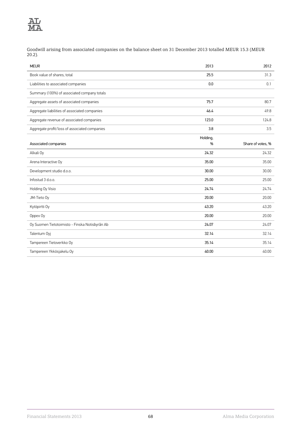

Goodwill arising from associated companies on the balance sheet on 31 December 2013 totalled MEUR 15.3 (MEUR 20.2).

| <b>MEUR</b>                                    | 2013     | 2012              |
|------------------------------------------------|----------|-------------------|
| Book value of shares, total                    | 25.5     | 31.3              |
| Liabilities to associated companies            | 0.0      | 0.1               |
| Summary (100%) of associated company totals    |          |                   |
| Aggregate assets of associated companies       | 75.7     | 80.7              |
| Aggregate liabilities of associated companies  | 46.4     | 49.8              |
| Aggregate revenue of associated companies      | 123.0    | 124.8             |
| Aggregate profit/loss of associated companies  | 3.8      | 3.5               |
|                                                | Holding, |                   |
| Associated companies                           | %        | Share of votes, % |
| Alkali Oy                                      | 24.32    | 24.32             |
| Arena Interactive Oy                           | 35.00    | 35.00             |
| Development studio d.o.o.                      | 30.00    | 30.00             |
| Infostud 3 d.o.o.                              | 25.00    | 25.00             |
| Holding Oy Visio                               | 24.74    | 24.74             |
| JM-Tieto Oy                                    | 20.00    | 20.00             |
| Kytöpirtti Oy                                  | 43.20    | 43.20             |
| Oppex Oy                                       | 20.00    | 20.00             |
| Oy Suomen Tietotoimisto - Finska Notisbyrån Ab | 24.07    | 24.07             |
| Talentum Oyj                                   | 32.14    | 32.14             |
| Tampereen Tietoverkko Oy                       | 35.14    | 35.14             |
| Tampereen Ykkösjakelu Oy                       | 40.00    | 40.00             |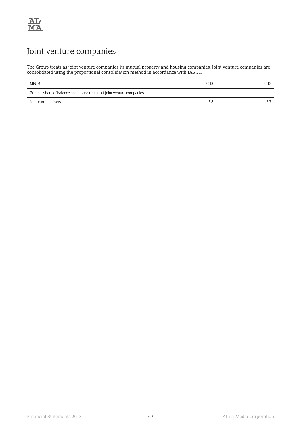

# Joint venture companies

The Group treats as joint venture companies its mutual property and housing companies. Joint venture companies are consolidated using the proportional consolidation method in accordance with IAS 31.

| <b>MEUR</b>                                                            | 2013 | 2012 |
|------------------------------------------------------------------------|------|------|
| Group's share of balance sheets and results of joint venture companies |      |      |
| Non-current assets                                                     | 3.8  | っヮ   |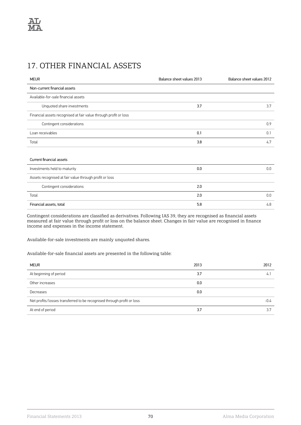# 17. OTHER FINANCIAL ASSETS

| <b>MEUR</b>                                                      | Balance sheet values 2013 | Balance sheet values 2012 |
|------------------------------------------------------------------|---------------------------|---------------------------|
| Non-current financial assets                                     |                           |                           |
| Available-for-sale financial assets                              |                           |                           |
| Unquoted share investments                                       | 3.7                       | 3.7                       |
| Financial assets recognised at fair value through profit or loss |                           |                           |
| Contingent considerations                                        |                           | 0.9                       |
| Loan receivables                                                 | 0.1                       | 0.1                       |
| Total                                                            | 3.8                       | 4.7                       |
|                                                                  |                           |                           |
| Current financial assets                                         |                           |                           |
| Investments held to maturity                                     | 0.0                       | 0.0                       |
| Assets recognised at fair value through profit or loss           |                           |                           |
| Contingent considerations                                        | 2.0                       |                           |
| Total                                                            | 2.0                       | 0.0                       |
| Financial assets, total                                          | 5.8                       | 4.8                       |

Contingent considerations are classified as derivatives. Following IAS 39, they are recognised as financial assets measured at fair value through profit or loss on the balance sheet. Changes in fair value are recognised in finance income and expenses in the income statement.

Available-for-sale investments are mainly unquoted shares.

Available-for-sale financial assets are presented in the following table:

| <b>MEUR</b>                                                            | 2013 | 2012   |
|------------------------------------------------------------------------|------|--------|
| At beginning of period                                                 | 3.7  | 4.     |
| Other increases                                                        | 0.0  |        |
| Decreases                                                              | 0.0  |        |
| Net profits/losses transferred to be recognised through profit or loss |      | $-0.4$ |
| At end of period                                                       | 3.7  | 3.7    |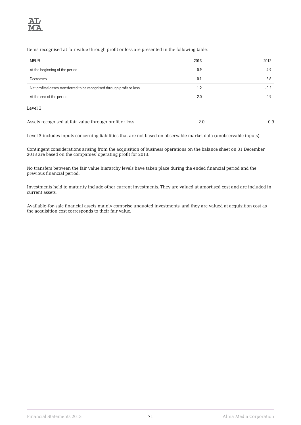

Items recognised at fair value through profit or loss are presented in the following table:

| <b>MEUR</b>                                                            | 2013   | 2012   |
|------------------------------------------------------------------------|--------|--------|
| At the beginning of the period                                         | 0.9    | 4.9    |
| Decreases                                                              | $-0.1$ | $-3.8$ |
| Net profits/losses transferred to be recognised through profit or loss | 1.2    | $-0.2$ |
| At the end of the period                                               | 2.0    | 0.9    |
| Level 3                                                                |        |        |
| Assets recognised at fair value through profit or loss                 | 2.0    | 0.9    |

Level 3 includes inputs concerning liabilities that are not based on observable market data (unobservable inputs).

Contingent considerations arising from the acquisition of business operations on the balance sheet on 31 December 2013 are based on the companies' operating profit for 2013.

No transfers between the fair value hierarchy levels have taken place during the ended financial period and the previous financial period.

Investments held to maturity include other current investments. They are valued at amortised cost and are included in current assets.

Available-for-sale financial assets mainly comprise unquoted investments, and they are valued at acquisition cost as the acquisition cost corresponds to their fair value.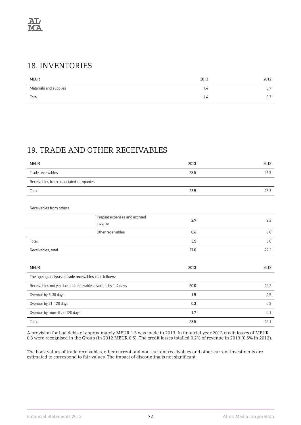### 18. INVENTORIES

| <b>MEUR</b>            | 2013 | 2012         |
|------------------------|------|--------------|
| Materials and supplies | 1.4  | υ.,          |
| Total                  | I.4  | $\sim$<br>υ. |

# 19. TRADE AND OTHER RECEIVABLES

| <b>MEUR</b>                                                 |                                        | 2013 | 2012 |
|-------------------------------------------------------------|----------------------------------------|------|------|
| Trade receivables                                           |                                        | 23.5 | 26.3 |
| Receivables from associated companies                       |                                        |      |      |
| Total                                                       |                                        | 23.5 | 26.3 |
|                                                             |                                        |      |      |
| Receivables from others                                     |                                        |      |      |
|                                                             | Prepaid expenses and accrued<br>income | 2.9  | 2.2  |
|                                                             | Other receivables                      | 0.6  | 0.8  |
| Total                                                       |                                        | 3.5  | 3.0  |
| Receivables, total                                          |                                        | 27.0 | 29.3 |
|                                                             |                                        |      |      |
| <b>MEUR</b>                                                 |                                        | 2013 | 2012 |
| The ageing analysis of trade receivables is as follows:     |                                        |      |      |
| Receivables not yet due and receivables overdue by 1-4 days |                                        | 20.0 | 22.2 |
| Overdue by 5-30 days                                        |                                        | 1.5  | 2.5  |
| Overdue by 31-120 days                                      |                                        | 0.3  | 0.3  |
| Overdue by more than 120 days                               |                                        | 1.7  | 0.1  |
| Total                                                       |                                        | 23.5 | 25.1 |

A provision for bad debts of approximately MEUR 1.3 was made in 2013. In financial year 2013 credit losses of MEUR 0.3 were recognised in the Group (in 2012 MEUR 0.5). The credit losses totalled 0.2% of revenue in 2013 (0.5% in 2012).

The book values of trade receivables, other current and non-current receivables and other current investments are estimated to correspond to fair values. The impact of discounting is not significant.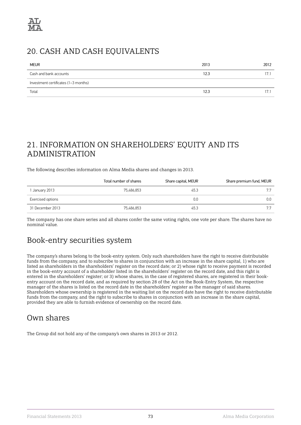### 20. CASH AND CASH EQUIVALENTS

| <b>MEUR</b>                          | 2013 | 2012 |
|--------------------------------------|------|------|
| Cash and bank accounts               | 12.3 | 17.1 |
| Investment certificates (1-3 months) |      |      |
| Total                                | 12.3 | 17.  |

### 21. INFORMATION ON SHAREHOLDERS' EQUITY AND ITS ADMINISTRATION

The following describes information on Alma Media shares and changes in 2013.

|                   | Total number of shares | Share capital, MEUR | Share premium fund, MEUR |
|-------------------|------------------------|---------------------|--------------------------|
| 1 January 2013    | 75.486.853             | 45.3                | 77                       |
| Exercised options |                        | 0.0                 | 0.0                      |
| 31 December 2013  | 75.486.853             | 45.3                |                          |

The company has one share series and all shares confer the same voting rights, one vote per share. The shares have no nominal value.

### Book-entry securities system

The company's shares belong to the book-entry system. Only such shareholders have the right to receive distributable funds from the company, and to subscribe to shares in conjunction with an increase in the share capital, 1) who are listed as shareholders in the shareholders' register on the record date; or 2) whose right to receive payment is recorded in the book-entry account of a shareholder listed in the shareholders' register on the record date, and this right is entered in the shareholders' register; or 3) whose shares, in the case of registered shares, are registered in their bookentry account on the record date, and as required by section 28 of the Act on the Book-Entry System, the respective manager of the shares is listed on the record date in the shareholders' register as the manager of said shares. Shareholders whose ownership is registered in the waiting list on the record date have the right to receive distributable funds from the company, and the right to subscribe to shares in conjunction with an increase in the share capital, provided they are able to furnish evidence of ownership on the record date.

### Own shares

The Group did not hold any of the company's own shares in 2013 or 2012.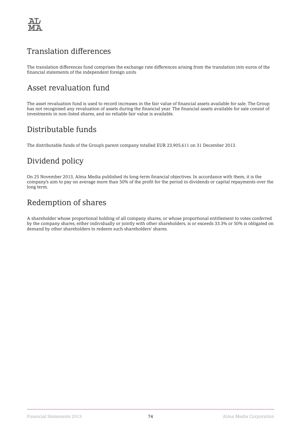

### Translation differences

The translation differences fund comprises the exchange rate differences arising from the translation into euros of the financial statements of the independent foreign units

### Asset revaluation fund

The asset revaluation fund is used to record increases in the fair value of financial assets available for sale. The Group has not recognised any revaluation of assets during the financial year. The financial assets available for sale consist of investments in non-listed shares, and no reliable fair value is available.

### Distributable funds

The distributable funds of the Group's parent company totalled EUR 23,905,611 on 31 December 2013.

# Dividend policy

On 25 November 2013, Alma Media published its long-term financial objectives. In accordance with them, it is the company's aim to pay on average more than 50% of the profit for the period in dividends or capital repayments over the long term.

### Redemption of shares

A shareholder whose proportional holding of all company shares, or whose proportional entitlement to votes conferred by the company shares, either individually or jointly with other shareholders, is or exceeds 33.3% or 50% is obligated on demand by other shareholders to redeem such shareholders' shares.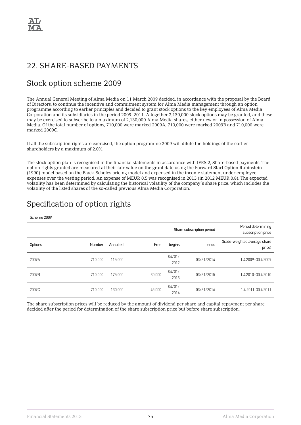### 22. SHARE-BASED PAYMENTS

### Stock option scheme 2009

The Annual General Meeting of Alma Media on 11 March 2009 decided, in accordance with the proposal by the Board of Directors, to continue the incentive and commitment system for Alma Media management through an option programme according to earlier principles and decided to grant stock options to the key employees of Alma Media Corporation and its subsidiaries in the period 2009–2011. Altogether 2,130,000 stock options may be granted, and these may be exercised to subscribe to a maximum of 2,130,000 Alma Media shares, either new or in possession of Alma Media. Of the total number of options, 710,000 were marked 2009A, 710,000 were marked 2009B and 710,000 were marked 2009C.

If all the subscription rights are exercised, the option programme 2009 will dilute the holdings of the earlier shareholders by a maximum of 2.0%.

The stock option plan is recognised in the financial statements in accordance with IFRS 2, Share-based payments. The option rights granted are measured at their fair value on the grant date using the Forward Start Option Rubinstein (1990) model based on the Black-Scholes pricing model and expensed in the income statement under employee expenses over the vesting period. An expense of MEUR 0.5 was recognised in 2013 (in 2012 MEUR 0.8). The expected volatility has been determined by calculating the historical volatility of the company´s share price, which includes the volatility of the listed shares of the so-called previous Alma Media Corporation.

### Specification of option rights

Scheme 2009

|         |         |          |        | Share subscription period | Period determining<br>subscription price |                                         |
|---------|---------|----------|--------|---------------------------|------------------------------------------|-----------------------------------------|
| Options | Number  | Annulled | Free   | begins                    | ends                                     | (trade-weighted average share<br>price) |
| 2009A   | 710,000 | 115,000  |        | 04/01/<br>2012            | 03/31/2014                               | 1.4.2009-30.4.2009                      |
| 2009B   | 710,000 | 175,000  | 30,000 | 04/01/<br>2013            | 03/31/2015                               | 1.4.2010-30.4.2010                      |
| 2009C   | 710,000 | 130.000  | 45,000 | 04/01/<br>2014            | 03/31/2016                               | 1.4.2011-30.4.2011                      |

The share subscription prices will be reduced by the amount of dividend per share and capital repayment per share decided after the period for determination of the share subscription price but before share subscription.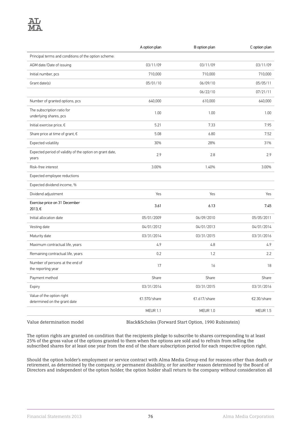|                                                                   | A option plan | B option plan   | C option plan   |
|-------------------------------------------------------------------|---------------|-----------------|-----------------|
| Principal terms and conditions of the option scheme:              |               |                 |                 |
| AGM date/Date of issuing                                          | 03/11/09      | 03/11/09        | 03/11/09        |
| Initial number, pcs                                               | 710,000       | 710,000         | 710,000         |
| Grant date(s)                                                     | 05/01/10      | 06/09/10        | 05/05/11        |
|                                                                   |               | 06/22/10        | 07/21/11        |
| Number of granted options, pcs                                    | 640,000       | 610,000         | 640,000         |
| The subscription ratio for<br>underlying shares, pcs              | 1.00          | 1.00            | 1.00            |
| Initial exercise price, €                                         | 5.21          | 7.33            | 7.95            |
| Share price at time of grant, $\epsilon$                          | 5.08          | 6.80            | 7.52            |
| Expected volatility                                               | 30%           | 28%             | 31%             |
| Expected period of validity of the option on grant date,<br>years | 2.9           | 2.8             | 2.9             |
| Risk-free interest                                                | 3.00%         | 1.40%           | 3.00%           |
| Expected employee reductions                                      |               |                 |                 |
| Expected dividend income, %                                       |               |                 |                 |
| Dividend adjustment                                               | Yes           | Yes             | Yes             |
| Exercise price on 31 December<br>2013, €                          | 3.61          | 6.13            | 7.45            |
| Initial allocation date                                           | 05/01/2009    | 06/09/2010      | 05/05/2011      |
| Vesting date                                                      | 04/01/2012    | 04/01/2013      | 04/01/2014      |
| Maturity date                                                     | 03/31/2014    | 03/31/2015      | 03/31/2016      |
| Maximum contractual life, years                                   | 4.9           | 4.8             | 4.9             |
| Remaining contractual life, years                                 | 0.2           | 1.2             | 2.2             |
| Number of persons at the end of<br>the reporting year             | 17            | 16              | 18              |
| Payment method                                                    | Share         | Share           | Share           |
| Expiry                                                            | 03/31/2014    | 03/31/2015      | 03/31/2016      |
| Value of the option right<br>determined on the grant date         | €1.570/share  | €1.617/share    | €2.30/share     |
|                                                                   | MEUR 1.1      | <b>MEUR 1.0</b> | <b>MEUR 1.5</b> |

Value determination model Black&Scholes (Forward Start Option, 1990 Rubinstein)

The option rights are granted on condition that the recipients pledge to subscribe to shares corresponding to at least 25% of the gross value of the options granted to them when the options are sold and to refrain from selling the subscribed shares for at least one year from the end of the share subscription period for each respective option right.

Should the option holder's employment or service contract with Alma Media Group end for reasons other than death or retirement, as determined by the company, or permanent disability, or for another reason determined by the Board of Directors and independent of the option holder, the option holder shall return to the company without consideration all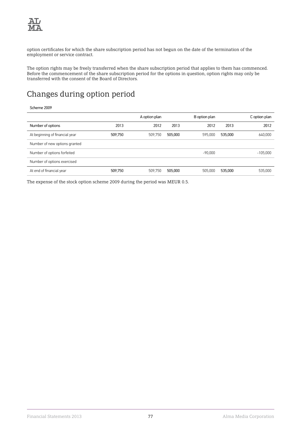

option certificates for which the share subscription period has not begun on the date of the termination of the employment or service contract.

The option rights may be freely transferred when the share subscription period that applies to them has commenced. Before the commencement of the share subscription period for the options in question, option rights may only be transferred with the consent of the Board of Directors.

### Changes during option period

#### Scheme 2009

|                                |         | A option plan |         | B option plan |         | C option plan |
|--------------------------------|---------|---------------|---------|---------------|---------|---------------|
| Number of options              | 2013    | 2012          | 2013    | 2012          | 2013    | 2012          |
| At beginning of financial year | 509,750 | 509,750       | 505,000 | 595.000       | 535,000 | 640.000       |
| Number of new options granted  |         |               |         |               |         |               |
| Number of options forfeited    |         |               |         | $-90.000$     |         | $-105.000$    |
| Number of options exercised    |         |               |         |               |         |               |
| At end of financial year       | 509.750 | 509.750       | 505,000 | 505.000       | 535,000 | 535.000       |

The expense of the stock option scheme 2009 during the period was MEUR 0.5.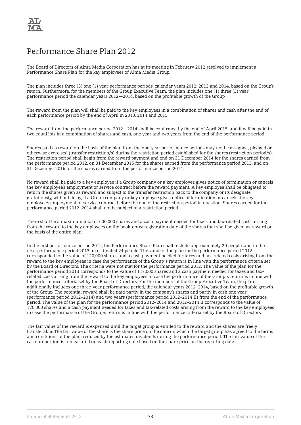### Performance Share Plan 2012

The Board of Directors of Alma Media Corporation has at its meeting in February 2012 resolved to implement a Performance Share Plan for the key employees of Alma Media Group.

The plan includes three (3) one (1) year performance periods, calendar years 2012, 2013 and 2014, based on the Group's return. Furthermore, for the members of the Group Executive Team, the plan includes one (1) three (3) year performance period the calendar years 2012—2014, based on the profitable growth of the Group.

The reward from the plan will shall be paid to the key employees in a combination of shares and cash after the end of each performance period by the end of April in 2013, 2014 and 2015.

The reward from the performance period 2012—2014 shall be confirmed by the end of April 2015, and it will be paid in two equal lots in a combination of shares and cash, one year and two years from the end of the performance period.

Shares paid as reward on the basis of the plan from the one-year performance periods may not be assigned, pledged or otherwise exercised (transfer restriction/s) during the restriction period established for the shares (restriction period/s). The restriction period shall begin from the reward payment and end on 31 December 2014 for the shares earned from the performance period 2012, on 31 December 2015 for the shares earned from the performance period 2013, and on 31 December 2016 for the shares earned from the performance period 2014.

No reward shall be paid to a key employee if a Group company or a key employee gives notice of termination or cancels the key employee's employment or service contract before the reward payment. A key employee shall be obligated to return the shares given as reward and subject to the transfer restriction back to the company or its designate, gratuitously, without delay, if a Group company or key employee gives notice of termination or cancels the key employee's employment or service contract before the end of the restriction period in question. Shares earned for the performance period 2012–2014 shall not be subject to a restriction period.

There shall be a maximum total of 600,000 shares and a cash payment needed for taxes and tax-related costs arising from the reward to the key employees on the book-entry registration date of the shares that shall be given as reward on the basis of the entire plan.

In the first performance period 2012, the Performance Share Plan shall include approximately 20 people, and in the next performance period 2013 an estimated 24 people. The value of the plan for the performance period 2012 corresponded to the value of 120,000 shares and a cash payment needed for taxes and tax-related costs arising from the reward to the key employees in case the performance of the Group´s return is in line with the performance criteria set by the Board of Directors. The criteria were not met for the performance period 2012. The value of the plan for the performance period 2013 corresponds to the value of 117,000 shares and a cash payment needed for taxes and taxrelated costs arising from the reward to the key employees in case the performance of the Group´s return is in line with the performance criteria set by the Board of Directors. For the members of the Group Executive Team, the plan additionally includes one three-year performance period, the calendar years 2012–2014, based on the profitable growth of the Group. The potential reward shall be paid partly in the company's shares and partly in cash one year (performance period 2012–2014) and two years (performance period 2012–2014 II) from the end of the performance period. The value of the plan for the performance period 2012–2014 and 2012–2014 II corresponds to the value of 120,000 shares and a cash payment needed for taxes and tax-related costs arising from the reward to the key employees in case the performance of the Group's return is in line with the performance criteria set by the Board of Directors.

The fair value of the reward is expensed until the target group is entitled to the reward and the shares are freely transferable. The fair value of the share is the share price on the date on which the target group has agreed to the terms and conditions of the plan, reduced by the estimated dividends during the performance period. The fair value of the cash proportion is remeasured on each reporting date based on the share price on the reporting date.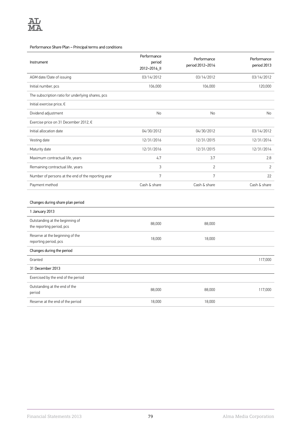#### Performance Share Plan – Principal terms and conditions

| Instrument                                         | Performance<br>period<br>2012-2014_II | Performance<br>period 2012-2014 | Performance<br>period 2013 |
|----------------------------------------------------|---------------------------------------|---------------------------------|----------------------------|
| AGM date/Date of issuing                           | 03/14/2012                            | 03/14/2012                      | 03/14/2012                 |
| Initial number, pcs                                | 106,000                               | 106,000                         | 120,000                    |
| The subscription ratio for underlying shares, pcs  |                                       |                                 |                            |
| Initial exercise price, €                          |                                       |                                 |                            |
| Dividend adjustment                                | No                                    | No                              | <b>No</b>                  |
| Exercise price on 31 December 2012, €              |                                       |                                 |                            |
| Initial allocation date                            | 04/30/2012                            | 04/30/2012                      | 03/14/2012                 |
| Vesting date                                       | 12/31/2016                            | 12/31/2015                      | 12/31/2014                 |
| Maturity date                                      | 12/31/2016                            | 12/31/2015                      | 12/31/2014                 |
| Maximum contractual life, years                    | 4.7                                   | 3.7                             | 2.8                        |
| Remaining contractual life, years                  | 3                                     | $\overline{2}$                  | $\overline{2}$             |
| Number of persons at the end of the reporting year | $\overline{7}$                        | 7                               | 22                         |
| Payment method                                     | Cash & share                          | Cash & share                    | Cash & share               |

#### Changes during share plan period

| 1 January 2013                                               |        |        |         |
|--------------------------------------------------------------|--------|--------|---------|
| Outstanding at the beginning of<br>the reporting period, pcs | 88,000 | 88,000 |         |
| Reserve at the beginning of the<br>reporting period, pcs     | 18,000 | 18,000 |         |
| Changes during the period                                    |        |        |         |
| Granted                                                      |        |        | 117,000 |
| 31 December 2013                                             |        |        |         |
| Exercised by the end of the period                           |        |        |         |
| Outstanding at the end of the<br>period                      | 88,000 | 88,000 | 117,000 |
| Reserve at the end of the period                             | 18,000 | 18,000 |         |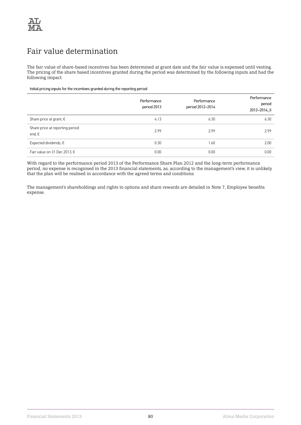

### Fair value determination

The fair value of share-based incentives has been determined at grant date and the fair value is expensed until vesting. The pricing of the share based incentives granted during the period was determined by the following inputs and had the following impact:

#### Initial pricing inputs for the incentives granted during the reporting period

|                                                    | Performance<br>period 2013 | Performance<br>period 2012-2014 | Performance<br>period<br>2012-2014 II |
|----------------------------------------------------|----------------------------|---------------------------------|---------------------------------------|
| Share price at grant, $\epsilon$                   | 4.13                       | 6.30                            | 6.30                                  |
| Share price at reporting period<br>end, $\epsilon$ | 2.99                       | 2.99                            | 2.99                                  |
| Expected dividends, $\epsilon$                     | 0.30                       | 1.60                            | 2.00                                  |
| Fair value on 31 Dec 2013, €                       | 0.00                       | 0.00                            | 0.00                                  |

With regard to the performance period 2013 of the Performance Share Plan 2012 and the long-term performance period, no expense is recognised in the 2013 financial statements, as, according to the management's view, it is unlikely that the plan will be realised in accordance with the agreed terms and conditions.

The management's shareholdings and rights to options and share rewards are detailed in Note 7, Employee benefits expense.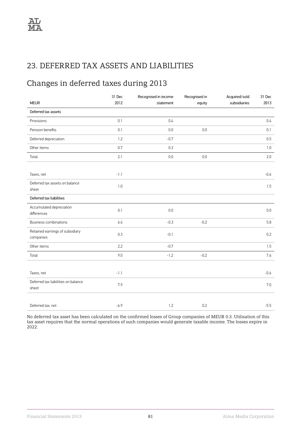### 23. DEFERRED TAX ASSETS AND LIABILITIES

# Changes in deferred taxes during 2013

| <b>MEUR</b>                                  | 31 Dec<br>2012 | Recognised in income<br>statement | Recognised in<br>equity | Acquired/sold<br>subsidiaries | 31 Dec<br>2013 |
|----------------------------------------------|----------------|-----------------------------------|-------------------------|-------------------------------|----------------|
| Deferred tax assets                          |                |                                   |                         |                               |                |
| Provisions                                   | 0.1            | 0.4                               |                         |                               | 0.4            |
| Pension benefits                             | 0.1            | 0.0                               | 0.0                     |                               | 0.1            |
| Deferred depreciation                        | $1.2\,$        | $-0.7$                            |                         |                               | 0.5            |
| Other items                                  | 0.7            | 0.3                               |                         |                               | 1.0            |
| Total                                        | 2.1            | $0.0\,$                           | 0.0                     |                               | 2.0            |
|                                              |                |                                   |                         |                               |                |
| Taxes, net                                   | $-1.1$         |                                   |                         |                               | $-0.6$         |
| Deferred tax assets on balance<br>sheet      | $1.0$          |                                   |                         |                               | 1.5            |
| Deferred tax liabilities                     |                |                                   |                         |                               |                |
| Accumulated depreciation<br>differences      | 0.1            | $0.0\,$                           |                         |                               | 0.0            |
| Business combinations                        | 6.4            | $-0.3$                            | $-0.2$                  |                               | 5.8            |
| Retained earnings of subsidiary<br>companies | 0.3            | $-0.1$                            |                         |                               | 0.2            |
| Other items                                  | 2.2            | $-0.7$                            |                         |                               | 1.5            |
| Total                                        | 9.0            | $-1.2$                            | $-0.2$                  |                               | 7.6            |
|                                              |                |                                   |                         |                               |                |
| Taxes, net                                   | $-1.1$         |                                   |                         |                               | $-0.6$         |
| Deferred tax liabilities on balance<br>sheet | 7.9            |                                   |                         |                               | 7.0            |
|                                              |                |                                   |                         |                               |                |
| Deferred tax, net                            | $-6.9$         | $1.2\,$                           | 0.2                     |                               | $-5.5$         |

No deferred tax asset has been calculated on the confirmed losses of Group companies of MEUR 0.3. Utilisation of this tax asset requires that the normal operations of such companies would generate taxable income. The losses expire in 2022.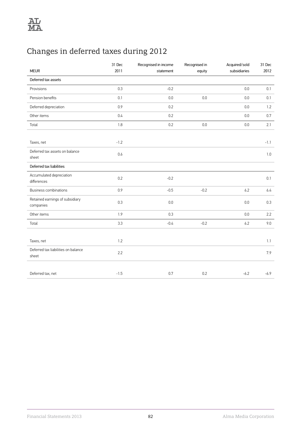# Changes in deferred taxes during 2012

| <b>MEUR</b>                                  | 31 Dec<br>2011 | Recognised in income<br>statement | Recognised in<br>equity | Acquired/sold<br>subsidiaries | 31 Dec<br>2012 |
|----------------------------------------------|----------------|-----------------------------------|-------------------------|-------------------------------|----------------|
| Deferred tax assets                          |                |                                   |                         |                               |                |
| Provisions                                   | 0.3            | $-0.2$                            |                         | 0.0                           | 0.1            |
| Pension benefits                             | 0.1            | $0.0\,$                           | 0.0                     | 0.0                           | 0.1            |
| Deferred depreciation                        | 0.9            | 0.2                               |                         | 0.0                           | 1.2            |
| Other items                                  | 0.4            | 0.2                               |                         | 0.0                           | 0.7            |
| Total                                        | 1.8            | 0.2                               | $0.0\,$                 | 0.0                           | 2.1            |
|                                              |                |                                   |                         |                               |                |
| Taxes, net                                   | $-1.2$         |                                   |                         |                               | $-1.1$         |
| Deferred tax assets on balance<br>sheet      | 0.6            |                                   |                         |                               | 1.0            |
| Deferred tax liabilities                     |                |                                   |                         |                               |                |
| Accumulated depreciation<br>differences      | 0.2            | $-0.2$                            |                         |                               | 0.1            |
| Business combinations                        | 0.9            | $-0.5$                            | $-0.2$                  | 6.2                           | 6.4            |
| Retained earnings of subsidiary<br>companies | 0.3            | $0.0\,$                           |                         | 0.0                           | 0.3            |
| Other items                                  | 1.9            | 0.3                               |                         | 0.0                           | 2.2            |
| Total                                        | 3.3            | $-0.4$                            | $-0.2$                  | 6.2                           | 9.0            |
|                                              |                |                                   |                         |                               |                |
| Taxes, net                                   | 1.2            |                                   |                         |                               | 1.1            |
| Deferred tax liabilities on balance<br>sheet | 2.2            |                                   |                         |                               | 7.9            |
|                                              |                |                                   |                         |                               |                |
| Deferred tax, net                            | $-1.5$         | 0.7                               | 0.2                     | $-6.2$                        | $-6.9$         |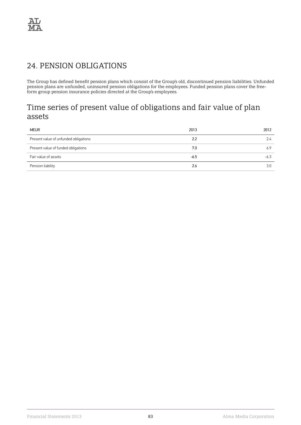### 24. PENSION OBLIGATIONS

The Group has defined benefit pension plans which consist of the Group's old, discontinued pension liabilities. Unfunded pension plans are unfunded, uninsured pension obligations for the employees. Funded pension plans cover the freeform group pension insurance policies directed at the Group's employees.

### Time series of present value of obligations and fair value of plan assets

| <b>MEUR</b>                           | 2013   | 2012   |
|---------------------------------------|--------|--------|
| Present value of unfunded obligations | 2.2    | 2.4    |
| Present value of funded obligations   | 7.0    | 6.9    |
| Fair value of assets                  | $-6.5$ | $-6.3$ |
| Pension liability                     | 2.6    | 3.0    |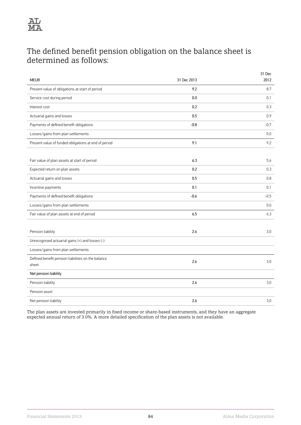

### The defined benefit pension obligation on the balance sheet is determined as follows:

| <b>MEUR</b>                                                 | 31 Dec 2013 | 31 Dec<br>2012 |
|-------------------------------------------------------------|-------------|----------------|
| Present value of obligations at start of period             | 9.2         | 8.7            |
| Service cost during period                                  | 0.0         | 0.1            |
| Interest cost                                               | 0.2         | 0.3            |
| Actuarial gains and losses                                  | 0.5         | 0.9            |
| Payments of defined benefit obligations                     | $-0.8$      | $-0.7$         |
| Losses/gains from plan settlements                          |             | 0.0            |
| Present value of funded obligations at end of period        | 9.1         | 9.2            |
|                                                             |             |                |
| Fair value of plan assets at start of period                | 6.3         | 5.6            |
| Expected return on plan assets                              | 0.2         | 0.3            |
| Actuarial gains and losses                                  | 0.5         | 0.8            |
| Incentive payments                                          | 0.1         | 0.1            |
| Payments of defined benefit obligations                     | $-0.6$      | $-0.5$         |
| Losses/gains from plan settlements                          |             | 0.0            |
| Fair value of plan assets at end of period                  | 6.5         | 6.3            |
|                                                             |             |                |
| Pension liability                                           | 2.6         | 3.0            |
| Unrecognised actuarial gains (+) and losses (-)             |             |                |
| Losses/gains from plan settlements                          |             |                |
| Defined benefit pension liabilities on the balance<br>sheet | 2.6         | 3.0            |
| Net pension liability                                       |             |                |
| Pension liability                                           | 2.6         | 3.0            |
| Pension asset                                               |             |                |
| Net pension liability                                       | 2.6         | 3.0            |

The plan assets are invested primarily in fixed income or share-based instruments, and they have an aggregate expected annual return of 3.0%. A more detailed specification of the plan assets is not available.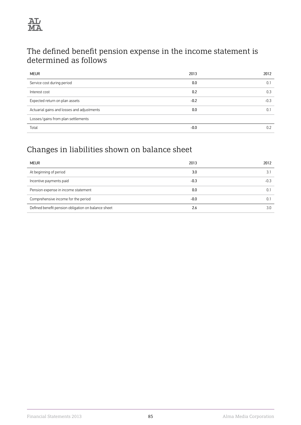

### The defined benefit pension expense in the income statement is determined as follows

| <b>MEUR</b>                                | 2013   | 2012   |
|--------------------------------------------|--------|--------|
| Service cost during period                 | 0.0    | 0.1    |
| Interest cost                              | 0.2    | 0.3    |
| Expected return on plan assets             | $-0.2$ | $-0.3$ |
| Actuarial gains and losses and adjustments | 0.0    | 0.     |
| Losses/gains from plan settlements         |        |        |
| Total                                      | $-0.0$ | 0.2    |

# Changes in liabilities shown on balance sheet

| <b>MEUR</b>                                         | 2013   | 2012   |
|-----------------------------------------------------|--------|--------|
| At beginning of period                              | 3.0    |        |
| Incentive payments paid                             | $-0.3$ | $-0.3$ |
| Pension expense in income statement                 | 0.0    |        |
| Comprehensive income for the period                 | $-0.0$ |        |
| Defined benefit pension obligation on balance sheet | 2.6    | 3.0    |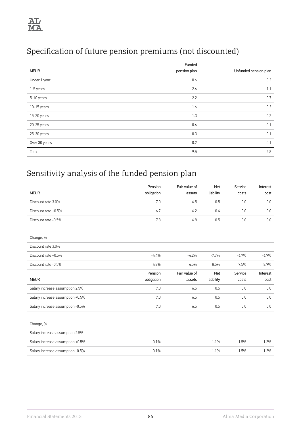# Specification of future pension premiums (not discounted)

|               | Funded       |                       |
|---------------|--------------|-----------------------|
| <b>MEUR</b>   | pension plan | Unfunded pension plan |
| Under 1 year  | 0.6          | 0.3                   |
| 1-5 years     | 2.6          | 1.1                   |
| 5-10 years    | 2.2          | 0.7                   |
| 10-15 years   | 1.6          | 0.3                   |
| 15-20 years   | 1.3          | 0.2                   |
| 20-25 years   | 0.6          | 0.1                   |
| 25-30 years   | 0.3          | 0.1                   |
| Over 30 years | 0.2          | 0.1                   |
| Total         | 9.5          | 2.8                   |

# Sensitivity analysis of the funded pension plan

|                                  | Pension    | Fair value of | <b>Net</b> | Service | Interest |
|----------------------------------|------------|---------------|------------|---------|----------|
| <b>MEUR</b>                      | obligation | assets        | liability  | costs   | cost     |
| Discount rate 3.0%               | 7.0        | 6.5           | 0.5        | 0.0     | 0.0      |
| Discount rate +0.5%              | 6.7        | 6.2           | 0.4        | 0.0     | 0.0      |
| Discount rate -0.5%              | 7.3        | 6.8           | 0.5        | 0.0     | 0.0      |
|                                  |            |               |            |         |          |
| Change, %                        |            |               |            |         |          |
| Discount rate 3.0%               |            |               |            |         |          |
| Discount rate +0.5%              | $-4.4%$    | $-4.2%$       | $-7.7%$    | $-6.7%$ | $-6.9%$  |
| Discount rate -0.5%              | 4.8%       | 4.5%          | 8.5%       | 7.5%    | 8.9%     |
|                                  |            |               |            |         |          |
|                                  | Pension    | Fair value of | Net        | Service | Interest |
| <b>MEUR</b>                      | obligation | assets        | liability  | costs   | cost     |
| Salary increase assumption 2.5%  | 7.0        | 6.5           | 0.5        | 0.0     | 0.0      |
| Salary increase assumption +0.5% | 7.0        | 6.5           | 0.5        | 0.0     | 0.0      |
| Salary increase assumption -0.5% | 7.0        | 6.5           | 0.5        | 0.0     | 0.0      |
|                                  |            |               |            |         |          |
| Change, %                        |            |               |            |         |          |
| Salary increase assumption 2.5%  |            |               |            |         |          |
| Salary increase assumption +0.5% | 0.1%       |               | 1.1%       | 1.5%    | 1.2%     |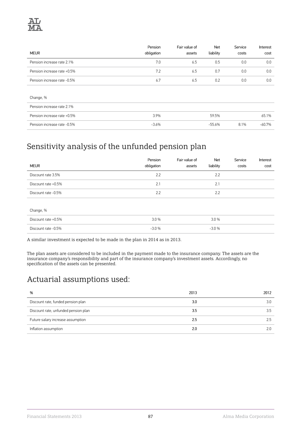

|                             | Pension    | Fair value of | Net       | Service | Interest |
|-----------------------------|------------|---------------|-----------|---------|----------|
| <b>MEUR</b>                 | obligation | assets        | liability | costs   | cost     |
| Pension increase rate 2.1%  | 7.0        | 6.5           | 0.5       | 0.0     | 0.0      |
| Pension increase rate +0.5% | 7.2        | 6.5           | 0.7       | 0.0     | 0.0      |
| Pension increase rate -0.5% | 6.7        | 6.5           | 0.2       | 0.0     | 0.0      |
|                             |            |               |           |         |          |
| Change, %                   |            |               |           |         |          |
| Pension increase rate 2.1%  |            |               |           |         |          |
| Pension increase rate +0.5% | 3.9%       |               | 59.5%     |         | 65.1%    |
| Pension increase rate -0.5% | $-3.6%$    |               | $-55.6%$  | 8.1%    | $-60.7%$ |

# Sensitivity analysis of the unfunded pension plan

| <b>MEUR</b>         | Pension<br>obligation | Fair value of<br>assets | <b>Net</b><br>liability | Service<br>costs | Interest<br>cost |
|---------------------|-----------------------|-------------------------|-------------------------|------------------|------------------|
| Discount rate 3.5%  | 2.2                   |                         | 2.2                     |                  |                  |
| Discount rate +0.5% | 2.1                   |                         | 2.1                     |                  |                  |
| Discount rate -0.5% | 2.2                   |                         | 2.2                     |                  |                  |
|                     |                       |                         |                         |                  |                  |
| Change, %           |                       |                         |                         |                  |                  |
| Discount rate +0.5% | 3.0%                  |                         | 3.0%                    |                  |                  |
| Discount rate -0.5% | $-3.0%$               |                         | $-3.0%$                 |                  |                  |

A similar investment is expected to be made in the plan in 2014 as in 2013.

The plan assets are considered to be included in the payment made to the insurance company. The assets are the insurance company's responsibility and part of the insurance company's investment assets. Accordingly, no specification of the assets can be presented.

## Actuarial assumptions used:

| %                                    | 2013 | 2012 |
|--------------------------------------|------|------|
| Discount rate, funded pension plan   | 3.0  | 3.0  |
| Discount rate, unfunded pension plan | 3.5  | 3.5  |
| Future salary increase assumption    | 2.5  | 2.5  |
| Inflation assumption                 | 2.0  |      |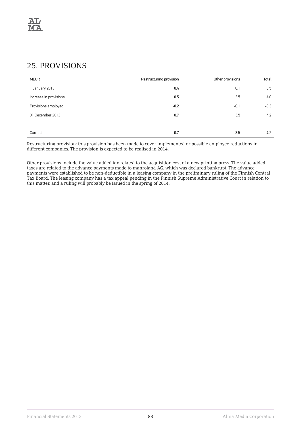### 25. PROVISIONS

| <b>MEUR</b>            | Restructuring provision | Other provisions | Total  |
|------------------------|-------------------------|------------------|--------|
| January 2013           | 0.4                     | 0.1              | 0.5    |
| Increase in provisions | 0.5                     | 3.5              | 4.0    |
| Provisions employed    | $-0.2$                  | $-0.1$           | $-0.3$ |
| 31 December 2013       | 0.7                     | 3.5              | 4.2    |
|                        |                         |                  |        |
| Current                | 0.7                     | 3.5              | 4.2    |

Restructuring provision: this provision has been made to cover implemented or possible employee reductions in different companies. The provision is expected to be realised in 2014.

Other provisions include the value added tax related to the acquisition cost of a new printing press. The value added taxes are related to the advance payments made to manroland AG, which was declared bankrupt. The advance payments were established to be non-deductible in a leasing company in the preliminary ruling of the Finnish Central Tax Board. The leasing company has a tax appeal pending in the Finnish Supreme Administrative Court in relation to this matter, and a ruling will probably be issued in the spring of 2014.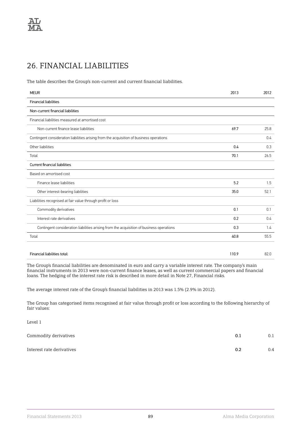## 26. FINANCIAL LIABILITIES

The table describes the Group's non-current and current financial liabilities.

| <b>MEUR</b>                                                                              | 2013  | 2012 |
|------------------------------------------------------------------------------------------|-------|------|
| <b>Financial liabilities</b>                                                             |       |      |
| Non-current financial liabilities                                                        |       |      |
| Financial liabilities measured at amortised cost                                         |       |      |
| Non-current finance lease liabilities                                                    | 69.7  | 25.8 |
| Contingent consideration liabilities arising from the acquisition of business operations |       | 0.4  |
| Other liabilities                                                                        | 0.4   | 0.3  |
| Total                                                                                    | 70.1  | 26.5 |
| Current financial liabilities                                                            |       |      |
| Based on amortised cost                                                                  |       |      |
| Finance lease liabilities                                                                | 5.2   | 1.5  |
| Other interest-bearing liabilities                                                       | 35.0  | 52.1 |
| Liabilities recognised at fair value through profit or loss                              |       |      |
| Commodity derivatives                                                                    | 0.1   | 0.1  |
| Interest rate derivatives                                                                | 0.2   | 0.4  |
| Contingent consideration liabilities arising from the acquisition of business operations | 0.3   | 1.4  |
| Total                                                                                    | 40.8  | 55.5 |
|                                                                                          |       |      |
| Financial liabilities total:                                                             | 110.9 | 82.0 |

The Group's financial liabilities are denominated in euro and carry a variable interest rate. The company's main financial instruments in 2013 were non-current finance leases, as well as current commercial papers and financial loans. The hedging of the interest rate risk is described in more detail in Note 27, Financial risks.

The average interest rate of the Group's financial liabilities in 2013 was 1.5% (2.9% in 2012).

The Group has categorised items recognised at fair value through profit or loss according to the following hierarchy of fair values:

Level 1

| Commodity derivatives     | 0.1 | 0.1 |
|---------------------------|-----|-----|
| Interest rate derivatives | 0.2 | 0.4 |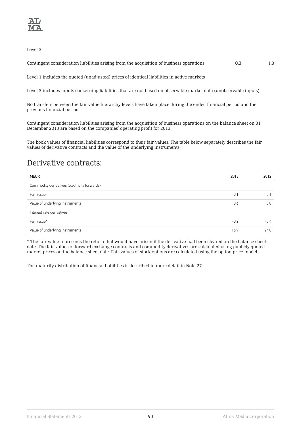

Level 3

Contingent consideration liabilities arising from the acquisition of business operations 0.3 0.3 1.8

Level 1 includes the quoted (unadjusted) prices of identical liabilities in active markets

Level 3 includes inputs concerning liabilities that are not based on observable market data (unobservable inputs)

No transfers between the fair value hierarchy levels have taken place during the ended financial period and the previous financial period.

Contingent consideration liabilities arising from the acquisition of business operations on the balance sheet on 31 December 2013 are based on the companies' operating profit for 2013.

The book values of financial liabilities correspond to their fair values. The table below separately describes the fair values of derivative contracts and the value of the underlying instruments.

### Derivative contracts:

| <b>MEUR</b>                                  | 2013   | 2012   |
|----------------------------------------------|--------|--------|
| Commodity derivatives (electricity forwards) |        |        |
| Fair value                                   | $-0.1$ | $-0.1$ |
| Value of underlying instruments              | 0.6    | 0.8    |
| Interest rate derivatives                    |        |        |
| Fair value*                                  | $-0.2$ | $-0.4$ |
| Value of underlying instruments              | 15.9   | 24.0   |

\* The fair value represents the return that would have arisen if the derivative had been cleared on the balance sheet date. The fair values of forward exchange contracts and commodity derivatives are calculated using publicly quoted market prices on the balance sheet date. Fair values of stock options are calculated using the option price model.

The maturity distribution of financial liabilities is described in more detail in Note 27.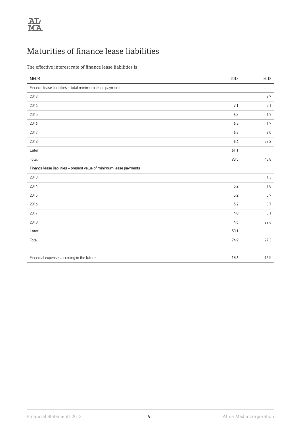# Maturities of finance lease liabilities

The effective interest rate of finance lease liabilities is

| <b>MEUR</b>                                                         | 2013 | 2012    |
|---------------------------------------------------------------------|------|---------|
| Finance lease liabilities - total minimum lease payments            |      |         |
| 2013                                                                |      | 2.7     |
| 2014                                                                | 7.1  | 3.1     |
| 2015                                                                | 6.3  | 1.9     |
| 2016                                                                | 6.3  | 1.9     |
| 2017                                                                | 6.3  | 2.0     |
| 2018                                                                | 6.4  | 32.2    |
| Later                                                               | 61.1 |         |
| Total                                                               | 93.5 | 43.8    |
| Finance lease liabilities - present value of minimum lease payments |      |         |
| 2013                                                                |      | 1.3     |
| 2014                                                                | 5.2  | $1.8\,$ |
| 2015                                                                | 5.2  | 0.7     |
| 2016                                                                | 5.2  | 0.7     |
| 2017                                                                | 4.8  | 0.1     |
| 2018                                                                | 4.5  | 22.6    |
| Later                                                               | 50.1 |         |
| Total                                                               | 74.9 | 27.3    |
|                                                                     |      |         |
| Financial expenses accruing in the future                           | 18.6 | 16.5    |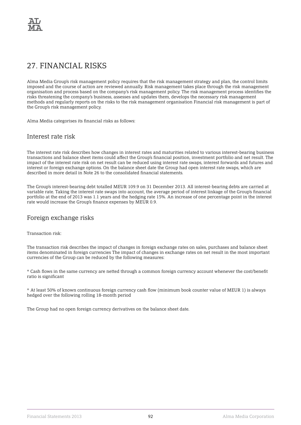### 27. FINANCIAL RISKS

Alma Media Group's risk management policy requires that the risk management strategy and plan, the control limits imposed and the course of action are reviewed annually. Risk management takes place through the risk management organisation and process based on the company's risk management policy. The risk management process identifies the risks threatening the company's business, assesses and updates them, develops the necessary risk management methods and regularly reports on the risks to the risk management organisation Financial risk management is part of the Group's risk management policy.

Alma Media categorises its financial risks as follows:

#### Interest rate risk

The interest rate risk describes how changes in interest rates and maturities related to various interest-bearing business transactions and balance sheet items could affect the Group's financial position, investment portfolio and net result. The impact of the interest rate risk on net result can be reduced using interest rate swaps, interest forwards and futures and interest or foreign exchange options. On the balance sheet date the Group had open interest rate swaps, which are described in more detail in Note 26 to the consolidated financial statements.

The Group's interest-bearing debt totalled MEUR 109.9 on 31 December 2013. All interest-bearing debts are carried at variable rate. Taking the interest rate swaps into account, the average period of interest linkage of the Group's financial portfolio at the end of 2013 was 1.1 years and the hedging rate 15%. An increase of one percentage point in the interest rate would increase the Group's finance expenses by MEUR 0.9.

#### Foreign exchange risks

Transaction risk:

The transaction risk describes the impact of changes in foreign exchange rates on sales, purchases and balance sheet items denominated in foreign currencies The impact of changes in exchange rates on net result in the most important currencies of the Group can be reduced by the following measures:

\* Cash flows in the same currency are netted through a common foreign currency account whenever the cost/benefit ratio is significant

\* At least 50% of known continuous foreign currency cash flow (minimum book counter value of MEUR 1) is always hedged over the following rolling 18-month period

The Group had no open foreign currency derivatives on the balance sheet date.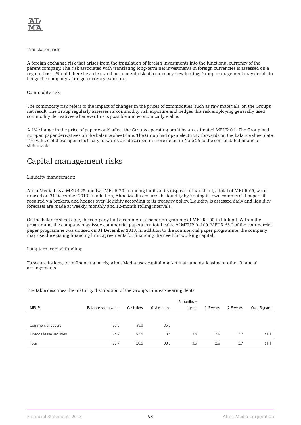

#### Translation risk:

A foreign exchange risk that arises from the translation of foreign investments into the functional currency of the parent company. The risk associated with translating long-term net investments in foreign currencies is assessed on a regular basis. Should there be a clear and permanent risk of a currency devaluating, Group management may decide to hedge the company's foreign currency exposure.

#### Commodity risk:

The commodity risk refers to the impact of changes in the prices of commodities, such as raw materials, on the Group's net result. The Group regularly assesses its commodity risk exposure and hedges this risk employing generally used commodity derivatives whenever this is possible and economically viable.

A 1% change in the price of paper would affect the Group's operating profit by an estimated MEUR 0.1. The Group had no open paper derivatives on the balance sheet date. The Group had open electricity forwards on the balance sheet date. The values of these open electricity forwards are described in more detail in Note 26 to the consolidated financial statements.

### Capital management risks

#### Liquidity management:

Alma Media has a MEUR 25 and two MEUR 20 financing limits at its disposal, of which all, a total of MEUR 65, were unused on 31 December 2013. In addition, Alma Media ensures its liquidity by issuing its own commercial papers if required via brokers, and hedges over-liquidity according to its treasury policy. Liquidity is assessed daily and liquidity forecasts are made at weekly, monthly and 12-month rolling intervals.

On the balance sheet date, the company had a commercial paper programme of MEUR 100 in Finland. Within the programme, the company may issue commercial papers to a total value of MEUR 0–100. MEUR 65.0 of the commercial paper programme was unused on 31 December 2013. In addition to the commercial paper programme, the company may use the existing financing limit agreements for financing the need for working capital.

Long-term capital funding:

To secure its long-term financing needs, Alma Media uses capital market instruments, leasing or other financial arrangements.

The table describes the maturity distribution of the Group's interest-bearing debts:

|                           |                     |           |            | $6$ months $-$ |           |           |              |
|---------------------------|---------------------|-----------|------------|----------------|-----------|-----------|--------------|
| <b>MEUR</b>               | Balance sheet value | Cash flow | 0-6 months | 1 year         | 1-2 years | 2-5 years | Over 5 years |
|                           |                     |           |            |                |           |           |              |
| Commercial papers         | 35.0                | 35.0      | 35.0       |                |           |           |              |
| Finance lease liabilities | 74.9                | 93.5      | 3.5        | 3.5            | 12.6      | 12.7      | 61.1         |
| Total                     | 109.9               | 128.5     | 38.5       | 3.5            | 12.6      | 12.7      | 61.1         |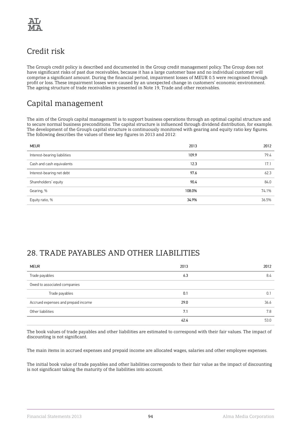

# Credit risk

The Group's credit policy is described and documented in the Group credit management policy. The Group does not have significant risks of past due receivables, because it has a large customer base and no individual customer will comprise a significant amount. During the financial period, impairment losses of MEUR 0.5 were recognised through profit or loss. These impairment losses were caused by an unexpected change in customers' economic environment. The ageing structure of trade receivables is presented in Note 19, Trade and other receivables.

# Capital management

The aim of the Group's capital management is to support business operations through an optimal capital structure and to secure normal business preconditions. The capital structure is influenced through dividend distribution, for example. The development of the Group's capital structure is continuously monitored with gearing and equity ratio key figures. The following describes the values of these key figures in 2013 and 2012:

| <b>MEUR</b>                  | 2013   | 2012  |
|------------------------------|--------|-------|
| Interest-bearing liabilities | 109.9  | 79.4  |
| Cash and cash equivalents    | 12.3   | 17.1  |
| Interest-bearing net debt    | 97.6   | 62.3  |
| Shareholders' equity         | 90.4   | 84.0  |
| Gearing, %                   | 108.0% | 74.1% |
| Equity ratio, %              | 34.9%  | 36.5% |

### 28. TRADE PAYABLES AND OTHER LIABILITIES

| <b>MEUR</b>                         | 2013 | 2012 |
|-------------------------------------|------|------|
| Trade payables                      | 6.3  | 8.4  |
| Owed to associated companies        |      |      |
| Trade payables                      | 0.1  | 0.   |
| Accrued expenses and prepaid income | 29.0 | 36.6 |
| Other liabilities                   | 7.1  | 7.8  |
|                                     | 42.4 | 53.0 |

The book values of trade payables and other liabilities are estimated to correspond with their fair values. The impact of discounting is not significant.

The main items in accrued expenses and prepaid income are allocated wages, salaries and other employee expenses.

The initial book value of trade payables and other liabilities corresponds to their fair value as the impact of discounting is not significant taking the maturity of the liabilities into account.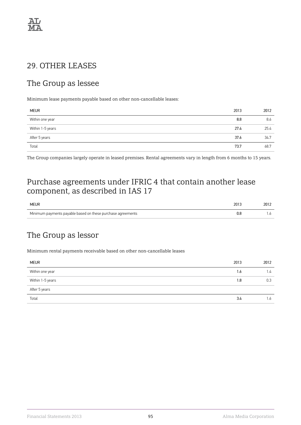

### 29. OTHER LEASES

### The Group as lessee

Minimum lease payments payable based on other non-cancellable leases:

| <b>MEUR</b>      | 2013 | 2012 |
|------------------|------|------|
| Within one year  | 8.8  | 8.6  |
| Within 1-5 years | 27.4 | 25.4 |
| After 5 years    | 37.6 | 34.7 |
| Total            | 73.7 | 68.7 |

The Group companies largely operate in leased premises. Rental agreements vary in length from 6 months to 15 years.

### Purchase agreements under IFRIC 4 that contain another lease component, as described in IAS 17

| <b>MEUR</b>                                                 | 2013 | 2012 |
|-------------------------------------------------------------|------|------|
| Minimum payments payable based on these purchase agreements | U.C  |      |

### The Group as lessor

Minimum rental payments receivable based on other non-cancellable leases

| <b>MEUR</b>      | 2013 | 2012             |
|------------------|------|------------------|
| Within one year  | 1.6  | $\overline{1.4}$ |
| Within 1-5 years | 1.8  | 0.3              |
| After 5 years    |      |                  |
| Total            | 3.4  | 1.6              |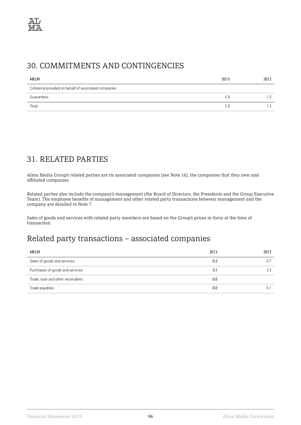### 30. COMMITMENTS AND CONTINGENCIES

| <b>MEUR</b>                                           | 2013 | 2012 |
|-------------------------------------------------------|------|------|
| Collateral provided on behalf of associated companies |      |      |
| Guarantees                                            | 1.3  |      |
| Total                                                 | 1.3  | ن. ا |

## 31. RELATED PARTIES

Alma Media Group's related parties are its associated companies (see Note 16), the companies that they own and affiliated companies.

Related parties also include the company's management (the Board of Directors, the Presidents and the Group Executive Team). The employee benefits of management and other related party transactions between management and the company are detailed in Note 7.

Sales of goods and services with related party members are based on the Group's prices in force at the time of transaction.

### Related party transactions – associated companies

| <b>MEUR</b>                       | 2013 | 2012 |
|-----------------------------------|------|------|
| Sales of goods and services       | 0.2  |      |
| Purchases of goods and services   | 3.1  | 3.3  |
| Trade, loan and other receivables | 0.0  |      |
| Trade payables                    | 0.0  |      |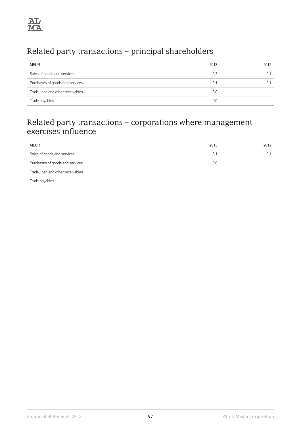# Related party transactions – principal shareholders

| <b>MEUR</b>                       | 2013 | 2012 |
|-----------------------------------|------|------|
| Sales of goods and services       | 0.2  |      |
| Purchases of goods and services   | 0.1  |      |
| Trade, loan and other receivables | 0.0  |      |
| Trade payables                    | 0.0  |      |

## Related party transactions – corporations where management exercises influence

| <b>MEUR</b>                       | 2013 | 2012 |
|-----------------------------------|------|------|
| Sales of goods and services       | 0.1  |      |
| Purchases of goods and services   | 0.0  |      |
| Trade, loan and other receivables |      |      |
| Trade payables                    |      |      |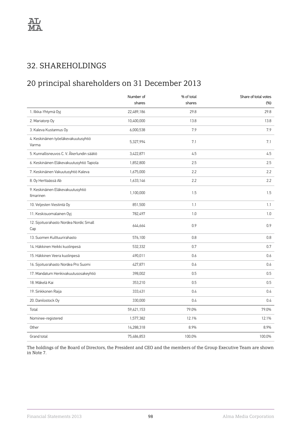## 32. SHAREHOLDINGS

# 20 principal shareholders on 31 December 2013

|                                                | Number of<br>shares | % of total<br>shares | Share of total votes<br>(%) |
|------------------------------------------------|---------------------|----------------------|-----------------------------|
| 1. Ilkka-Yhtymä Oyj                            | 22,489,186          | 29.8                 | 29.8                        |
| 2. Mariatorp Oy                                | 10,400,000          | 13.8                 | 13.8                        |
| 3. Kaleva Kustannus Oy                         | 6,000,538           | 7.9                  | 7.9                         |
| 4. Keskinäinen työeläkevakuutusyhtiö<br>Varma  | 5,327,994           | 7.1                  | 7.1                         |
| 5. Kunnallisneuvos C. V. Åkerlundin säätiö     | 3,422,871           | 4.5                  | 4.5                         |
| 6. Keskinäinen Eläkevakuutusyhtiö Tapiola      | 1,852,800           | 2.5                  | 2.5                         |
| 7. Keskinäinen Vakuutusyhtiö Kaleva            | 1,675,000           | 2.2                  | 2.2                         |
| 8. Oy Herttaässä Ab                            | 1,633,146           | 2.2                  | 2.2                         |
| 9. Keskinäinen Eläkevakuutusyhtiö<br>Ilmarinen | 1,100,000           | 1.5                  | 1.5                         |
| 10. Veljesten Viestintä Oy                     | 851,500             | 1.1                  | 1.1                         |
| 11. Keskisuomalainen Oyi                       | 782,497             | 1.0                  | 1.0                         |
| 12. Sijoitusrahasto Nordea Nordic Small<br>Cap | 644,664             | 0.9                  | 0.9                         |
| 13. Suomen Kulttuurirahasto                    | 576,100             | 0.8                  | 0.8                         |
| 14. Häkkinen Heikki kuolinpesä                 | 532,332             | 0.7                  | 0.7                         |
| 15. Häkkinen Veera kuolinpesä                  | 490,011             | 0.6                  | 0.6                         |
| 16. Sijoitusrahasto Nordea Pro Suomi           | 427,871             | 0.6                  | 0.6                         |
| 17. Mandatum Henkivakuutusosakeyhtiö           | 398,002             | 0.5                  | 0.5                         |
| 18. Mäkelä Kai                                 | 353,210             | 0.5                  | 0.5                         |
| 19. Sinkkonen Raija                            | 333,431             | 0.4                  | 0.4                         |
| 20. Danilostock Oy                             | 330,000             | 0.4                  | 0.4                         |
| Total                                          | 59,621,153          | 79.0%                | 79.0%                       |
| Nominee-registered                             | 1,577,382           | 12.1%                | 12.1%                       |
| Other                                          | 14,288,318          | 8.9%                 | 8.9%                        |
| Grand total                                    | 75,486,853          | 100.0%               | 100.0%                      |

The holdings of the Board of Directors, the President and CEO and the members of the Group Executive Team are shown in Note 7.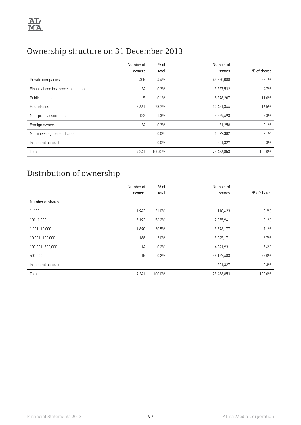# Ownership structure on 31 December 2013

|                                      | Number of | $%$ of  | Number of  |             |
|--------------------------------------|-----------|---------|------------|-------------|
|                                      | owners    | total   | shares     | % of shares |
| Private companies                    | 405       | 4.4%    | 43,850,088 | 58.1%       |
| Financial and insurance institutions | 24        | 0.3%    | 3,527,532  | 4.7%        |
| Public entities                      | 5         | 0.1%    | 8,298,207  | 11.0%       |
| Households                           | 8,661     | 93.7%   | 12,451,366 | 16.5%       |
| Non-profit associations              | 122       | 1.3%    | 5,529,693  | 7.3%        |
| Foreign owners                       | 24        | 0.3%    | 51,258     | 0.1%        |
| Nominee-registered shares            |           | 0.0%    | 1,577,382  | 2.1%        |
| In general account                   |           | $0.0\%$ | 201,327    | 0.3%        |
| Total                                | 9,241     | 100.0 % | 75,486,853 | 100.0%      |

# Distribution of ownership

|                    | Number of | % of   | Number of  |             |
|--------------------|-----------|--------|------------|-------------|
|                    | owners    | total  | shares     | % of shares |
| Number of shares   |           |        |            |             |
| $1 - 100$          | 1,942     | 21.0%  | 118,623    | 0.2%        |
| $101 - 1,000$      | 5,192     | 56.2%  | 2,355,941  | 3.1%        |
| 1,001-10,000       | 1,890     | 20.5%  | 5,396,177  | 7.1%        |
| 10,001-100,000     | 188       | 2.0%   | 5,045,171  | 6.7%        |
| 100,001-500,000    | 14        | 0.2%   | 4,241,931  | 5.6%        |
| $500,000 -$        | 15        | 0.2%   | 58,127,683 | 77.0%       |
| In general account |           |        | 201,327    | 0.3%        |
| Total              | 9,241     | 100.0% | 75,486,853 | 100.0%      |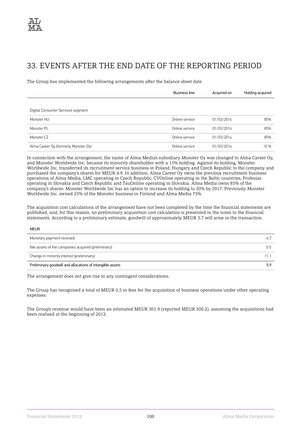### 33. EVENTS AFTER THE END DATE OF THE REPORTING PERIOD

The Group has implemented the following arrangements after the balance sheet date

|                                      | Business line  | Acquired on | Holding acquired |
|--------------------------------------|----------------|-------------|------------------|
|                                      |                |             |                  |
| Digital Consumer Services segment    |                |             |                  |
| Monster HU                           | Online service | 01/03/2014  | 85%              |
| Monster PL                           | Online service | 01/03/2014  | 85%              |
| Monster CZ                           | Online service | 01/03/2014  | 85%              |
| Alma Career Oy (formerly Monster Oy) | Online service | 01/03/2014  | 10 %             |

In connection with the arrangement, the name of Alma Media's subsidiary Monster Oy was changed to Alma Career Oy, and Monster Worldwide Inc. became its minority shareholder with a 15% holding. Against its holding, Monster Worldwide Inc. transferred its recruitment service business in Poland, Hungary and Czech Republic to the company and purchased the company's shares for MEUR 4.9. In addition, Alma Career Oy owns the previous recruitment business operations of Alma Media, LMC operating in Czech Republic, CVOnline operating in the Baltic countries, Profesias operating in Slovakia and Czech Republic and TauOnline operating in Slovakia. Alma Media owns 85% of the company's shares. Monster Worldwide Inc has an option to increase its holding to 20% by 2017. Previously Monster Worldwide Inc. owned 25% of the Monster business in Finland and Alma Media 75%.

The acquisition cost calculations of the arrangement have not been completed by the time the financial statements are published, and, for this reason, no preliminary acquisition cost calculation is presented in the notes to the financial statements. According to a preliminary estimate, goodwill of approximately MEUR 5.7 will arise in the transaction.

#### MEUR

| Monetary payment received                                 | -45 |
|-----------------------------------------------------------|-----|
| Net assets of the companies acquired (preliminary)        |     |
| Change in minority interest (preliminary)                 |     |
| Preliminary goodwill and allocations of intangible assets | 5.9 |

The arrangement does not give rise to any contingent considerations.

The Group has recognised a total of MEUR 0.5 in fees for the acquisition of business operations under other operating expenses.

The Group's revenue would have been an estimated MEUR 301.9 (reported MEUR 300.2), assuming the acquisitions had been realised at the beginning of 2013.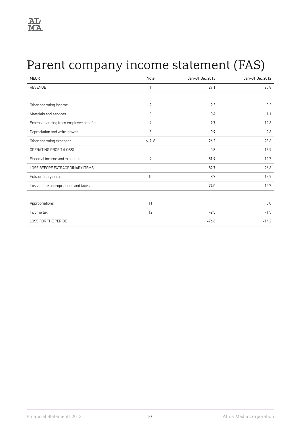# Parent company income statement (FAS)

| <b>MEUR</b>                             | <b>Note</b>    | 1 Jan-31 Dec 2013 | 1 Jan-31 Dec 2012 |
|-----------------------------------------|----------------|-------------------|-------------------|
| <b>REVENUE</b>                          |                | 27.1              | 25.8              |
|                                         |                |                   |                   |
| Other operating income                  | $\overline{2}$ | 9.3               | 0.2               |
| Materials and services                  | 3              | 0.4               | 1.1               |
| Expenses arising from employee benefits | 4              | 9.7               | 12.6              |
| Depreciation and write-downs            | 5              | 0.9               | 2.6               |
| Other operating expenses                | 6, 7, 8        | 26.2              | 23.6              |
| OPERATING PROFIT (LOSS)                 |                | $-0.8$            | $-13.9$           |
| Financial income and expenses           | 9              | $-81.9$           | $-12.7$           |
| LOSS BEFORE EXTRAORDINARY ITEMS         |                | $-82.7$           | $-26.6$           |
| Extraordinary items                     | 10             | 8.7               | 13.9              |
| Loss before appropriations and taxes    |                | $-74.0$           | $-12.7$           |
|                                         |                |                   |                   |
| Appropriations                          | 11             |                   | 0.0               |
| Income tax                              | 12             | $-2.5$            | $-1.5$            |
| <b>LOSS FOR THE PERIOD</b>              |                | $-76.6$           | $-14.2$           |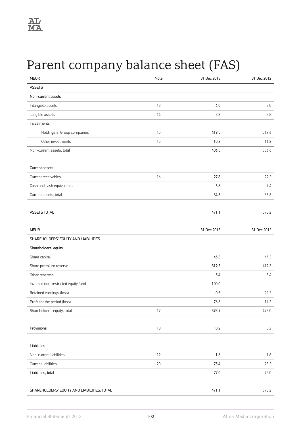# Parent company balance sheet (FAS)

| <b>MEUR</b>                                 | Note   | 31 Dec 2013 | 31 Dec 2012 |
|---------------------------------------------|--------|-------------|-------------|
| <b>ASSETS</b>                               |        |             |             |
| Non-current assets                          |        |             |             |
| Intangible assets                           | 13     | 4.0         | 3.0         |
| Tangible assets                             | 14     | 2.8         | 2.8         |
| Investments                                 |        |             |             |
| Holdings in Group companies                 | 15     | 419.5       | 519.6       |
| Other investments                           | 15     | 10.2        | 11.2        |
| Non-current assets, total                   |        | 436.5       | 536.6       |
| Current assets                              |        |             |             |
| Current receivables                         | 16     | 27.8        | 29.2        |
| Cash and cash equivalents                   |        | 6.8         | 7.4         |
| Current assets, total                       |        | 34.6        | 36.6        |
|                                             |        |             |             |
| ASSETS TOTAL                                |        | 471.1       | 573.2       |
|                                             |        |             |             |
| <b>MEUR</b>                                 |        | 31 Dec 2013 | 31 Dec 2012 |
| SHAREHOLDERS' EQUITY AND LIABILITIES        |        |             |             |
| Shareholders' equity                        |        |             |             |
| Share capital                               |        | 45.3        | 45.3        |
| Share premium reserve                       |        | 319.3       | 419.3       |
| Other reserves                              |        | 5.4         | 5.4         |
| Invested non-restricted equity fund         |        | 100.0       |             |
| Retained earnings (loss)                    |        | 0.5         | 22.2        |
| Profit for the period (loss)                |        | $-76.6$     | $-14.2$     |
| Shareholders' equity, total                 | 17     | 393.9       | 478.0       |
| Provisions                                  | $18\,$ | $0.2\,$     | 0.2         |
|                                             |        |             |             |
| Liabilities                                 |        |             |             |
| Non-current liabilities                     | 19     | $1.6\,$     | 1.8         |
| Current liabilities                         | $20\,$ | 75.4        | 93.2        |
| Liabilities, total                          |        | $77.0\,$    | 95.0        |
| SHAREHOLDERS' EQUITY AND LIABILITIES, TOTAL |        | 471.1       | 573.2       |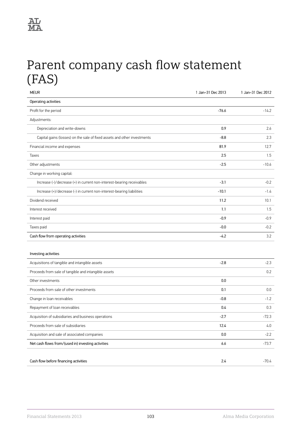# Parent company cash flow statement (FAS)

| <b>MEUR</b>                                                              | 1 Jan-31 Dec 2013 | 1 Jan-31 Dec 2012 |
|--------------------------------------------------------------------------|-------------------|-------------------|
| Operating activities                                                     |                   |                   |
| Profit for the period                                                    | $-76.6$           | $-14.2$           |
| Adjustments:                                                             |                   |                   |
| Depreciation and write-downs                                             | 0.9               | 2.6               |
| Capital gains (losses) on the sale of fixed assets and other investments | $-8.8$            | 2.3               |
| Financial income and expenses                                            | 81.9              | 12.7              |
| Taxes                                                                    | 2.5               | 1.5               |
| Other adjustments                                                        | $-2.5$            | $-10.6$           |
| Change in working capital:                                               |                   |                   |
| Increase (-)/decrease (+) in current non-interest-bearing receivables    | $-3.1$            | $-0.2$            |
| Increase (+)/decrease (-) in current non-interest-bearing liabilities    | $-10.1$           | $-1.4$            |
| Dividend received                                                        | 11.2              | 10.1              |
| Interest received                                                        | 1.1               | 1.5               |
| Interest paid                                                            | $-0.9$            | $-0.9$            |
| Taxes paid                                                               | $-0.0$            | $-0.2$            |
| Cash flow from operating activities                                      | $-4.2$            | 3.2               |
|                                                                          |                   |                   |
| Investing activities                                                     |                   |                   |
| Acquisitions of tangible and intangible assets                           | $-2.8$            | $-2.3$            |
| Proceeds from sale of tangible and intangible assets                     |                   | 0.2               |
| Other investments                                                        | 0.0               |                   |
| Proceeds from sale of other investments                                  | 0.1               | 0.0               |
| Change in loan receivables                                               | $-0.8$            | $-1.2$            |
| Repayment of loan receivables                                            | 0.4               | 0.3               |
| Acquisition of subsidiaries and business operations                      | -2.7              | -72.3             |
| Proceeds from sale of subsidiaries                                       | 12.4              | 4.0               |
| Acquisition and sale of associated companies                             | 0.0               | $-2.2$            |
| Net cash flows from/(used in) investing activities                       | 6.6               | $-73.7$           |
|                                                                          |                   |                   |
| Cash flow before financing activities                                    | 2.4               | $-70.4$           |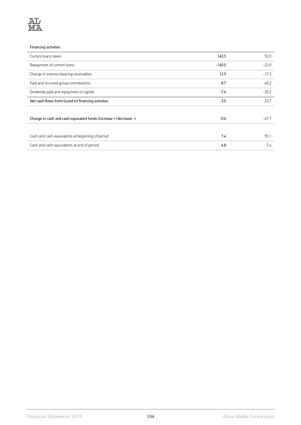

#### Financing activities

| Current loans taken                                              | 143.5    | 52.0    |
|------------------------------------------------------------------|----------|---------|
| Repayment of current loans                                       | $-160.5$ | $-22.0$ |
| Change in interest-bearing receivables                           | 12.9     | $-17.3$ |
| Paid and received group contributions                            | 8.7      | 40.2    |
| Dividends paid and repayment of capital                          | $-7.6$   | $-30.2$ |
| Net cash flows from/(used in) financing activities               | $-3.0$   | 22.7    |
|                                                                  |          |         |
| Change in cash and cash equivalent funds (increase +/decrease -) | $-0.6$   | $-47.7$ |
|                                                                  |          |         |
| Cash and cash equivalents at beginning of period                 | 7.4      | 55.1    |
| Cash and cash equivalents at end of period                       | 6.8      | 7.4     |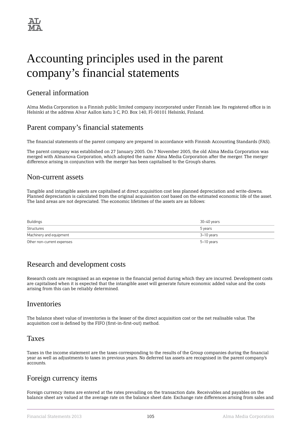# Accounting principles used in the parent company's financial statements

### General information

Alma Media Corporation is a Finnish public limited company incorporated under Finnish law. Its registered office is in Helsinki at the address Alvar Aallon katu 3 C, P.O. Box 140, FI-00101 Helsinki, Finland.

### Parent company's financial statements

The financial statements of the parent company are prepared in accordance with Finnish Accounting Standards (FAS).

The parent company was established on 27 January 2005. On 7 November 2005, the old Alma Media Corporation was merged with Almanova Corporation, which adopted the name Alma Media Corporation after the merger. The merger difference arising in conjunction with the merger has been capitalised to the Group's shares.

### Non-current assets

Tangible and intangible assets are capitalised at direct acquisition cost less planned depreciation and write-downs. Planned depreciation is calculated from the original acquisistion cost based on the estimated economic life of the asset. The land areas are not depreciated. The economic lifetimes of the assets are as follows:

| Buildings                  | 30–40 years |
|----------------------------|-------------|
| Structures                 | 5 years     |
| Machinery and equipment    | 3–10 years  |
| Other non-current expenses | 5–10 years  |

### Research and development costs

Research costs are recognised as an expense in the financial period during which they are incurred. Development costs are capitalised when it is expected that the intangible asset will generate future economic added value and the costs arising from this can be reliably determined.

### Inventories

The balance sheet value of inventories is the lesser of the direct acquisition cost or the net realisable value. The acquisition cost is defined by the FIFO (first-in-first-out) method.

### Taxes

Taxes in the income statement are the taxes corresponding to the results of the Group companies during the financial year as well as adjustments to taxes in previous years. No deferred tax assets are recognised in the parent company's accounts.

### Foreign currency items

Foreign currency items are entered at the rates prevailing on the transaction date. Receivables and payables on the balance sheet are valued at the average rate on the balance sheet date. Exchange rate differences arising from sales and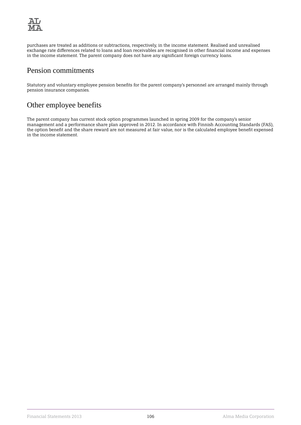

purchases are treated as additions or subtractions, respectively, in the income statement. Realised and unrealised exchange rate differences related to loans and loan receivables are recognised in other financial income and expenses in the income statement. The parent company does not have any significant foreign currency loans.

### Pension commitments

Statutory and voluntary employee pension benefits for the parent company's personnel are arranged mainly through pension insurance companies.

### Other employee benefits

The parent company has current stock option programmes launched in spring 2009 for the company's senior management and a performance share plan approved in 2012. In accordance with Finnish Accounting Standards (FAS), the option benefit and the share reward are not measured at fair value, nor is the calculated employee benefit expensed in the income statement.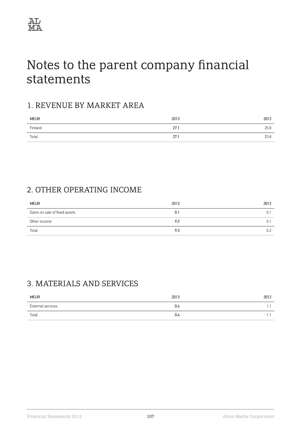

# Notes to the parent company financial statements

#### 1. REVENUE BY MARKET AREA

| <b>MEUR</b> | 2013 | 2012 |
|-------------|------|------|
| Finland     | 27.1 | 25.8 |
| Total       | 27.1 | 25.8 |

### 2. OTHER OPERATING INCOME

| <b>MEUR</b>                   | 2013 | 2012 |
|-------------------------------|------|------|
| Gains on sale of fixed assets | 0.1  |      |
| Other income                  | 9.2  |      |
| Total                         | 9.3  | 0.2  |

#### 3. MATERIALS AND SERVICES

| <b>MEUR</b>       | 2013 | 2012 |
|-------------------|------|------|
| External services | 0.4  | . .  |
| Total             | 0.4  | . .  |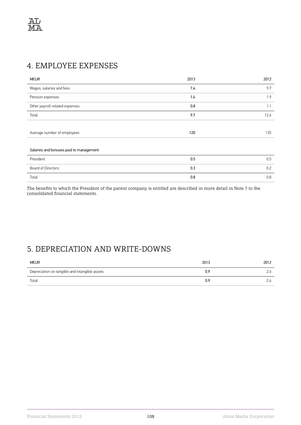#### 4. EMPLOYEE EXPENSES

| <b>MEUR</b>                             | 2013 | 2012 |
|-----------------------------------------|------|------|
| Wages, salaries and fees                | 7.4  | 9.7  |
| Pension expenses                        | 1.4  | 1.9  |
| Other payroll-related expenses          | 0.8  | 1.1  |
| Total                                   | 9.7  | 12.6 |
|                                         |      |      |
| Average number of employees             | 120  | 135  |
|                                         |      |      |
| Salaries and bonuses paid to management |      |      |
| President                               | 0.5  | 0.5  |
| Board of Directors                      | 0.3  | 0.2  |
| Total                                   | 0.8  | 0.8  |

The benefits to which the President of the parent company is entitled are described in more detail in Note 7 to the consolidated financial statements.

## 5. DEPRECIATION AND WRITE-DOWNS

| <b>MEUR</b>                                    | 2013 | 2012 |
|------------------------------------------------|------|------|
| Depreciation on tangible and intangible assets | 0.9  |      |
| Total                                          | 0.9  |      |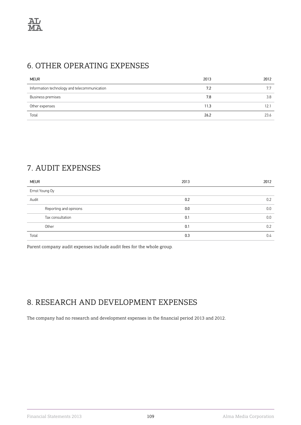#### 6. OTHER OPERATING EXPENSES

| <b>MEUR</b>                                  | 2013 | 2012 |
|----------------------------------------------|------|------|
| Information technology and telecommunication | 7.2  |      |
| Business premises                            | 7.8  | 3.8  |
| Other expenses                               | 11.3 | 12.  |
| Total                                        | 26.2 | 23.6 |

# 7. AUDIT EXPENSES

| <b>MEUR</b>            | 2013 | 2012 |
|------------------------|------|------|
| Ernst Young Oy         |      |      |
| Audit                  | 0.2  | 0.2  |
| Reporting and opinions | 0.0  | 0.0  |
| Tax consultation       | 0.1  | 0.0  |
| Other                  | 0.1  | 0.2  |
| Total                  | 0.3  | 0.4  |

Parent company audit expenses include audit fees for the whole group.

#### 8. RESEARCH AND DEVELOPMENT EXPENSES

The company had no research and development expenses in the financial period 2013 and 2012.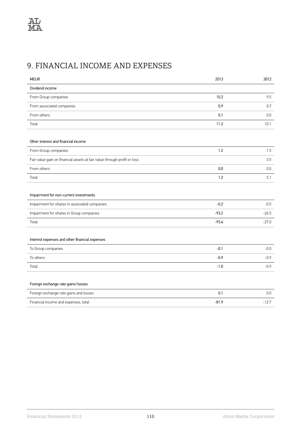# 9. FINANCIAL INCOME AND EXPENSES

| <b>MEUR</b>                                                              | 2013    | 2012    |
|--------------------------------------------------------------------------|---------|---------|
| Dividend income                                                          |         |         |
| From Group companies                                                     | 10.2    | 9.5     |
| From associated companies                                                | 0.9     | 0.7     |
| From others                                                              | 0.1     | 0.0     |
| Total                                                                    | 11.2    | 10.1    |
|                                                                          |         |         |
| Other interest and financial income                                      |         |         |
| From Group companies                                                     | 1.2     | 1.5     |
| Fair value gain on financial assets at fair value through profit or loss |         | 3.5     |
| From others                                                              | 0.0     | 0.0     |
| Total                                                                    | 1.2     | 5.1     |
|                                                                          |         |         |
| Impairment for non-current investments                                   |         |         |
| Impairment for shares in associated companies                            | $-0.2$  | $-0.5$  |
| Impairment for shares in Group companies                                 | $-93.2$ | $-26.5$ |
| Total                                                                    | $-93.4$ | $-27.0$ |
|                                                                          |         |         |
| Interest expenses and other financial expenses                           |         |         |
| To Group companies                                                       | $-0.1$  | $-0.0$  |
| To others                                                                | $-0.9$  | $-0.9$  |
| Total                                                                    | $-1.0$  | $-0.9$  |
|                                                                          |         |         |
| Foreign exchange rate gains/losses                                       |         |         |
| Foreign exchange rate gains and losses                                   | 0.1     | 0.0     |
| Financial income and expenses, total                                     | $-81.9$ | $-12.7$ |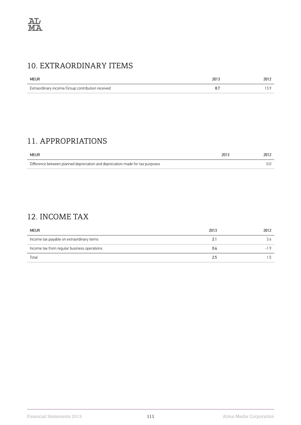#### 10. EXTRAORDINARY ITEMS

| <b>MEUR</b>                                      | 2013 | 2012      |
|--------------------------------------------------|------|-----------|
| Extraordinary income/Group contribution received |      | $\ddotsc$ |

## 11. APPROPRIATIONS

| <b>MEUR</b>                                                                    | 2013 | 2012 |
|--------------------------------------------------------------------------------|------|------|
| Difference between planned depreciation and depreciation made for tax purposes |      |      |

# 12. INCOME TAX

| <b>MEUR</b>                                 | 2013 | 2012  |
|---------------------------------------------|------|-------|
| Income tax payable on extraordinary items   | 2.1  | 3.4   |
| Income tax from regular business operations | 0.4  | $-19$ |
| Total                                       | 2.5  | 5. ا  |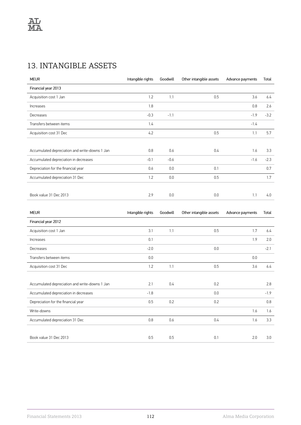# 13. INTANGIBLE ASSETS

| <b>MEUR</b>                                    | Intangible rights | Goodwill | Other intangible assets | Advance payments | Total  |
|------------------------------------------------|-------------------|----------|-------------------------|------------------|--------|
| Financial year 2013                            |                   |          |                         |                  |        |
| Acquisition cost 1 Jan                         | 1.2               | 1.1      | 0.5                     | 3.6              | 6.4    |
| Increases                                      | 1.8               |          |                         | 0.8              | 2.6    |
| Decreases                                      | $-0.3$            | $-1.1$   |                         | $-1.9$           | $-3.2$ |
| Transfers between items                        | 1.4               |          |                         | $-1.4$           |        |
| Acquisition cost 31 Dec                        | 4.2               |          | 0.5                     | 1.1              | 5.7    |
|                                                |                   |          |                         |                  |        |
| Accumulated depreciation and write-downs 1 Jan | 0.8               | 0.6      | 0.4                     | 1.6              | 3.3    |
| Accumulated depreciation in decreases          | $-0.1$            | $-0.6$   |                         | $-1.6$           | $-2.3$ |
| Depreciation for the financial year            | 0.6               | 0.0      | 0.1                     |                  | 0.7    |
| Accumulated depreciation 31 Dec                | 1.2               | 0.0      | 0.5                     |                  | 1.7    |
|                                                |                   |          |                         |                  |        |
| Book value 31 Dec 2013                         | 2.9               | 0.0      | 0.0                     | 1.1              | 4.0    |
|                                                |                   |          |                         |                  |        |

| <b>MEUR</b>                                    | Intangible rights | Goodwill | Other intangible assets | Advance payments | Total  |
|------------------------------------------------|-------------------|----------|-------------------------|------------------|--------|
| Financial year 2012                            |                   |          |                         |                  |        |
| Acquisition cost 1 Jan                         | 3.1               | 1.1      | 0.5                     | 1.7              | 6.4    |
| Increases                                      | 0.1               |          |                         | 1.9              | 2.0    |
| Decreases                                      | $-2.0$            |          | 0.0                     |                  | $-2.1$ |
| Transfers between items                        | 0.0               |          |                         | 0.0              |        |
| Acquisition cost 31 Dec                        | 1.2               | 1.1      | 0.5                     | 3.6              | 6.4    |
|                                                |                   |          |                         |                  |        |
| Accumulated depreciation and write-downs 1 Jan | 2.1               | 0.4      | 0.2                     |                  | 2.8    |
| Accumulated depreciation in decreases          | $-1.8$            |          | 0.0                     |                  | $-1.9$ |
| Depreciation for the financial year            | 0.5               | 0.2      | 0.2                     |                  | 0.8    |
| Write-downs                                    |                   |          |                         | 1.6              | 1.6    |
| Accumulated depreciation 31 Dec                | 0.8               | 0.6      | 0.4                     | 1.6              | 3.3    |
|                                                |                   |          |                         |                  |        |
| Book value 31 Dec 2013                         | 0.5               | 0.5      | 0.1                     | 2.0              | 3.0    |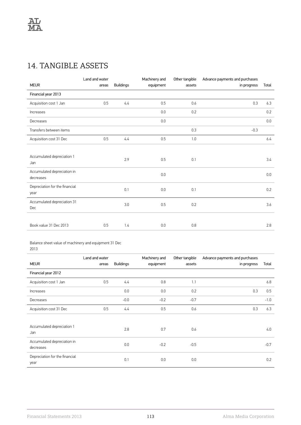# 14. TANGIBLE ASSETS

|                                          | Land and water |                  | Machinery and | Other tangible | Advance payments and purchases |       |
|------------------------------------------|----------------|------------------|---------------|----------------|--------------------------------|-------|
| <b>MEUR</b>                              | areas          | <b>Buildings</b> | equipment     | assets         | in progress                    | Total |
| Financial year 2013                      |                |                  |               |                |                                |       |
| Acquisition cost 1 Jan                   | 0.5            | 4.4              | 0.5           | 0.6            | 0.3                            | 6.3   |
| Increases                                |                |                  | 0.0           | 0.2            |                                | 0.2   |
| Decreases                                |                |                  | 0.0           |                |                                | 0.0   |
| Transfers between items                  |                |                  |               | 0.3            | $-0.3$                         |       |
| Acquisition cost 31 Dec                  | 0.5            | 4.4              | 0.5           | 1.0            |                                | 6.4   |
|                                          |                |                  |               |                |                                |       |
| Accumulated depreciation 1<br>Jan        |                | 2.9              | 0.5           | 0.1            |                                | 3.4   |
| Accumulated depreciation in<br>decreases |                |                  | 0.0           |                |                                | 0.0   |
| Depreciation for the financial<br>year   |                | 0.1              | 0.0           | 0.1            |                                | 0.2   |
| Accumulated depreciation 31<br>Dec       |                | 3.0              | 0.5           | 0.2            |                                | 3.6   |
|                                          |                |                  |               |                |                                |       |
| Book value 31 Dec 2013                   | 0.5            | 1.4              | 0.0           | 0.8            |                                | 2.8   |

Balance sheet value of machinery and equipment 31 Dec

<sup>2013</sup>

| <b>MEUR</b>                              | Land and water<br>areas | <b>Buildings</b> | Machinery and<br>equipment | Other tangible<br>assets | Advance payments and purchases<br>in progress | Total  |
|------------------------------------------|-------------------------|------------------|----------------------------|--------------------------|-----------------------------------------------|--------|
| Financial year 2012                      |                         |                  |                            |                          |                                               |        |
| Acquisition cost 1 Jan                   | 0.5                     | 4.4              | 0.8                        | 1.1                      |                                               | 6.8    |
| Increases                                |                         | 0.0              | 0.0                        | 0.2                      | 0.3                                           | 0.5    |
| Decreases                                |                         | $-0.0$           | $-0.2$                     | $-0.7$                   |                                               | $-1.0$ |
| Acquisition cost 31 Dec                  | 0.5                     | 4.4              | 0.5                        | 0.6                      | 0.3                                           | 6.3    |
|                                          |                         |                  |                            |                          |                                               |        |
| Accumulated depreciation 1<br>Jan        |                         | 2.8              | 0.7                        | 0.6                      |                                               | 4.0    |
| Accumulated depreciation in<br>decreases |                         | 0.0              | $-0.2$                     | $-0.5$                   |                                               | $-0.7$ |
| Depreciation for the financial<br>year   |                         | 0.1              | 0.0                        | 0.0                      |                                               | 0.2    |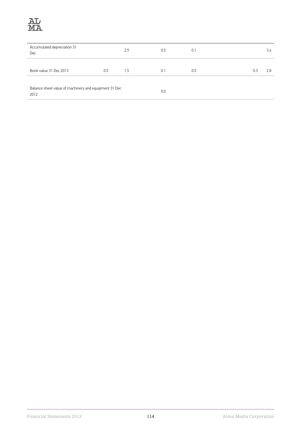

| Accumulated depreciation 31<br><b>Dec</b>                     |     | 2.9 | 0.5 | 0.1 |     | 3.4 |
|---------------------------------------------------------------|-----|-----|-----|-----|-----|-----|
| Book value 31 Dec 2013                                        | 0.5 | 1.5 | 0.1 | 0.5 | 0.3 | 2.8 |
| Balance sheet value of machinery and equipment 31 Dec<br>2012 |     |     | 0.0 |     |     |     |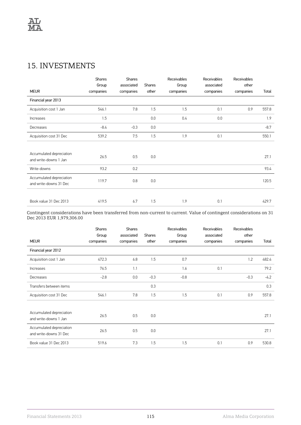#### 15. INVESTMENTS

|                                                    | <b>Shares</b> | <b>Shares</b> |               | Receivables | Receivables | Receivables |        |
|----------------------------------------------------|---------------|---------------|---------------|-------------|-------------|-------------|--------|
|                                                    | Group         | associated    | <b>Shares</b> | Group       | associated  | other       |        |
| <b>MEUR</b>                                        | companies     | companies     | other         | companies   | companies   | companies   | Total  |
| Financial year 2013                                |               |               |               |             |             |             |        |
| Acquisition cost 1 Jan                             | 546.1         | 7.8           | 1.5           | 1.5         | 0.1         | 0.9         | 557.8  |
| Increases                                          | 1.5           |               | 0.0           | 0.4         | 0.0         |             | 1.9    |
| Decreases                                          | $-8.4$        | $-0.3$        | 0.0           |             |             |             | $-8.7$ |
| Acquisition cost 31 Dec                            | 539.2         | 7.5           | 1.5           | 1.9         | 0.1         |             | 550.1  |
|                                                    |               |               |               |             |             |             |        |
| Accumulated depreciation                           | 26.5          | 0.5           | 0.0           |             |             |             | 27.1   |
| and write-downs 1 Jan                              |               |               |               |             |             |             |        |
| Write-downs                                        | 93.2          | 0.2           |               |             |             |             | 93.4   |
| Accumulated depreciation<br>and write-downs 31 Dec | 119.7         | 0.8           | 0.0           |             |             |             | 120.5  |
|                                                    |               |               |               |             |             |             |        |
| Book value 31 Dec 2013                             | 419.5         | 6.7           | 1.5           | 1.9         | 0.1         |             | 429.7  |

Contingent considerations have been transferred from non-current to current. Value of contingent considerations on 31 Dec 2013 EUR 1,979,306.00

| <b>MEUR</b>                                        | <b>Shares</b><br>Group<br>companies | <b>Shares</b><br>associated<br>companies | <b>Shares</b><br>other | Receivables<br>Group<br>companies | Receivables<br>associated<br>companies | Receivables<br>other<br>companies | Total  |
|----------------------------------------------------|-------------------------------------|------------------------------------------|------------------------|-----------------------------------|----------------------------------------|-----------------------------------|--------|
| Financial year 2012                                |                                     |                                          |                        |                                   |                                        |                                   |        |
|                                                    |                                     |                                          |                        |                                   |                                        |                                   |        |
| Acquisition cost 1 Jan                             | 472.3                               | 6.8                                      | 1.5                    | 0.7                               |                                        | 1.2                               | 482.4  |
| <b>Increases</b>                                   | 76.5                                | 1.1                                      |                        | 1.6                               | 0.1                                    |                                   | 79.2   |
| Decreases                                          | $-2.8$                              | 0.0                                      | $-0.3$                 | $-0.8$                            |                                        | $-0.3$                            | $-4.2$ |
| Transfers between items                            |                                     |                                          | 0.3                    |                                   |                                        |                                   | 0.3    |
| Acquisition cost 31 Dec                            | 546.1                               | 7.8                                      | 1.5                    | 1.5                               | 0.1                                    | 0.9                               | 557.8  |
|                                                    |                                     |                                          |                        |                                   |                                        |                                   |        |
| Accumulated depreciation<br>and write-downs 1 Jan  | 26.5                                | 0.5                                      | 0.0                    |                                   |                                        |                                   | 27.1   |
| Accumulated depreciation<br>and write-downs 31 Dec | 26.5                                | 0.5                                      | 0.0                    |                                   |                                        |                                   | 27.1   |
| Book value 31 Dec 2013                             | 519.6                               | 7.3                                      | 1.5                    | 1.5                               | 0.1                                    | 0.9                               | 530.8  |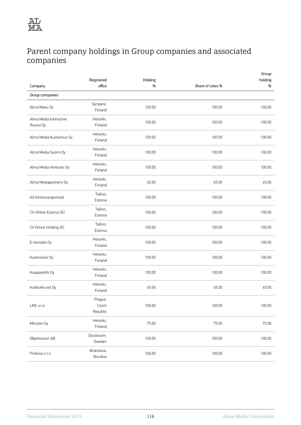

## Parent company holdings in Group companies and associated companies

| Company                             | Registered<br>office         | Holding<br>% | Share of votes % | Group<br>holding<br>% |
|-------------------------------------|------------------------------|--------------|------------------|-----------------------|
| Group companies                     |                              |              |                  |                       |
| Alma Manu Oy                        | Tampere,<br>Finland          | 100.00       | 100.00           | 100.00                |
| Alma Media Interactive<br>Russia Oy | Helsinki,<br>Finland         | 100.00       | 100.00           | 100.00                |
| Alma Media Kustannus Oy             | Helsinki,<br>Finland         | 100.00       | 100.00           | 100.00                |
| Alma Media Suomi Oy                 | Helsinki,<br>Finland         | 100.00       | 100.00           | 100.00                |
| Alma Media Ventures Oy              | Helsinki,<br>Finland         | 100.00       | 100.00           | 100.00                |
| Alma Mediapartners Oy               | Helsinki,<br>Finland         | 65.00        | 65.00            | 65.00                 |
| AS Kinnisvaraportaal                | Tallinn,<br>Estonia          | 100.00       | 100.00           | 100.00                |
| CV-Online Estonia OÜ                | Tallinn,<br>Estonia          | 100.00       | 100.00           | 100.00                |
| CV Online Holding OÜ                | Tallinn,<br>Estonia          | 100.00       | 100.00           | 100.00                |
| E-kontakti Oy                       | Helsinki,<br>Finland         | 100.00       | 100.00           | 100.00                |
| Karenstock Oy                       | Helsinki,<br>Finland         | 100.00       | 100.00           | 100.00                |
| Kauppalehti Oy                      | Helsinki,<br>Finland         | 100.00       | 100.00           | 100.00                |
| Kotikokki.net Oy                    | Helsinki,<br>Finland         | 65.00        | 65.00            | 65.00                 |
| LMC s.r.o                           | Prague,<br>Czech<br>Republic | 100.00       | 100.00           | 100.00                |
| Monster Oy                          | Helsinki,<br>Finland         | 75.00        | 75.00            | 75.00                 |
| Objektvision AB                     | Stockholm,<br>Sweden         | 100.00       | 100.00           | 100.00                |
| Profesia s.r.o                      | Bratislava,<br>Slovakia      | 100.00       | 100.00           | 100.00                |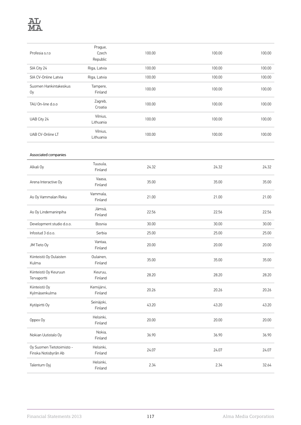

| Profesia s.r.o                                    | Prague,<br>Czech<br>Republic | 100.00 | 100.00 | 100.00 |
|---------------------------------------------------|------------------------------|--------|--------|--------|
| SIA City 24                                       | Riga, Latvia                 | 100.00 | 100.00 | 100.00 |
| SIA CV-Online Latvia                              | Riga, Latvia                 | 100.00 | 100.00 | 100.00 |
| Suomen Hankintakeskus<br>Oy                       | Tampere,<br>Finland          | 100.00 | 100.00 | 100.00 |
| TAU On-line d.o.o                                 | Zagreb,<br>Croatia           | 100.00 | 100.00 | 100.00 |
| UAB City 24                                       | Vilnius,<br>Lithuania        | 100.00 | 100.00 | 100.00 |
| UAB CV-Online LT                                  | Vilnius,<br>Lithuania        | 100.00 | 100.00 | 100.00 |
| Associated companies                              |                              |        |        |        |
| Alkali Oy                                         | Tuusula,<br>Finland          | 24.32  | 24.32  | 24.32  |
| Arena Interactive Oy                              | Vaasa,<br>Finland            | 35.00  | 35.00  | 35.00  |
| As Oy Vammalan Reku                               | Vammala,<br>Finland          | 21.00  | 21.00  | 21.00  |
| As Oy Lindemaninpiha                              | Jämsä,<br>Finland            | 22.56  | 22.56  | 22.56  |
| Development studio d.o.o.                         | Bosnia                       | 30.00  | 30.00  | 30.00  |
| Infostud 3 d.o.o.                                 | Serbia                       | 25.00  | 25.00  | 25.00  |
| JM Tieto Oy                                       | Vantaa,<br>Finland           | 20.00  | 20.00  | 20.00  |
| Kiinteistö Oy Oulaisten<br>Kulma                  | Oulainen,<br>Finland         | 35.00  | 35.00  | 35.00  |
| Kiinteistö Oy Keuruun<br>Tervaportti              | Keuruu,<br>Finland           | 28.20  | 28.20  | 28.20  |
| Kiinteistö Oy<br>Kylmäsenkulma                    | Kemijärvi,<br>Finland        | 20.26  | 20.26  | 20.26  |
| Kytöpirtti Oy                                     | Seinäjoki,<br>Finland        | 43.20  | 43.20  | 43.20  |
| Oppex Oy                                          | Helsinki,<br>Finland         | 20.00  | 20.00  | 20.00  |
| Nokian Uutistalo Oy                               | Nokia,<br>Finland            | 36.90  | 36.90  | 36.90  |
| Oy Suomen Tietotoimisto -<br>Finska Notisbyrån Ab | Helsinki,<br>Finland         | 24.07  | 24.07  | 24.07  |
| Talentum Oyj                                      | Helsinki,<br>Finland         | 2.34   | 2.34   | 32.64  |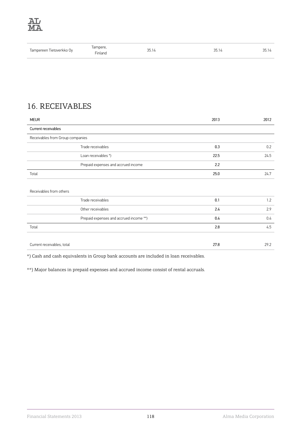| Tampereen Tietoverkko Ov | Jampere.<br>Finland | っに<br>◡◡. | つに<br>JJ. I≒ | っに<br>JJ.I |
|--------------------------|---------------------|-----------|--------------|------------|
|--------------------------|---------------------|-----------|--------------|------------|

## 16. RECEIVABLES

| <b>MEUR</b>                             | 2013 | 2012 |
|-----------------------------------------|------|------|
| Current receivables                     |      |      |
| Receivables from Group companies        |      |      |
| Trade receivables                       | 0.3  | 0.2  |
| Loan receivables *)                     | 22.5 | 24.5 |
| Prepaid expenses and accrued income     | 2.2  |      |
| Total                                   | 25.0 | 24.7 |
|                                         |      |      |
| Receivables from others                 |      |      |
| Trade receivables                       | 0.1  | 1.2  |
| Other receivables                       | 2.4  | 2.9  |
| Prepaid expenses and accrued income **) | 0.4  | 0.4  |
| Total                                   | 2.8  | 4.5  |
|                                         |      |      |
| Current receivables, total              | 27.8 | 29.2 |

\*) Cash and cash equivalents in Group bank accounts are included in loan receivables.

\*\*) Major balances in prepaid expenses and accrued income consist of rental accruals.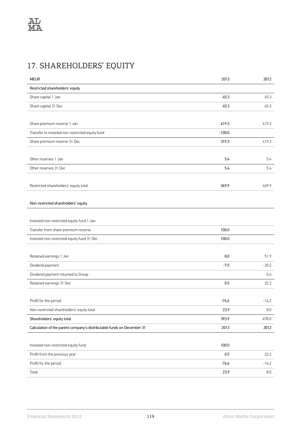# 17. SHAREHOLDERS' EQUITY

| <b>MEUR</b>                                                            | 2013     | 2012               |
|------------------------------------------------------------------------|----------|--------------------|
| Restricted shareholders' equity                                        |          |                    |
| Share capital 1 Jan                                                    | 45.3     | 45.3               |
| Share capital 31 Dec                                                   | 45.3     | 45.3               |
|                                                                        |          |                    |
| Share premium reserve 1 Jan                                            | 419.3    | 419.3              |
| Transfer to invested non-restricted equity fund                        | $-100.0$ |                    |
| Share premium reserve 31 Dec                                           | 319.3    | 419.3              |
|                                                                        |          |                    |
| Other reserves 1 Jan                                                   | 5.4      | 5.4                |
| Other reserves 31 Dec                                                  | 5.4      | 5.4                |
|                                                                        |          |                    |
| Restricted shareholders' equity total                                  | 369.9    | 469.9              |
|                                                                        |          |                    |
| Non-restricted shareholders' equity                                    |          |                    |
|                                                                        |          |                    |
| Invested non-restricted equity fund 1 Jan                              |          |                    |
| Transfer from share premium reserve                                    | 100.0    |                    |
| Invested non-restricted equity fund 31 Dec                             | 100.0    |                    |
|                                                                        |          |                    |
| Retained earnings 1 Jan                                                | 8.0      | 51.9               |
| Dividend payment                                                       | $-7.5$   | $-30.2$            |
| Dividend payment returned to Group                                     |          | 0.4                |
| Retained earnings 31 Dec                                               | 0.5      | 22.2               |
|                                                                        |          |                    |
| Profit for the period                                                  | $-76.6$  | $-14.2$            |
| Non-restricted shareholders' equity total                              | 23.9     | $\boldsymbol{8.0}$ |
| Shareholders' equity total                                             | 393.9    | 478.0              |
| Calculation of the parent company's distributable funds on December 31 | 2013     | 2012               |
|                                                                        |          |                    |
| Invested non-restricted equity fund                                    | 100.0    |                    |
| Profit from the previous year                                          | 0.5      | 22.2               |
| Profit for the period                                                  | $-76.6$  | $-14.2$            |
| Total                                                                  | 23.9     | 8.0                |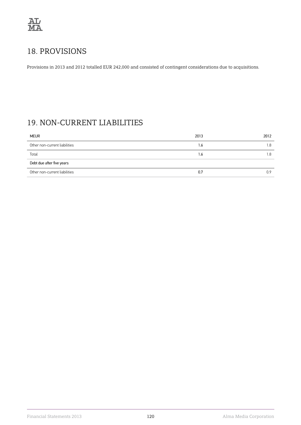

## 18. PROVISIONS

Provisions in 2013 and 2012 totalled EUR 242,000 and consisted of contingent considerations due to acquisitions.

### 19. NON-CURRENT LIABILITIES

| <b>MEUR</b>                   | 2013 | 2012 |
|-------------------------------|------|------|
| Other non-current liabilities | 1.6  | 1.8  |
| Total                         | 1.6  | l.8  |
| Debt due after five years     |      |      |
| Other non-current liabilities | 0.7  | 0.9  |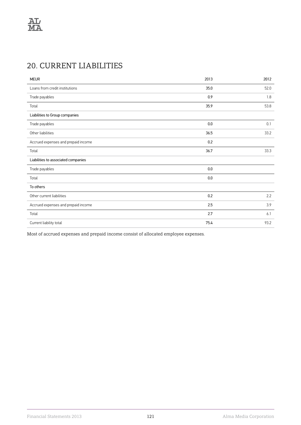# 20. CURRENT LIABILITIES

| <b>MEUR</b>                         | 2013    | 2012 |
|-------------------------------------|---------|------|
| Loans from credit institutions      | 35.0    | 52.0 |
| Trade payables                      | 0.9     | 1.8  |
| Total                               | 35.9    | 53.8 |
| Liabilities to Group companies      |         |      |
| Trade payables                      | 0.0     | 0.1  |
| Other liabilities                   | 36.5    | 33.2 |
| Accrued expenses and prepaid income | 0.2     |      |
| Total                               | 36.7    | 33.3 |
| Liabilities to associated companies |         |      |
| Trade payables                      | 0.0     |      |
| Total                               | $0.0\,$ |      |
| To others                           |         |      |
| Other current liabilities           | 0.2     | 2.2  |
| Accrued expenses and prepaid income | 2.5     | 3.9  |
| Total                               | 2.7     | 6.1  |
| Current liability total             | 75.4    | 93.2 |

Most of accrued expenses and prepaid income consist of allocated employee expenses.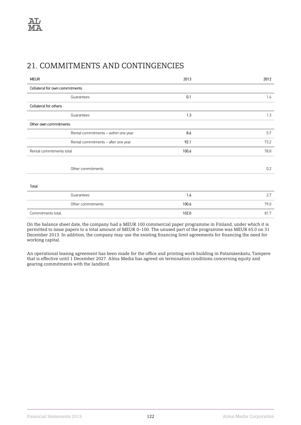#### 21. COMMITMENTS AND CONTINGENCIES

| <b>MEUR</b>                    |                                      | 2013  | 2012 |
|--------------------------------|--------------------------------------|-------|------|
| Collateral for own commitments |                                      |       |      |
|                                | Guarantees                           | 0.1   | 1.4  |
| Collateral for others          |                                      |       |      |
|                                | Guarantees                           | 1.3   | 1.3  |
| Other own commitments          |                                      |       |      |
|                                | Rental commitments - within one year | 8.6   | 5.7  |
|                                | Rental commitments - after one year  | 92.1  | 73.2 |
| Rental commitments total       |                                      | 100.6 | 78.8 |
|                                |                                      |       |      |
|                                | Other commitments                    |       | 0.2  |
|                                |                                      |       |      |
| Total                          |                                      |       |      |
|                                | Guarantees                           | 1.4   | 2.7  |
|                                | Other commitments                    | 100.6 | 79.0 |
| Commitments total              |                                      | 102.0 | 81.7 |
|                                |                                      |       |      |

On the balance sheet date, the company had a MEUR 100 commercial paper programme in Finland, under which it is permitted to issue papers to a total amount of MEUR 0–100. The unused part of the programme was MEUR 65.0 on 31 December 2013. In addition, the company may use the existing financing limit agreements for financing the need for working capital.

An operational leasing agreement has been made for the office and printing work building in Patamäenkatu, Tampere that is effective until 1 December 2027. Alma Media has agreed on termination conditions concerning equity and gearing commitments with the landlord.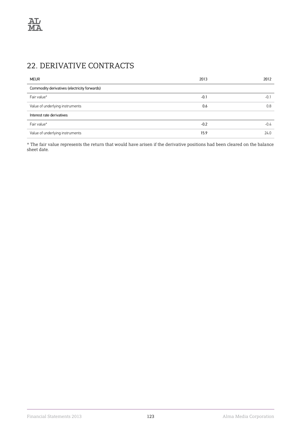# 22. DERIVATIVE CONTRACTS

| <b>MEUR</b>                                  | 2013   | 2012   |
|----------------------------------------------|--------|--------|
| Commodity derivatives (electricity forwards) |        |        |
| Fair value*                                  | $-0.1$ | $-0.1$ |
| Value of underlying instruments              | 0.6    | 0.8    |
| Interest rate derivatives                    |        |        |
| Fair value*                                  | $-0.2$ | $-0.4$ |
| Value of underlying instruments              | 15.9   | 24.0   |

\* The fair value represents the return that would have arisen if the derivative positions had been cleared on the balance sheet date.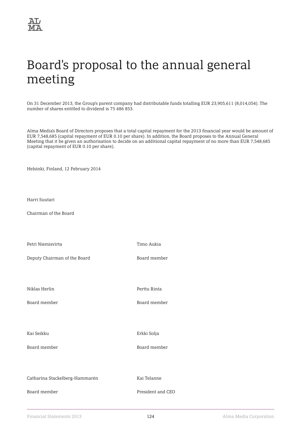# Board's proposal to the annual general meeting

On 31 December 2013, the Group's parent company had distributable funds totalling EUR 23,905,611 (8,014,054). The number of shares entitled to dividend is 75 486 853.

Alma Media's Board of Directors proposes that a total capital repayment for the 2013 financial year would be amount of EUR 7,548,685 (capital repayment of EUR 0.10 per share). In addition, the Board proposes to the Annual General Meeting that it be given an authorisation to decide on an additional capital repayment of no more than EUR 7,548,685 (capital repayment of EUR 0.10 per share).

Helsinki, Finland, 12 February 2014

Harri Suutari

Chairman of the Board

Petri Niemisvirta **Timo Aukia** Deputy Chairman of the Board **Board Chairman** of the Board member Niklas Herlin **Perttu Rinta** Board member Board member Kai Seikku **Erkki Solja** Board member and the Board member Catharina Stackelberg-Hammarén Kai Telanne Board member **Board member** President and CEO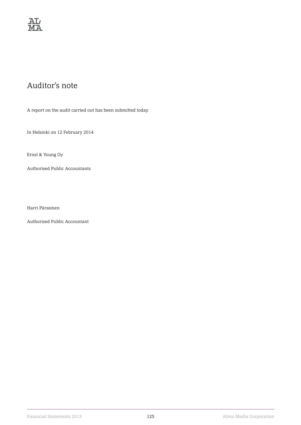

#### Auditor's note

A report on the audit carried out has been submitted today.

In Helsinki on 12 February 2014

Ernst & Young Oy

Authorised Public Accountants

Harri Pärssinen

Authorised Public Accountant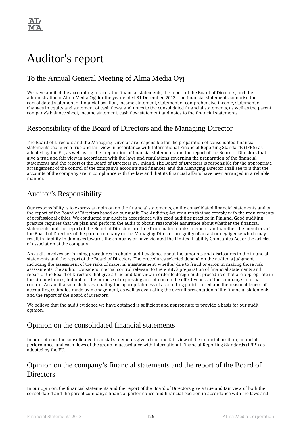

# Auditor's report

#### To the Annual General Meeting of Alma Media Oyj

We have audited the accounting records, the financial statements, the report of the Board of Directors, and the administration ofAlma Media Oyj for the year ended 31 December, 2013. The financial statements comprise the consolidated statement of financial position, income statement, statement of comprehensive income, statement of changes in equity and statement of cash flows, and notes to the consolidated financial statements, as well as the parent company's balance sheet, income statement, cash flow statement and notes to the financial statements.

#### Responsibility of the Board of Directors and the Managing Director

The Board of Directors and the Managing Director are responsible for the preparation of consolidated financial statements that give a true and fair view in accordance with International Financial Reporting Standards (IFRS) as adopted by the EU, as well as for the preparation of financial statements and the report of the Board of Directors that give a true and fair view in accordance with the laws and regulations governing the preparation of the financial statements and the report of the Board of Directors in Finland. The Board of Directors is responsible for the appropriate arrangement of the control of the company's accounts and finances, and the Managing Director shall see to it that the accounts of the company are in compliance with the law and that its financial affairs have been arranged in a reliable manner.

#### Auditor's Responsibility

Our responsibility is to express an opinion on the financial statements, on the consolidated financial statements and on the report of the Board of Directors based on our audit. The Auditing Act requires that we comply with the requirements of professional ethics. We conducted our audit in accordance with good auditing practice in Finland. Good auditing practice requires that we plan and perform the audit to obtain reasonable assurance about whether the financial statements and the report of the Board of Directors are free from material misstatement, and whether the members of the Board of Directors of the parent company or the Managing Director are guilty of an act or negligence which may result in liability in damages towards the company or have violated the Limited Liability Companies Act or the articles of association of the company.

An audit involves performing procedures to obtain audit evidence about the amounts and disclosures in the financial statements and the report of the Board of Directors. The procedures selected depend on the auditor's judgment, including the assessment of the risks of material misstatement, whether due to fraud or error. In making those risk assessments, the auditor considers internal control relevant to the entity's preparation of financial statements and report of the Board of Directors that give a true and fair view in order to design audit procedures that are appropriate in the circumstances, but not for the purpose of expressing an opinion on the effectiveness of the company's internal control. An audit also includes evaluating the appropriateness of accounting policies used and the reasonableness of accounting estimates made by management, as well as evaluating the overall presentation of the financial statements and the report of the Board of Directors.

We believe that the audit evidence we have obtained is sufficient and appropriate to provide a basis for our audit opinion.

#### Opinion on the consolidated financial statements

In our opinion, the consolidated financial statements give a true and fair view of the financial position, financial performance, and cash flows of the group in accordance with International Financial Reporting Standards (IFRS) as adopted by the EU.

#### Opinion on the company's financial statements and the report of the Board of **Directors**

In our opinion, the financial statements and the report of the Board of Directors give a true and fair view of both the consolidated and the parent company's financial performance and financial position in accordance with the laws and